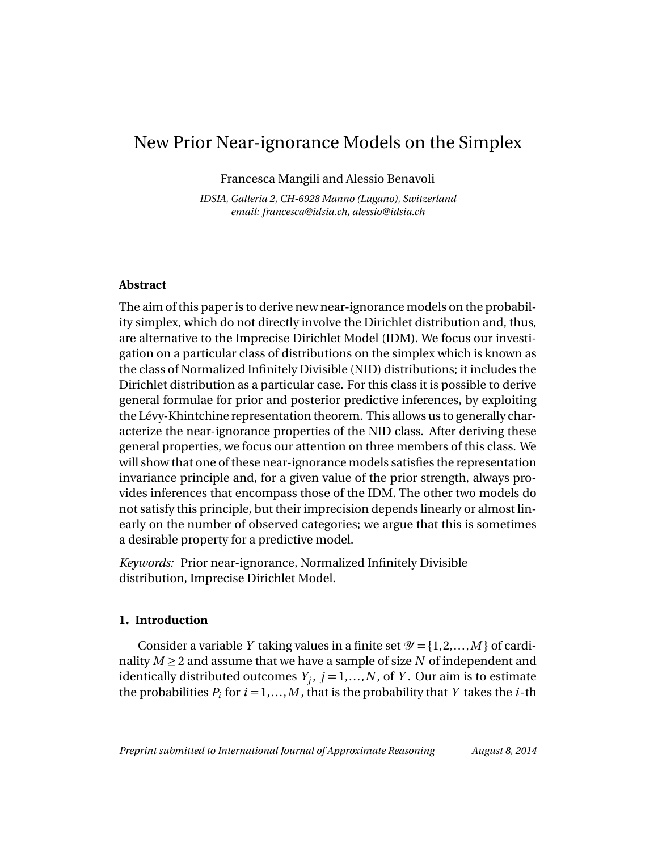# New Prior Near-ignorance Models on the Simplex

Francesca Mangili and Alessio Benavoli

*IDSIA, Galleria 2, CH-6928 Manno (Lugano), Switzerland email: francesca@idsia.ch, alessio@idsia.ch*

## **Abstract**

The aim of this paper is to derive new near-ignorance models on the probability simplex, which do not directly involve the Dirichlet distribution and, thus, are alternative to the Imprecise Dirichlet Model (IDM). We focus our investigation on a particular class of distributions on the simplex which is known as the class of Normalized Infinitely Divisible (NID) distributions; it includes the Dirichlet distribution as a particular case. For this class it is possible to derive general formulae for prior and posterior predictive inferences, by exploiting the Lévy-Khintchine representation theorem. This allows us to generally characterize the near-ignorance properties of the NID class. After deriving these general properties, we focus our attention on three members of this class. We will show that one of these near-ignorance models satisfies the representation invariance principle and, for a given value of the prior strength, always provides inferences that encompass those of the IDM. The other two models do not satisfy this principle, but their imprecision depends linearly or almost linearly on the number of observed categories; we argue that this is sometimes a desirable property for a predictive model.

*Keywords:* Prior near-ignorance, Normalized Infinitely Divisible distribution, Imprecise Dirichlet Model.

# **1. Introduction**

Consider a variable *Y* taking values in a finite set  $\mathcal{Y} = \{1, 2, ..., M\}$  of cardinality  $M \geq 2$  and assume that we have a sample of size N of independent and identically distributed outcomes  $Y_j, j = 1,...,N,$  of  $Y$ . Our aim is to estimate the probabilities  $P_i$  for  $i = 1,...,M$ , that is the probability that *Y* takes the *i*-th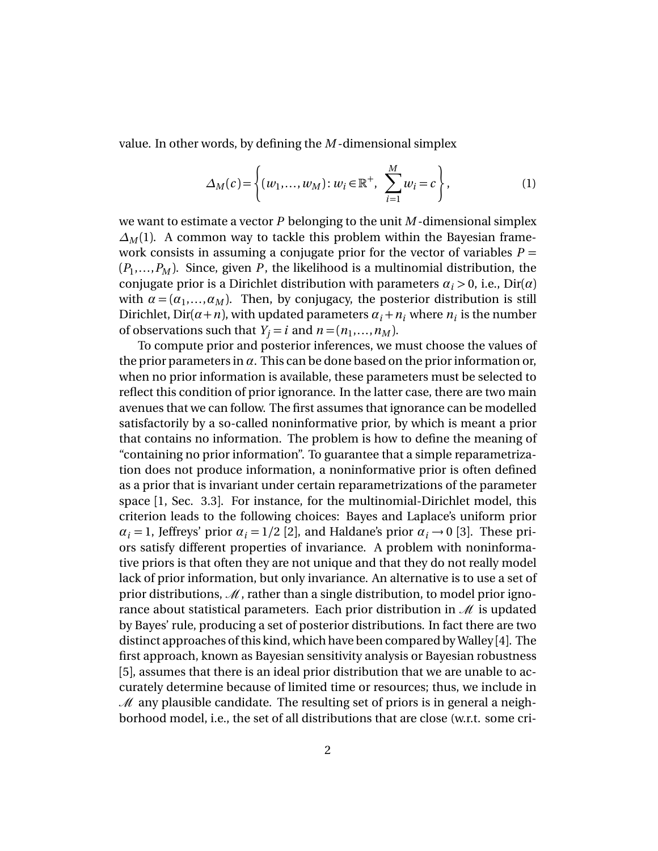value. In other words, by defining the *M* -dimensional simplex

$$
\Delta_M(c) = \left\{ (w_1, \dots, w_M) : w_i \in \mathbb{R}^+, \sum_{i=1}^M w_i = c \right\},\tag{1}
$$

we want to estimate a vector *P* belonging to the unit *M* -dimensional simplex  $\Delta_M(1)$ . A common way to tackle this problem within the Bayesian framework consists in assuming a conjugate prior for the vector of variables  $P =$  $(P_1, \ldots, P_M)$ . Since, given  $P$ , the likelihood is a multinomial distribution, the conjugate prior is a Dirichlet distribution with parameters  $\alpha_i > 0$ , i.e., Dir( $\alpha$ ) with  $\alpha = (\alpha_1, \ldots, \alpha_M)$ . Then, by conjugacy, the posterior distribution is still Dirichlet, Dir( $\alpha$ + $n$ ), with updated parameters  $\alpha$ <sub>*i*</sub> + $n$ <sub>*i*</sub> where  $n$ <sub>*i*</sub> is the number of observations such that  $Y_j = i$  and  $n = (n_1, \ldots, n_M)$ .

To compute prior and posterior inferences, we must choose the values of the prior parameters in  $\alpha$ . This can be done based on the prior information or, when no prior information is available, these parameters must be selected to reflect this condition of prior ignorance. In the latter case, there are two main avenues that we can follow. The first assumes that ignorance can be modelled satisfactorily by a so-called noninformative prior, by which is meant a prior that contains no information. The problem is how to define the meaning of "containing no prior information". To guarantee that a simple reparametrization does not produce information, a noninformative prior is often defined as a prior that is invariant under certain reparametrizations of the parameter space [1, Sec. 3.3]. For instance, for the multinomial-Dirichlet model, this criterion leads to the following choices: Bayes and Laplace's uniform prior  $\alpha_i = 1$ , Jeffreys' prior  $\alpha_i = 1/2$  [2], and Haldane's prior  $\alpha_i \rightarrow 0$  [3]. These priors satisfy different properties of invariance. A problem with noninformative priors is that often they are not unique and that they do not really model lack of prior information, but only invariance. An alternative is to use a set of prior distributions,  $\mathcal M$ , rather than a single distribution, to model prior ignorance about statistical parameters. Each prior distribution in  $\mathcal{M}$  is updated by Bayes' rule, producing a set of posterior distributions. In fact there are two distinct approaches of this kind, which have been compared by Walley [4]. The first approach, known as Bayesian sensitivity analysis or Bayesian robustness [5], assumes that there is an ideal prior distribution that we are unable to accurately determine because of limited time or resources; thus, we include in  $\mathcal M$  any plausible candidate. The resulting set of priors is in general a neighborhood model, i.e., the set of all distributions that are close (w.r.t. some cri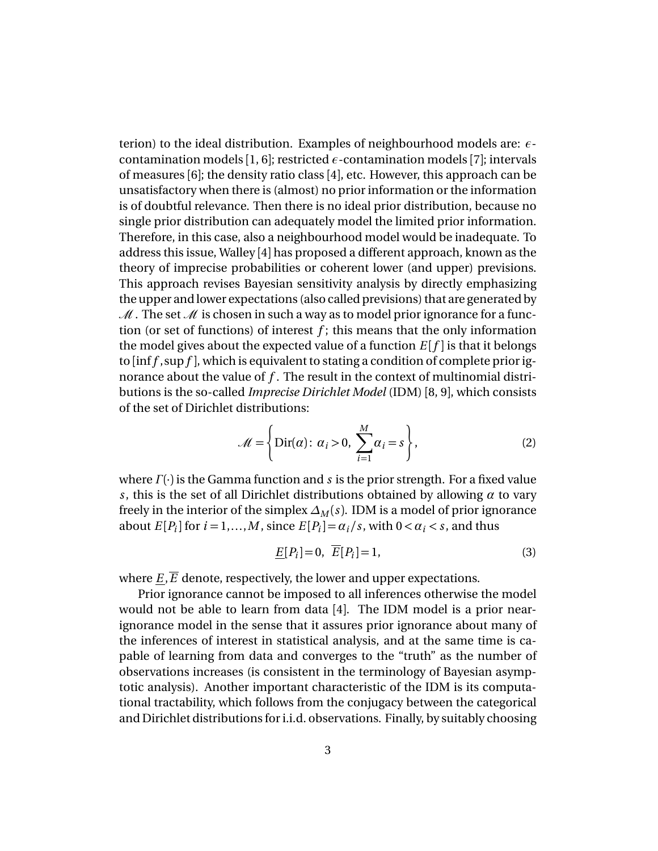terion) to the ideal distribution. Examples of neighbourhood models are: *ε*contamination models [1, 6]; restricted  $\epsilon$ -contamination models [7]; intervals of measures [6]; the density ratio class [4], etc. However, this approach can be unsatisfactory when there is (almost) no prior information or the information is of doubtful relevance. Then there is no ideal prior distribution, because no single prior distribution can adequately model the limited prior information. Therefore, in this case, also a neighbourhood model would be inadequate. To address this issue, Walley [4] has proposed a different approach, known as the theory of imprecise probabilities or coherent lower (and upper) previsions. This approach revises Bayesian sensitivity analysis by directly emphasizing the upper and lower expectations (also called previsions) that are generated by  $\mathcal{M}$ . The set  $\mathcal M$  is chosen in such a way as to model prior ignorance for a function (or set of functions) of interest  $f$ ; this means that the only information the model gives about the expected value of a function  $E[f]$  is that it belongs to [inf *f* ,sup *f* ], which is equivalent to stating a condition of complete prior ignorance about the value of *f* . The result in the context of multinomial distributions is the so-called *Imprecise Dirichlet Model* (IDM) [8, 9], which consists of the set of Dirichlet distributions:

$$
\mathcal{M} = \left\{ \text{Dir}(\alpha): \alpha_i > 0, \sum_{i=1}^{M} \alpha_i = s \right\},\tag{2}
$$

where *Γ* (·) is the Gamma function and *s* is the prior strength. For a fixed value *s*, this is the set of all Dirichlet distributions obtained by allowing *α* to vary freely in the interior of the simplex  $\Delta_M(s)$ . IDM is a model of prior ignorance about  $E[P_i]$  for  $i = 1,...,M$ , since  $E[P_i] = \alpha_i / s$ , with  $0 < \alpha_i < s$ , and thus

$$
\underline{E}[P_i] = 0, \quad \overline{E}[P_i] = 1,\tag{3}
$$

where  $\underline{E}$ ,  $\overline{E}$  denote, respectively, the lower and upper expectations.

Prior ignorance cannot be imposed to all inferences otherwise the model would not be able to learn from data [4]. The IDM model is a prior nearignorance model in the sense that it assures prior ignorance about many of the inferences of interest in statistical analysis, and at the same time is capable of learning from data and converges to the "truth" as the number of observations increases (is consistent in the terminology of Bayesian asymptotic analysis). Another important characteristic of the IDM is its computational tractability, which follows from the conjugacy between the categorical and Dirichlet distributions for i.i.d. observations. Finally, by suitably choosing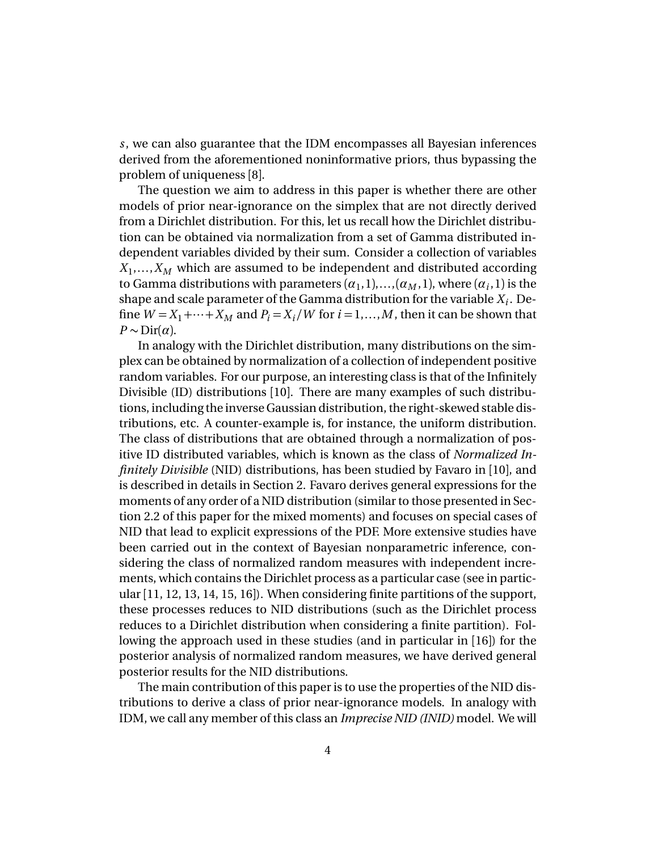*s*, we can also guarantee that the IDM encompasses all Bayesian inferences derived from the aforementioned noninformative priors, thus bypassing the problem of uniqueness [8].

The question we aim to address in this paper is whether there are other models of prior near-ignorance on the simplex that are not directly derived from a Dirichlet distribution. For this, let us recall how the Dirichlet distribution can be obtained via normalization from a set of Gamma distributed independent variables divided by their sum. Consider a collection of variables  $X_1, \ldots, X_M$  which are assumed to be independent and distributed according to Gamma distributions with parameters  $(\alpha_1, 1), ..., (\alpha_M, 1)$ , where  $(\alpha_i, 1)$  is the shape and scale parameter of the Gamma distribution for the variable  $X_i$ . Define  $W = X_1 + \cdots + X_M$  and  $P_i = X_i / W$  for  $i = 1, \ldots, M$ , then it can be shown that  $P \sim \text{Dir}(\alpha)$ .

In analogy with the Dirichlet distribution, many distributions on the simplex can be obtained by normalization of a collection of independent positive random variables. For our purpose, an interesting class is that of the Infinitely Divisible (ID) distributions [10]. There are many examples of such distributions, including the inverse Gaussian distribution, the right-skewed stable distributions, etc. A counter-example is, for instance, the uniform distribution. The class of distributions that are obtained through a normalization of positive ID distributed variables, which is known as the class of *Normalized Infinitely Divisible* (NID) distributions, has been studied by Favaro in [10], and is described in details in Section 2. Favaro derives general expressions for the moments of any order of a NID distribution (similar to those presented in Section 2.2 of this paper for the mixed moments) and focuses on special cases of NID that lead to explicit expressions of the PDF. More extensive studies have been carried out in the context of Bayesian nonparametric inference, considering the class of normalized random measures with independent increments, which contains the Dirichlet process as a particular case (see in particular [11, 12, 13, 14, 15, 16]). When considering finite partitions of the support, these processes reduces to NID distributions (such as the Dirichlet process reduces to a Dirichlet distribution when considering a finite partition). Following the approach used in these studies (and in particular in [16]) for the posterior analysis of normalized random measures, we have derived general posterior results for the NID distributions.

The main contribution of this paper is to use the properties of the NID distributions to derive a class of prior near-ignorance models. In analogy with IDM, we call any member of this class an *Imprecise NID (INID)* model. We will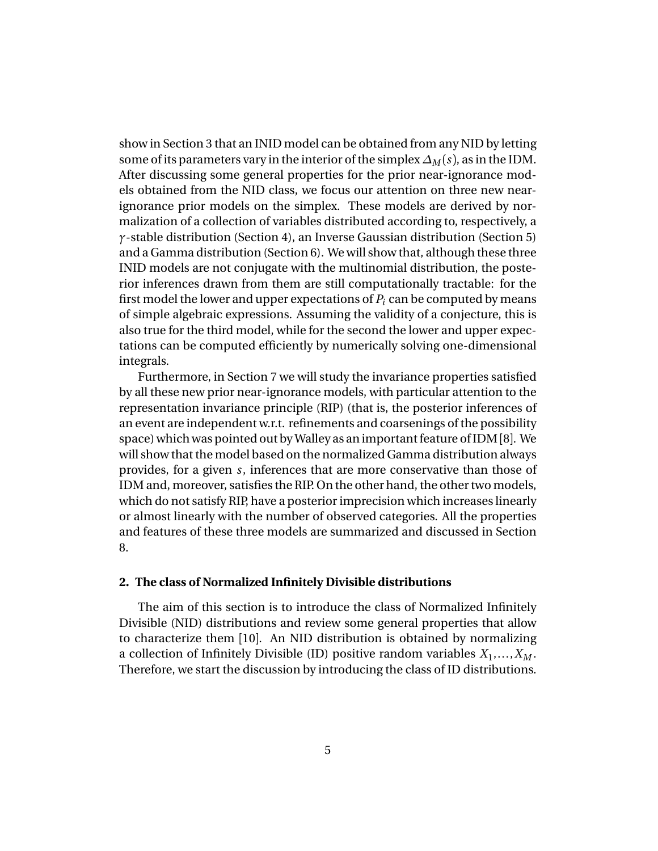show in Section 3 that an INID model can be obtained from any NID by letting some of its parameters vary in the interior of the simplex  $\Delta_M(s)$ , as in the IDM. After discussing some general properties for the prior near-ignorance models obtained from the NID class, we focus our attention on three new nearignorance prior models on the simplex. These models are derived by normalization of a collection of variables distributed according to, respectively, a *γ*-stable distribution (Section 4), an Inverse Gaussian distribution (Section 5) and a Gamma distribution (Section 6). We will show that, although these three INID models are not conjugate with the multinomial distribution, the posterior inferences drawn from them are still computationally tractable: for the first model the lower and upper expectations of  $P_i$  can be computed by means of simple algebraic expressions. Assuming the validity of a conjecture, this is also true for the third model, while for the second the lower and upper expectations can be computed efficiently by numerically solving one-dimensional integrals.

Furthermore, in Section 7 we will study the invariance properties satisfied by all these new prior near-ignorance models, with particular attention to the representation invariance principle (RIP) (that is, the posterior inferences of an event are independent w.r.t. refinements and coarsenings of the possibility space) which was pointed out by Walley as an important feature of IDM [8]. We will show that the model based on the normalized Gamma distribution always provides, for a given *s*, inferences that are more conservative than those of IDM and, moreover, satisfies the RIP. On the other hand, the other two models, which do not satisfy RIP, have a posterior imprecision which increases linearly or almost linearly with the number of observed categories. All the properties and features of these three models are summarized and discussed in Section 8.

## **2. The class of Normalized Infinitely Divisible distributions**

The aim of this section is to introduce the class of Normalized Infinitely Divisible (NID) distributions and review some general properties that allow to characterize them [10]. An NID distribution is obtained by normalizing a collection of Infinitely Divisible (ID) positive random variables *X*<sup>1</sup> ,...,*X<sup>M</sup>* . Therefore, we start the discussion by introducing the class of ID distributions.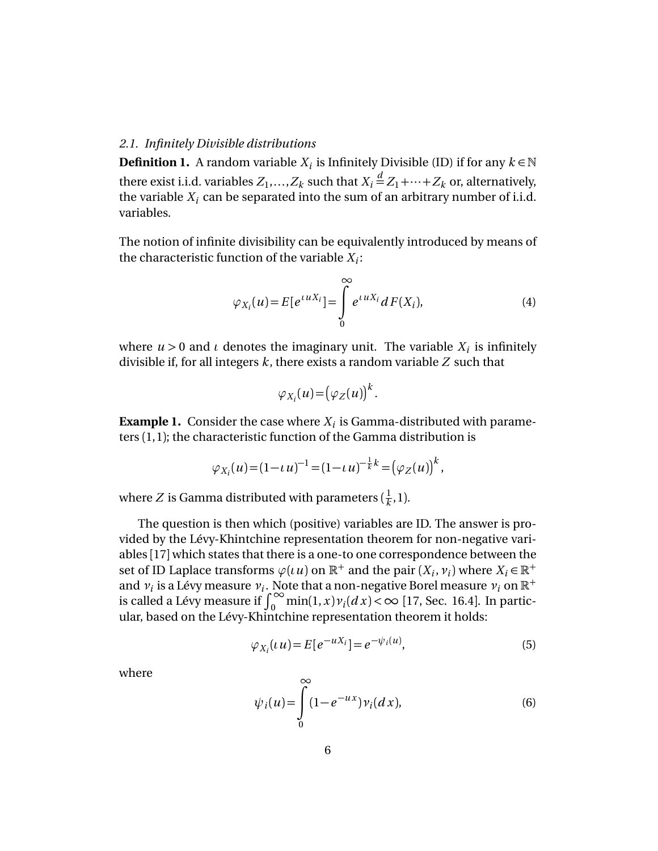## *2.1. Infinitely Divisible distributions*

**Definition 1.** A random variable  $X_i$  is Infinitely Divisible (ID) if for any  $k \in \mathbb{N}$ there exist i.i.d. variables  $Z_1, \ldots, Z_k$  such that  $X_i \,{\stackrel{d}{=}}\, Z_1 \!+\! \cdots \!+\! Z_k$  or, alternatively, the variable  $X_i$  can be separated into the sum of an arbitrary number of i.i.d. variables.

The notion of infinite divisibility can be equivalently introduced by means of the characteristic function of the variable *X<sup>i</sup>* :

$$
\varphi_{X_i}(u) = E[e^{i u X_i}] = \int_0^\infty e^{i u X_i} dF(X_i), \tag{4}
$$

where  $u > 0$  and  $\iota$  denotes the imaginary unit. The variable  $X_i$  is infinitely divisible if, for all integers *k*, there exists a random variable *Z* such that

$$
\varphi_{X_i}(u) = (\varphi_Z(u))^k.
$$

**Example 1.** Consider the case where  $X_i$  is Gamma-distributed with parameters (1,1); the characteristic function of the Gamma distribution is

$$
\varphi_{X_i}(u) = (1 - \iota u)^{-1} = (1 - \iota u)^{-\frac{1}{k}k} = (\varphi_Z(u))^k,
$$

where  $Z$  is Gamma distributed with parameters (  $\frac{1}{k}$  $\frac{1}{k}$ , 1).

The question is then which (positive) variables are ID. The answer is provided by the Lévy-Khintchine representation theorem for non-negative variables [17] which states that there is a one-to one correspondence between the set of ID Laplace transforms  $\varphi(\iota u)$  on  $\mathbb{R}^+$  and the pair  $(X_i, v_i)$  where  $X_i \in \mathbb{R}^+$ and  $v_i$  is a Lévy measure  $v_i$ . Note that a non-negative Borel measure  $v_i$  on  $\mathbb{R}^+$ is called a Lévy measure if  $\int_0^\infty \min(1, x) v_i(dx) < \infty$  [17, Sec. 16.4]. In particular, based on the Lévy-Khintchine representation theorem it holds:

$$
\varphi_{X_i}(u) = E[e^{-uX_i}] = e^{-\psi_i(u)},
$$
\n(5)

where

$$
\psi_i(u) = \int_0^\infty (1 - e^{-ux}) \nu_i(dx),\tag{6}
$$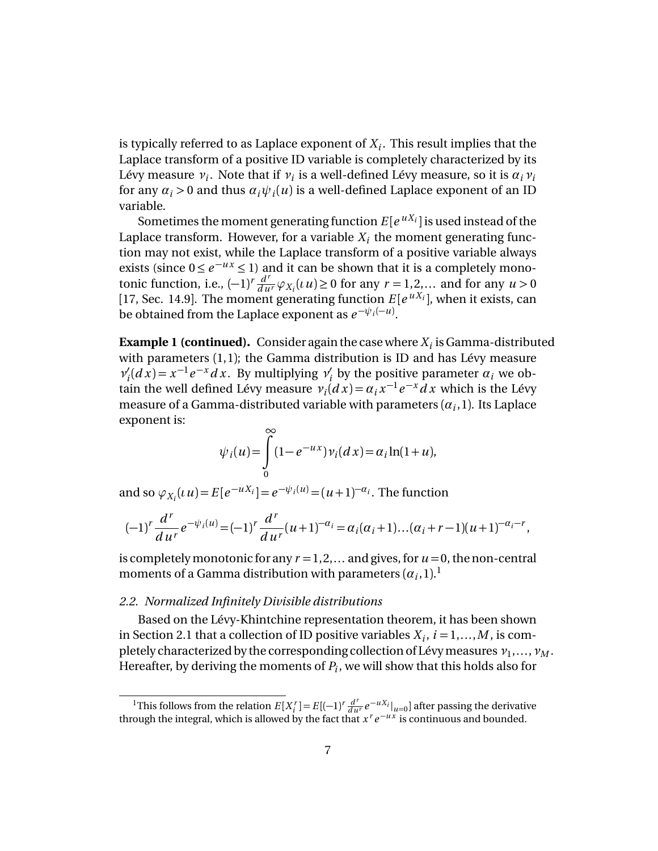is typically referred to as Laplace exponent of  $X_i.$  This result implies that the Laplace transform of a positive ID variable is completely characterized by its Lévy measure *ν<sup>i</sup>* . Note that if *ν<sup>i</sup>* is a well-defined Lévy measure, so it is *αiν<sup>i</sup>* for any  $\alpha_i$  > 0 and thus  $\alpha_i \psi_i(u)$  is a well-defined Laplace exponent of an ID variable.

Sometimes the moment generating function  $E[e^{uX_i}]$  is used instead of the Laplace transform. However, for a variable  $X_i$  the moment generating function may not exist, while the Laplace transform of a positive variable always exists (since  $0 \le e^{-ux} \le 1$ ) and it can be shown that it is a completely monotonic function, i.e.,  $(-1)^r \frac{d^r}{du^r} \varphi_{X_i}(u) \ge 0$  for any  $r = 1, 2, ...$  and for any  $u > 0$ [17, Sec. 14.9]. The moment generating function  $E[e^{uX_i}]$ , when it exists, can be obtained from the Laplace exponent as  $e^{-\psi_i(-u)}$ .

**Example 1 (continued).** Consider again the case where  $X_i$  is Gamma-distributed with parameters (1,1); the Gamma distribution is ID and has Lévy measure  $ν'_i$  $\alpha_i'(dx) = x^{-1}e^{-x}dx$ . By multiplying  $\nu_i'$  $\alpha_i'$  by the positive parameter  $\alpha_i$  we obtain the well defined Lévy measure  $v_i$   $\left( dx \right) = a_i x^{-1} e^{-x} dx$  which is the Lévy measure of a Gamma-distributed variable with parameters  $(\alpha_i,1)$ . Its Laplace exponent is:

$$
\psi_i(u) = \int\limits_0^\infty (1 - e^{-ux}) \nu_i(dx) = \alpha_i \ln(1 + u),
$$

and so  $\varphi_{X_i}(u) = E[e^{-uX_i}] = e^{-\psi_i(u)} = (u+1)^{-\alpha_i}$ . The function

$$
(-1)^r \frac{d^r}{du^r} e^{-\psi_i(u)} = (-1)^r \frac{d^r}{du^r} (u+1)^{-\alpha_i} = \alpha_i (\alpha_i+1) \dots (\alpha_i+r-1) (u+1)^{-\alpha_i-r},
$$

is completely monotonic for any  $r = 1, 2, \ldots$  and gives, for  $u = 0$ , the non-central moments of a Gamma distribution with parameters  $(a_i,1).^{\mathrm{\textbf{1}}}$ 

## *2.2. Normalized Infinitely Divisible distributions*

Based on the Lévy-Khintchine representation theorem, it has been shown in Section 2.1 that a collection of ID positive variables  $X_i$ ,  $i = 1,...,M$ , is completely characterized by the corresponding collection of Lévymeasures*ν*<sup>1</sup> ,...,*ν<sup>M</sup>* . Hereafter, by deriving the moments of *P<sup>i</sup>* , we will show that this holds also for

<sup>&</sup>lt;sup>1</sup>This follows from the relation  $E[X_i^r] = E[(-1)^r \frac{d^r}{du^r} e^{-uX_i}|_{u=0}]$  after passing the derivative through the integral, which is allowed by the fact that  $x^r e^{-ux}$  is continuous and bounded.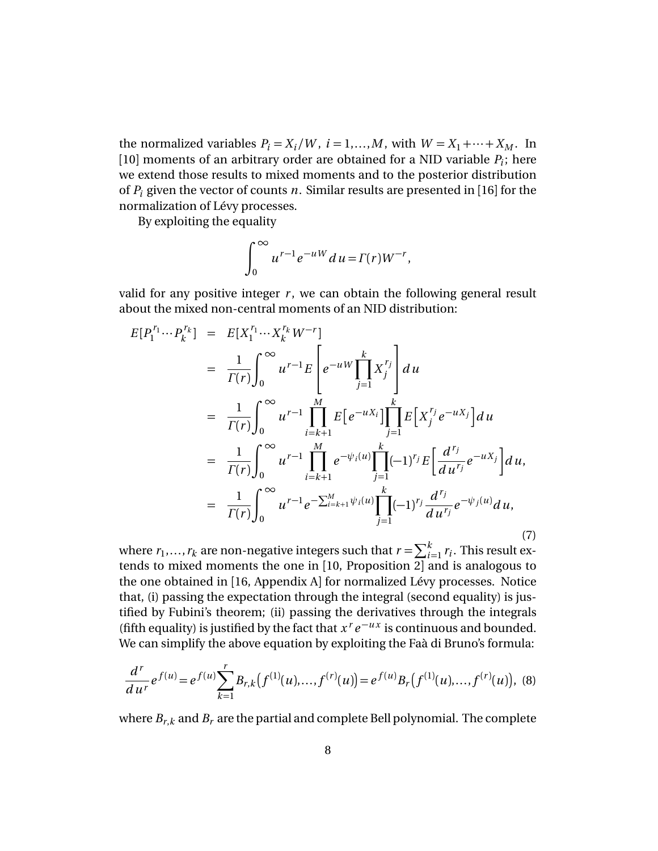the normalized variables  $P_i = X_i/W$ ,  $i = 1,...,M$ , with  $W = X_1 + \cdots + X_M$ . In [10] moments of an arbitrary order are obtained for a NID variable  $P_i$ ; here we extend those results to mixed moments and to the posterior distribution of *P<sup>i</sup>* given the vector of counts *n*. Similar results are presented in [16] for the normalization of Lévy processes.

By exploiting the equality

$$
\int_0^\infty u^{r-1} e^{-uW} du = \Gamma(r) W^{-r},
$$

valid for any positive integer  $r$ , we can obtain the following general result about the mixed non-central moments of an NID distribution:

$$
E[P_1^{r_1} \cdots P_k^{r_k}] = E[X_1^{r_1} \cdots X_k^{r_k} W^{-r}]
$$
  
\n
$$
= \frac{1}{\Gamma(r)} \int_0^{\infty} u^{r-1} E\left[e^{-uW} \prod_{j=1}^k X_j^{r_j}\right] du
$$
  
\n
$$
= \frac{1}{\Gamma(r)} \int_0^{\infty} u^{r-1} \prod_{i=k+1}^M E\left[e^{-uX_i}\right] \prod_{j=1}^k E\left[X_j^{r_j} e^{-uX_j}\right] du
$$
  
\n
$$
= \frac{1}{\Gamma(r)} \int_0^{\infty} u^{r-1} \prod_{i=k+1}^M e^{-\psi_i(u)} \prod_{j=1}^k (-1)^{r_j} E\left[\frac{d^{r_j}}{du^{r_j}} e^{-uX_j}\right] du,
$$
  
\n
$$
= \frac{1}{\Gamma(r)} \int_0^{\infty} u^{r-1} e^{-\sum_{i=k+1}^M \psi_i(u)} \prod_{j=1}^k (-1)^{r_j} \frac{d^{r_j}}{du^{r_j}} e^{-\psi_j(u)} du,
$$
\n(7)

where  $r_1, ..., r_k$  are non-negative integers such that  $r = \sum_{i=1}^{k} r_i$ . This result extends to mixed moments the one in [10, Proposition 2] and is analogous to the one obtained in [16, Appendix A] for normalized Lévy processes. Notice that, (i) passing the expectation through the integral (second equality) is justified by Fubini's theorem; (ii) passing the derivatives through the integrals (fifth equality) is justified by the fact that  $x^r e^{-ux}$  is continuous and bounded. We can simplify the above equation by exploiting the Faà di Bruno's formula:

$$
\frac{d^r}{du^r}e^{f(u)} = e^{f(u)}\sum_{k=1}^r B_{r,k}(f^{(1)}(u),...,f^{(r)}(u)) = e^{f(u)}B_r(f^{(1)}(u),...,f^{(r)}(u)), \quad (8)
$$

where  $B_{r,k}$  and  $B_r$  are the partial and complete Bell polynomial. The complete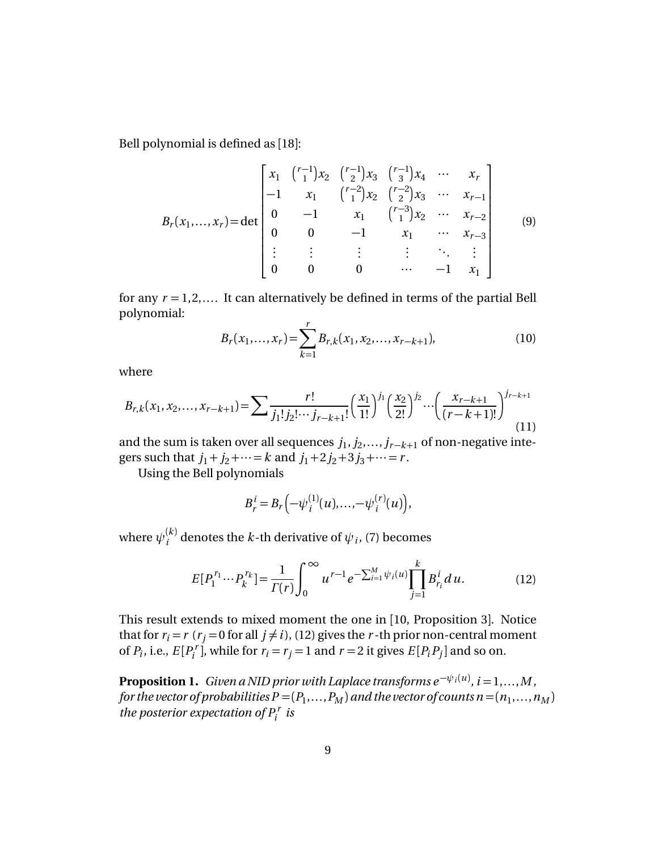Bell polynomial is defined as [18]:

$$
B_{r}(x_{1},...,x_{r}) = \det \begin{bmatrix} x_{1} & {r-1 \choose 1}x_{2} & {r-1 \choose 2}x_{3} & {r-1 \choose 3}x_{4} & \cdots & x_{r} \\ -1 & x_{1} & {r-2 \choose 1}x_{2} & {r-2 \choose 2}x_{3} & \cdots & x_{r-1} \\ 0 & -1 & x_{1} & {r-3 \choose 1}x_{2} & \cdots & x_{r-2} \\ 0 & 0 & -1 & x_{1} & \cdots & x_{r-3} \\ \vdots & \vdots & \vdots & \vdots & \ddots & \vdots \\ 0 & 0 & 0 & \cdots & -1 & x_{1} \end{bmatrix}
$$
(9)

for any  $r = 1, 2, \ldots$  It can alternatively be defined in terms of the partial Bell polynomial:

$$
B_r(x_1, \dots, x_r) = \sum_{k=1}^r B_{r,k}(x_1, x_2, \dots, x_{r-k+1}),
$$
\n(10)

where

$$
B_{r,k}(x_1, x_2, \dots, x_{r-k+1}) = \sum \frac{r!}{j_1! j_2! \cdots j_{r-k+1}!} \left(\frac{x_1}{1!}\right)^{j_1} \left(\frac{x_2}{2!}\right)^{j_2} \cdots \left(\frac{x_{r-k+1}}{(r-k+1)!}\right)^{j_{r-k+1}}
$$
(11)

and the sum is taken over all sequences  $j_1, j_2, \ldots, j_{r-k+1}$  of non-negative integers such that  $j_1 + j_2 + \cdots = k$  and  $j_1 + 2j_2 + 3j_3 + \cdots = r$ .

Using the Bell polynomials

$$
B_r^i = B_r(-\psi_i^{(1)}(u), \ldots, -\psi_i^{(r)}(u)),
$$

where  $\psi^{(k)}_i$  $\psi_i^{(k)}$  denotes the *k*-th derivative of  $\psi_i$ , (7) becomes

$$
E[P_1^{r_1} \cdots P_k^{r_k}] = \frac{1}{\Gamma(r)} \int_0^\infty u^{r-1} e^{-\sum_{i=1}^M \psi_i(u)} \prod_{j=1}^k B_{r_i}^i du.
$$
 (12)

This result extends to mixed moment the one in [10, Proposition 3]. Notice that for  $r_i = r$  ( $r_j = 0$  for all  $j \neq i$ ), (12) gives the *r*-th prior non-central moment of  $P_i$ , i.e.,  $E[P_i^r]$  $P_i^r$ , while for  $r_i = r_j = 1$  and  $r = 2$  it gives  $E[P_i P_j]$  and so on.

**Proposition 1.** *Given a NID prior with Laplace transforms*  $e^{-\psi_i(u)}$ *,*  $i = 1,...,M$  *,* for the vector of probabilities  $P$  = (  $P_1, \ldots, P_M$  ) and the vector of counts  $n$  = (  $n_1, \ldots, n_M$  ) *the posterior expectation of*  $P_i^r$  *is*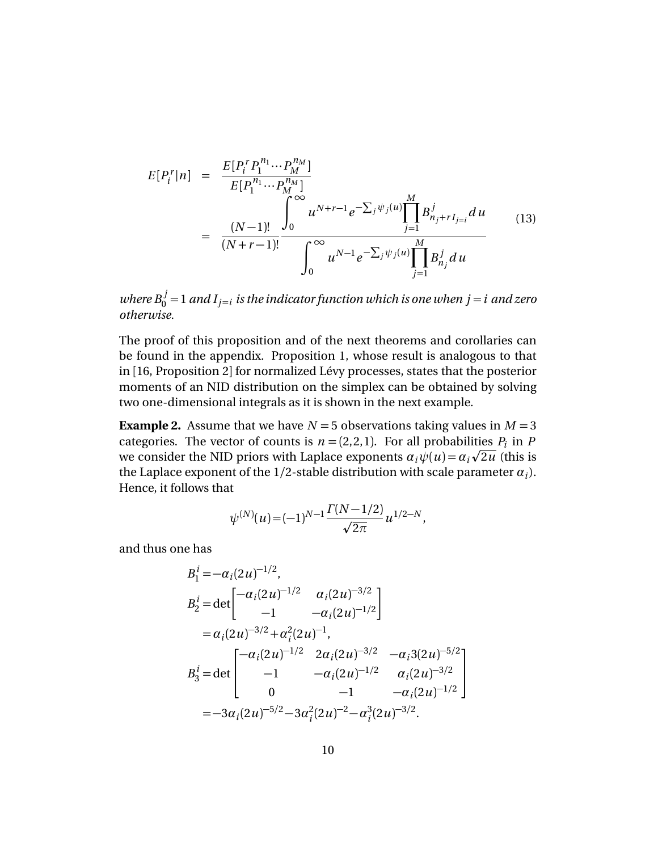$$
E[P_i^r|n] = \frac{E[P_i^r P_1^{n_1} \cdots P_M^{n_M}]}{E[P_1^{n_1} \cdots P_M^{n_M}]} \\
= \frac{(N-1)!}{(N+r-1)!} \frac{\int_0^\infty u^{N+r-1} e^{-\sum_j \psi_j(u)} \prod_{j=1}^M B_{n_j+r}^j I_{j=i}}{u^{N-1} e^{-\sum_j \psi_j(u)}} \prod_{j=1}^M B_{n_j}^j du
$$
\n(13)

*where*  $B_0^j = 1$  and  $I_{j=i}$  is the indicator function which is one when  $j = i$  and zero *otherwise.*

The proof of this proposition and of the next theorems and corollaries can be found in the appendix. Proposition 1, whose result is analogous to that in [16, Proposition 2] for normalized Lévy processes, states that the posterior moments of an NID distribution on the simplex can be obtained by solving two one-dimensional integrals as it is shown in the next example.

**Example 2.** Assume that we have  $N = 5$  observations taking values in  $M = 3$ categories. The vector of counts is  $n = (2,2,1)$ . For all probabilities  $P_i$  in P we consider the NID priors with Laplace exponents  $\alpha_i \psi(u) = \alpha_i \sqrt{2u}$  (this is the Laplace exponent of the  $1/2$ -stable distribution with scale parameter  $\alpha_i$ ). Hence, it follows that

$$
\psi^{(N)}(u) = (-1)^{N-1} \frac{\Gamma(N-1/2)}{\sqrt{2\pi}} u^{1/2-N},
$$

and thus one has

$$
B_1^i = -\alpha_i (2u)^{-1/2},
$$
  
\n
$$
B_2^i = \det \begin{bmatrix} -\alpha_i (2u)^{-1/2} & \alpha_i (2u)^{-3/2} \\ -1 & -\alpha_i (2u)^{-1/2} \end{bmatrix}
$$
  
\n
$$
= \alpha_i (2u)^{-3/2} + \alpha_i^2 (2u)^{-1},
$$
  
\n
$$
B_3^i = \det \begin{bmatrix} -\alpha_i (2u)^{-1/2} & 2\alpha_i (2u)^{-3/2} & -\alpha_i 3(2u)^{-5/2} \\ -1 & -\alpha_i (2u)^{-1/2} & \alpha_i (2u)^{-3/2} \\ 0 & -1 & -\alpha_i (2u)^{-1/2} \end{bmatrix}
$$
  
\n
$$
= -3\alpha_i (2u)^{-5/2} - 3\alpha_i^2 (2u)^{-2} - \alpha_i^3 (2u)^{-3/2}.
$$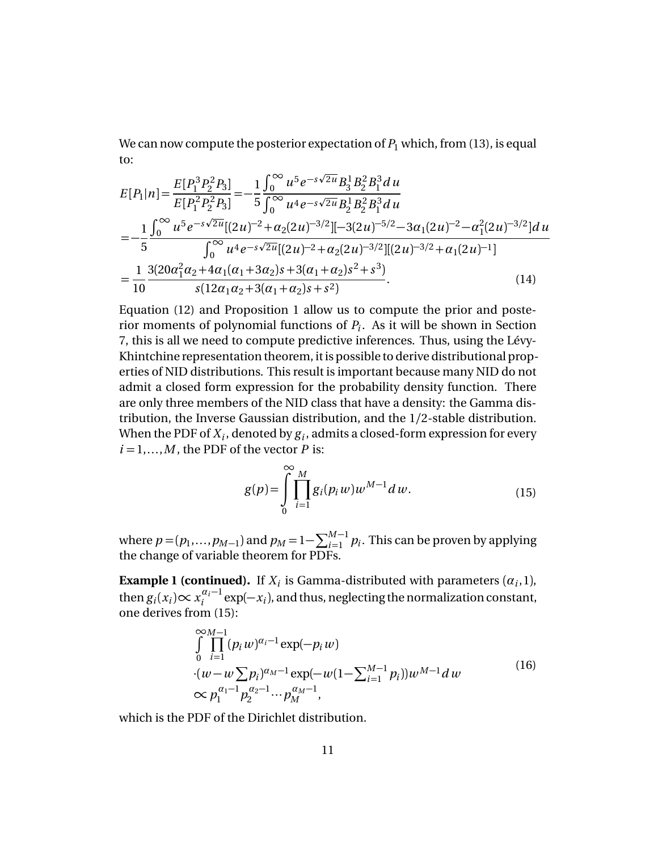We can now compute the posterior expectation of  $P_1$  which, from (13), is equal to:

$$
E[P_1|n] = \frac{E[P_1^3 P_2^2 P_3]}{E[P_1^2 P_2^2 P_3]} = -\frac{1}{5} \frac{\int_0^\infty u^5 e^{-s\sqrt{2u}} B_3^1 B_2^2 B_1^3 du}{\int_0^\infty u^4 e^{-s\sqrt{2u}} B_2^1 B_2^2 B_1^3 du}
$$
  
= 
$$
-\frac{1}{5} \frac{\int_0^\infty u^5 e^{-s\sqrt{2u}} [(2u)^{-2} + \alpha_2 (2u)^{-3/2}] [-3(2u)^{-5/2} - 3\alpha_1 (2u)^{-2} - \alpha_1^2 (2u)^{-3/2}] du}{\int_0^\infty u^4 e^{-s\sqrt{2u}} [(2u)^{-2} + \alpha_2 (2u)^{-3/2}] [(2u)^{-3/2} + \alpha_1 (2u)^{-1}]}
$$
  
= 
$$
\frac{1}{10} \frac{3(20\alpha_1^2 \alpha_2 + 4\alpha_1 (\alpha_1 + 3\alpha_2)s + 3(\alpha_1 + \alpha_2)s^2 + s^3)}{s(12\alpha_1 \alpha_2 + 3(\alpha_1 + \alpha_2)s + s^2)}.
$$
(14)

Equation (12) and Proposition 1 allow us to compute the prior and posterior moments of polynomial functions of *P<sup>i</sup>* . As it will be shown in Section 7, this is all we need to compute predictive inferences. Thus, using the Lévy-Khintchine representation theorem, it is possible to derive distributional properties of NID distributions. This result is important because many NID do not admit a closed form expression for the probability density function. There are only three members of the NID class that have a density: the Gamma distribution, the Inverse Gaussian distribution, and the 1*/*2-stable distribution. When the PDF of  $X_i$ , denoted by  $g_i$ , admits a closed-form expression for every  $i = 1, \ldots, M$ , the PDF of the vector *P* is:

$$
g(p) = \int_{0}^{\infty} \prod_{i=1}^{M} g_i(p_i w) w^{M-1} dw.
$$
 (15)

where  $p = (p_1, ..., p_{M-1})$  and  $p_M = 1 - \sum_{i=1}^{M-1} p_i$ . This can be proven by applying the change of variable theorem for PDFs.

**Example 1 (continued).** If  $X_i$  is Gamma-distributed with parameters  $(a_i, 1)$ , then  $g_i(x_i) \propto x_i^{\alpha_i-1}$  $e_i^{\alpha_i-1}$  exp( $-x_i$ ), and thus, neglecting the normalization constant, one derives from (15):

$$
\int_{0}^{\infty} \prod_{i=1}^{M-1} (p_i w)^{\alpha_i - 1} \exp(-p_i w) \n\cdot (w - w \sum p_i)^{\alpha_M - 1} \exp(-w(1 - \sum_{i=1}^{M-1} p_i)) w^{M-1} dw \n\infty p_1^{\alpha_1 - 1} p_2^{\alpha_2 - 1} \cdots p_M^{\alpha_M - 1},
$$
\n(16)

which is the PDF of the Dirichlet distribution.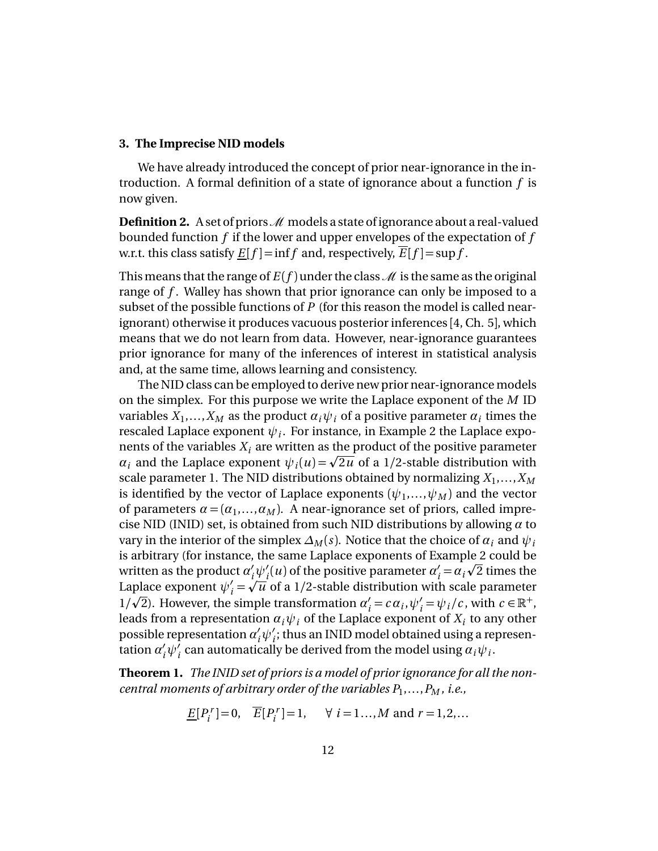#### **3. The Imprecise NID models**

We have already introduced the concept of prior near-ignorance in the introduction. A formal definition of a state of ignorance about a function *f* is now given.

**Definition 2.** A set of priors  $\mathcal{M}$  models a state of ignorance about a real-valued bounded function *f* if the lower and upper envelopes of the expectation of *f* w.r.t. this class satisfy  $E[f] = \inf f$  and, respectively,  $E[f] = \sup f$ .

This means that the range of  $E(f)$  under the class  $\mathcal M$  is the same as the original range of *f* . Walley has shown that prior ignorance can only be imposed to a subset of the possible functions of *P* (for this reason the model is called nearignorant) otherwise it produces vacuous posterior inferences [4, Ch. 5], which means that we do not learn from data. However, near-ignorance guarantees prior ignorance for many of the inferences of interest in statistical analysis and, at the same time, allows learning and consistency.

The NID class can be employed to derive new prior near-ignorance models on the simplex. For this purpose we write the Laplace exponent of the *M* ID variables  $X_1,...,X_M$  as the product  $a_i\psi_i$  of a positive parameter  $a_i$  times the rescaled Laplace exponent  $\psi_i.$  For instance, in Example 2 the Laplace exponents of the variables  $X_i$  are written as the product of the positive parameter *α*<sub>*i*</sub> and the variables  $X_i$  are written as the product of the positive parameter  $\alpha_i$  and the Laplace exponent  $\psi_i(u) = \sqrt{2u}$  of a 1/2-stable distribution with scale parameter 1. The NID distributions obtained by normalizing  $X_1, \ldots, X_M$ is identified by the vector of Laplace exponents  $(\psi_1, ..., \psi_M)$  and the vector of parameters  $\alpha = (\alpha_1, ..., \alpha_M)$ . A near-ignorance set of priors, called imprecise NID (INID) set, is obtained from such NID distributions by allowing *α* to vary in the interior of the simplex  $\Delta_M(s)$ . Notice that the choice of  $\alpha_i$  and  $\psi_i$ is arbitrary (for instance, the same Laplace exponents of Example 2 could be p written as the product  $\alpha'_i\psi'_i(u)$  of the positive parameter  $\alpha'_i$  $\alpha'_i \psi'_i(u)$  of the positive parameter  $\alpha'_i = \alpha_i \sqrt{2}$  times the Laplace exponent  $\psi'_i = \sqrt{u}$  of a 1/2-stable distribution with scale parameter  $1/\sqrt{2}$ ). However, the simple transformation  $\alpha'$  $y'_{i} = c \alpha_{i}, \psi'_{i} = \psi_{i}/c$ , with  $c \in \mathbb{R}^{+}$ , leads from a representation  $a_i\psi_i$  of the Laplace exponent of  $X_i$  to any other possible representation  $\alpha'_i \psi'_i$ ; thus an INID model obtained using a representation  $\alpha'_i\psi'_i$  can automatically be derived from the model using  $\alpha_i\psi_i$ .

**Theorem 1.** *The INID set of priors is a model of prior ignorance for all the noncentral moments of arbitrary order of the variables P*<sup>1</sup> ,...,*P<sup>M</sup> , i.e.,*

$$
\underline{E}[P_i^r] = 0, \quad \overline{E}[P_i^r] = 1, \quad \forall \ i = 1... , M \text{ and } r = 1, 2, ...
$$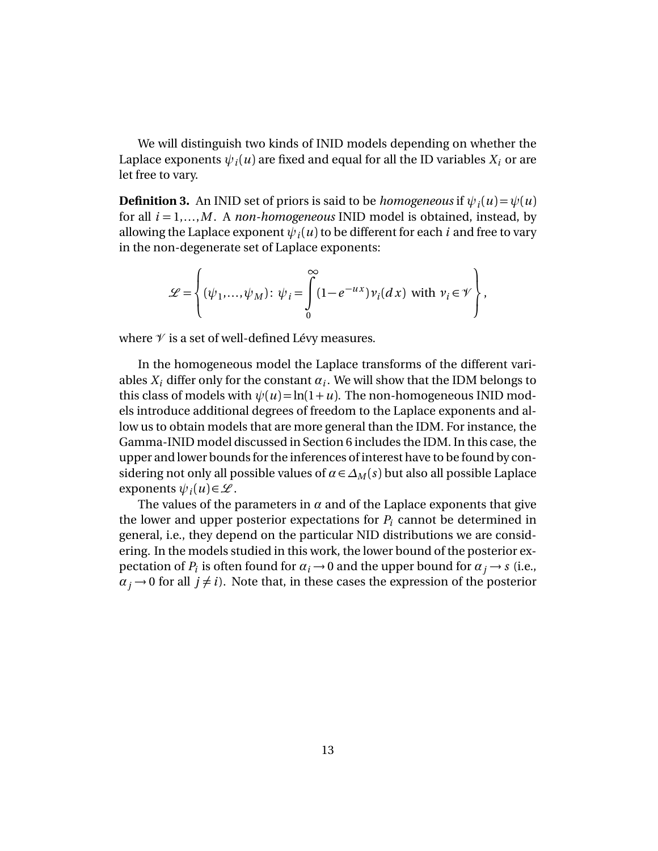We will distinguish two kinds of INID models depending on whether the Laplace exponents  $\psi_i(u)$  are fixed and equal for all the ID variables  $X_i$  or are let free to vary.

 ${\bf Definition~3.~}$  An INID set of priors is said to be  $homogeneous$  if  $\psi_i(u) \! = \! \psi(u)$ for all *i* = 1,...,*M* . A *non-homogeneous* INID model is obtained, instead, by allowing the Laplace exponent  $\psi_i(u)$  to be different for each  $i$  and free to vary in the non-degenerate set of Laplace exponents:

$$
\mathcal{L} = \left\{ (\psi_1, ..., \psi_M) \colon \psi_i = \int\limits_0^\infty (1 - e^{-ux}) \nu_i(dx) \text{ with } \nu_i \in \mathcal{V} \right\},\
$$

where  $\mathcal V$  is a set of well-defined Lévy measures.

In the homogeneous model the Laplace transforms of the different variables  $X_i$  differ only for the constant  $\alpha_i$ . We will show that the IDM belongs to this class of models with  $\psi(u) = \ln(1+u)$ . The non-homogeneous INID models introduce additional degrees of freedom to the Laplace exponents and allow us to obtain models that are more general than the IDM. For instance, the Gamma-INID model discussed in Section 6 includes the IDM. In this case, the upper and lower bounds for the inferences of interest have to be found by considering not only all possible values of  $\alpha \in \Delta_M(s)$  but also all possible Laplace exponents  $\psi_i(u) \in \mathcal{L}$ .

The values of the parameters in  $\alpha$  and of the Laplace exponents that give the lower and upper posterior expectations for  $P_i$  cannot be determined in general, i.e., they depend on the particular NID distributions we are considering. In the models studied in this work, the lower bound of the posterior expectation of  $P_i$  is often found for  $\alpha_i \rightarrow 0$  and the upper bound for  $\alpha_j \rightarrow s$  (i.e.,  $\alpha_j \rightarrow 0$  for all  $j \neq i$ ). Note that, in these cases the expression of the posterior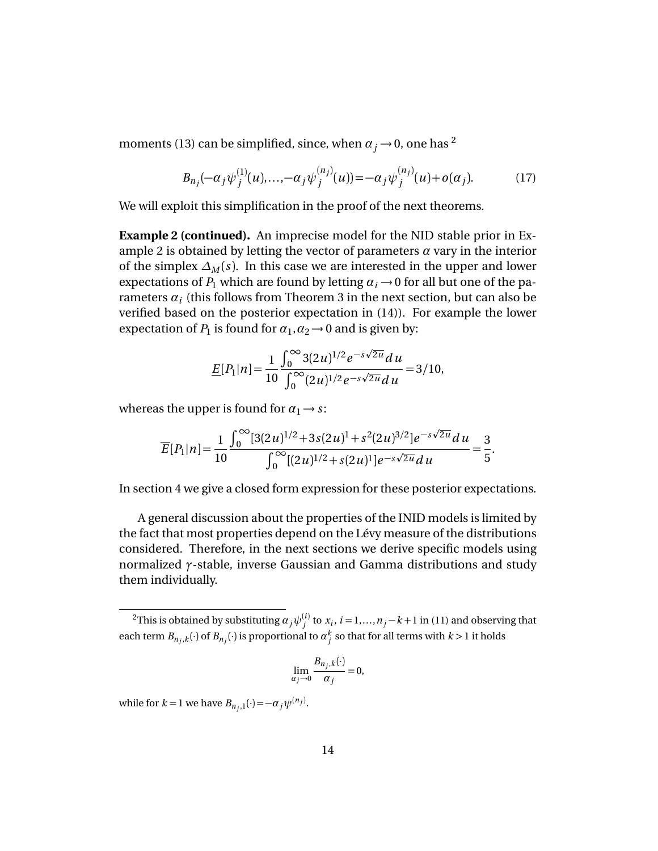moments (13) can be simplified, since, when  $\alpha_j \rightarrow 0$ , one has <sup>2</sup>

$$
B_{n_j}(-\alpha_j \psi_j^{(1)}(u), \dots, -\alpha_j \psi_j^{(n_j)}(u)) = -\alpha_j \psi_j^{(n_j)}(u) + o(\alpha_j). \tag{17}
$$

We will exploit this simplification in the proof of the next theorems.

**Example 2 (continued).** An imprecise model for the NID stable prior in Example 2 is obtained by letting the vector of parameters *α* vary in the interior of the simplex  $\Delta_M(s)$ . In this case we are interested in the upper and lower expectations of  $P_1$  which are found by letting  $\alpha_i \rightarrow 0$  for all but one of the parameters  $\alpha_i$  (this follows from Theorem 3 in the next section, but can also be verified based on the posterior expectation in (14)). For example the lower expectation of  $P_1$  is found for  $\alpha_1, \alpha_2 \rightarrow 0$  and is given by:

$$
\underline{E}[P_1|n] = \frac{1}{10} \frac{\int_0^\infty 3(2u)^{1/2} e^{-s\sqrt{2u}} du}{\int_0^\infty (2u)^{1/2} e^{-s\sqrt{2u}} du} = 3/10,
$$

whereas the upper is found for  $\alpha_1 \rightarrow s$ :

$$
\overline{E}[P_1|n] = \frac{1}{10} \frac{\int_0^\infty [3(2u)^{1/2} + 3s(2u)^1 + s^2(2u)^{3/2}]e^{-s\sqrt{2u}} du}{\int_0^\infty [(2u)^{1/2} + s(2u)^1]e^{-s\sqrt{2u}} du} = \frac{3}{5}.
$$

In section 4 we give a closed form expression for these posterior expectations.

A general discussion about the properties of the INID models is limited by the fact that most properties depend on the Lévy measure of the distributions considered. Therefore, in the next sections we derive specific models using normalized *γ*-stable, inverse Gaussian and Gamma distributions and study them individually.

$$
\lim_{\alpha_j \to 0} \frac{B_{n_j,k}(\cdot)}{\alpha_j} = 0,
$$

while for  $k = 1$  we have  $B_{n_j,1}(\cdot) = -\alpha_j \psi^{(n_j)}$ .

<sup>&</sup>lt;sup>2</sup>This is obtained by substituting  $\alpha_j \psi_j^{(i)}$  to  $x_i$ ,  $i = 1,...,n_j - k + 1$  in (11) and observing that each term  $B_{n_j,k}(\cdot)$  of  $B_{n_j}(\cdot)$  is proportional to  $\alpha_j^k$  so that for all terms with  $k > 1$  it holds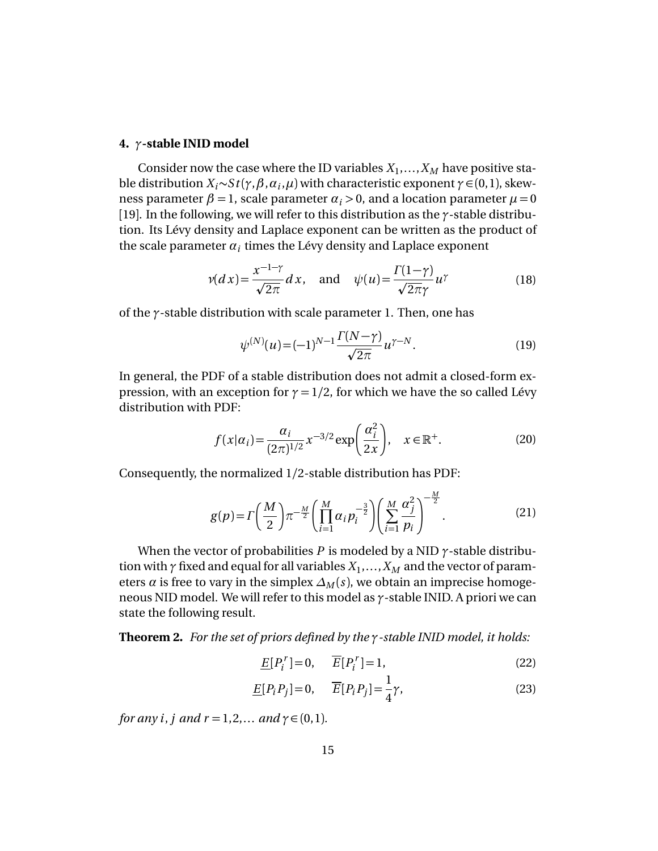### **4.** *γ***-stable INID model**

Consider now the case where the ID variables  $X_1, \ldots, X_M$  have positive stable distribution  $X_i \sim S t(\gamma, \beta, \alpha_i, \mu)$  with characteristic exponent  $\gamma \in (0,1)$ , skewness parameter  $\beta = 1$ , scale parameter  $\alpha_i > 0$ , and a location parameter  $\mu = 0$ [19]. In the following, we will refer to this distribution as the *γ*-stable distribution. Its Lévy density and Laplace exponent can be written as the product of the scale parameter  $a_i$  times the Lévy density and Laplace exponent

$$
\nu(dx) = \frac{x^{-1-\gamma}}{\sqrt{2\pi}} dx, \text{ and } \psi(u) = \frac{\Gamma(1-\gamma)}{\sqrt{2\pi}\gamma} u^{\gamma}
$$
(18)

of the *γ*-stable distribution with scale parameter 1. Then, one has

$$
\psi^{(N)}(u) = (-1)^{N-1} \frac{\Gamma(N-\gamma)}{\sqrt{2\pi}} u^{\gamma-N}.
$$
\n(19)

In general, the PDF of a stable distribution does not admit a closed-form expression, with an exception for  $\gamma = 1/2$ , for which we have the so called Lévy distribution with PDF:

$$
f(x|\alpha_i) = \frac{\alpha_i}{(2\pi)^{1/2}} x^{-3/2} \exp\left(\frac{\alpha_i^2}{2x}\right), \quad x \in \mathbb{R}^+.
$$
 (20)

Consequently, the normalized 1/2-stable distribution has PDF:

$$
g(p) = \Gamma\left(\frac{M}{2}\right)\pi^{-\frac{M}{2}}\left(\prod_{i=1}^{M}\alpha_{i}p_{i}^{-\frac{3}{2}}\right)\left(\sum_{i=1}^{M}\frac{\alpha_{j}^{2}}{p_{i}}\right)^{-\frac{M}{2}}.
$$
 (21)

When the vector of probabilities  $P$  is modeled by a NID  $\gamma$ -stable distribution with *γ* fixed and equal for all variables *X*<sup>1</sup> ,...,*X<sup>M</sup>* and the vector of parameters  $\alpha$  is free to vary in the simplex  $\Delta_M(s)$ , we obtain an imprecise homogeneous NID model. We will refer to this model as *γ*-stable INID. A priori we can state the following result.

**Theorem 2.** *For the set of priors defined by the γ-stable INID model, it holds:*

$$
\underline{E}[P_i^r] = 0, \qquad \overline{E}[P_i^r] = 1,\tag{22}
$$

$$
\underline{E}[P_i P_j] = 0, \qquad \overline{E}[P_i P_j] = \frac{1}{4}\gamma,\tag{23}
$$

*for any i*, *j* and  $r = 1, 2, ...$  *and*  $\gamma \in (0, 1)$ *.*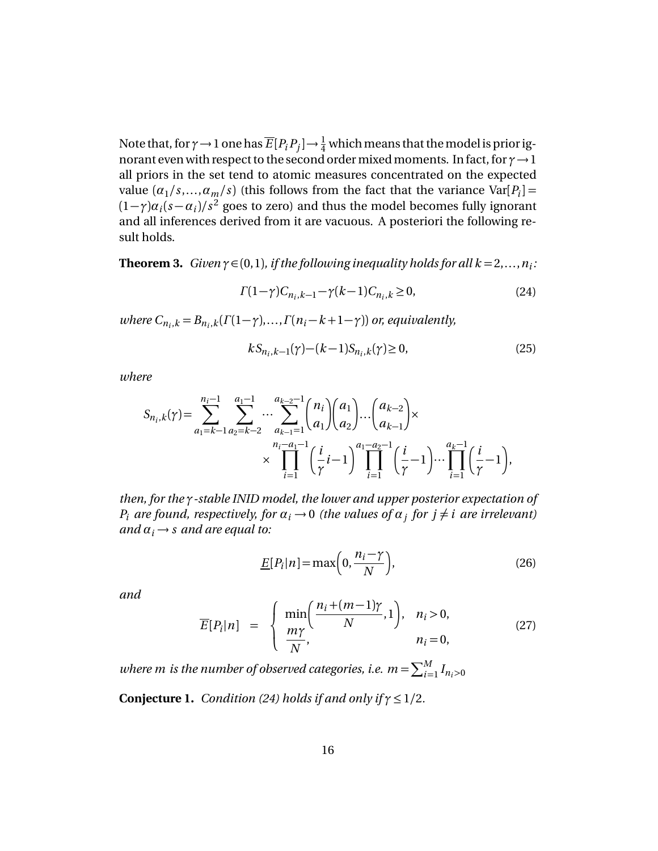Note that, for  $\gamma$   $\rightarrow$  1 one has  $\overline{E}[P_iP_j]$   $\rightarrow$   $\frac{1}{4}$  which means that the model is prior ignorant even with respect to the second ordermixedmoments. In fact, for *γ*→1 all priors in the set tend to atomic measures concentrated on the expected value  $(a_1/s,...,a_m/s)$  (this follows from the fact that the variance  $Var[P_i]$  =  $(1-\gamma)a_i(s-a_i)/s^2$  goes to zero) and thus the model becomes fully ignorant and all inferences derived from it are vacuous. A posteriori the following result holds.

**Theorem 3.** *Given*  $\gamma \in (0,1)$ , *if the following inequality holds for all*  $k = 2,...,n_i$ :

$$
\Gamma(1-\gamma)C_{n_i,k-1} - \gamma(k-1)C_{n_i,k} \ge 0,
$$
\n(24)

*where*  $C_{n_i,k} = B_{n_i,k}(\Gamma(1-\gamma),\ldots,\Gamma(n_i-k+1-\gamma))$  or, equivalently,

$$
kS_{n_i,k-1}(\gamma) - (k-1)S_{n_i,k}(\gamma) \ge 0,
$$
\n(25)

*where*

$$
S_{n_i,k}(\gamma) = \sum_{a_1 = k-1}^{n_i-1} \sum_{a_2 = k-2}^{a_1-1} \cdots \sum_{a_{k-1} = 1}^{a_{k-2}-1} {n_i \choose a_1} {a_1 \choose a_2} \cdots {a_{k-2} \choose a_{k-1}} \times \\ \times \prod_{i=1}^{n_i-a_1-1} \left(\frac{i}{\gamma}i-1\right)^{a_1-a_2-1} \left(\frac{i}{\gamma}-1\right) \cdots \prod_{i=1}^{a_k-1} \left(\frac{i}{\gamma}-1\right),
$$

*then, for the γ-stable INID model, the lower and upper posterior expectation of P*<sub>*i*</sub> are found, respectively, for  $\alpha_i \rightarrow 0$  (the values of  $\alpha_j$  for  $j \neq i$  are irrelevant) *and*  $\alpha_i \rightarrow s$  *and are equal to:* 

$$
\underline{E}[P_i|n] = \max\left(0, \frac{n_i - \gamma}{N}\right),\tag{26}
$$

*and*

$$
\overline{E}[P_i|n] = \begin{cases} \min\left(\frac{n_i + (m-1)\gamma}{N}, 1\right), & n_i > 0, \\ \frac{m\gamma}{N}, & n_i = 0, \end{cases}
$$
\n(27)

where  $m$  is the number of observed categories, i.e.  $m = \sum_{i=1}^{M} I_{n_i>0}$ 

**Conjecture 1.** *Condition (24) holds if and only if*  $\gamma \leq 1/2$ *.*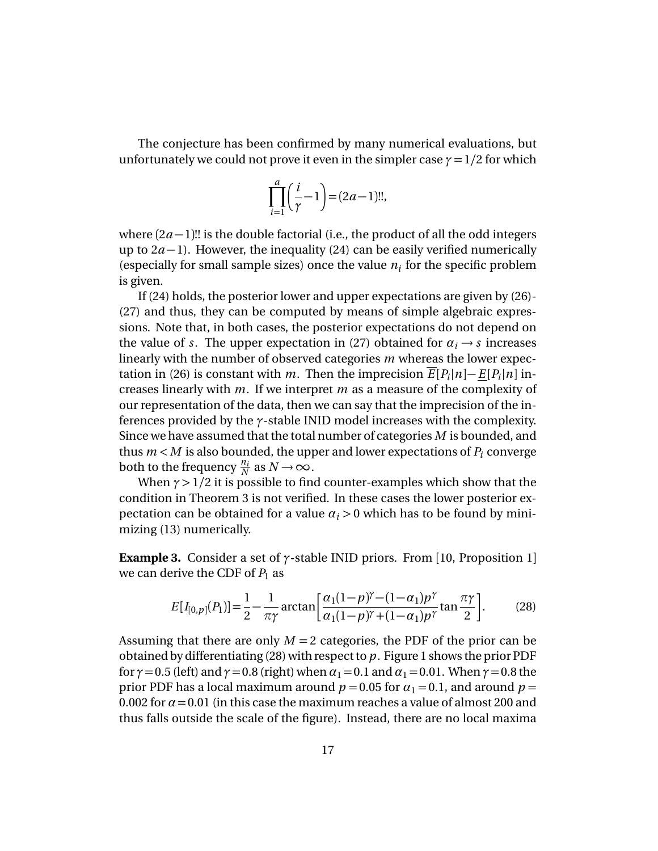The conjecture has been confirmed by many numerical evaluations, but unfortunately we could not prove it even in the simpler case  $\gamma = 1/2$  for which

$$
\prod_{i=1}^{a} \left(\frac{i}{\gamma} - 1\right) = (2a - 1)!!
$$

where  $(2a-1)!!$  is the double factorial (i.e., the product of all the odd integers up to 2*a* −1). However, the inequality (24) can be easily verified numerically (especially for small sample sizes) once the value  $n_i$  for the specific problem is given.

If (24) holds, the posterior lower and upper expectations are given by (26)- (27) and thus, they can be computed by means of simple algebraic expressions. Note that, in both cases, the posterior expectations do not depend on the value of *s*. The upper expectation in (27) obtained for  $\alpha_i \rightarrow s$  increases linearly with the number of observed categories *m* whereas the lower expectation in (26) is constant with *m*. Then the imprecision  $\overline{E}[P_i|n] - \underline{E}[P_i|n]$  increases linearly with *m*. If we interpret *m* as a measure of the complexity of our representation of the data, then we can say that the imprecision of the inferences provided by the *γ*-stable INID model increases with the complexity. Since we have assumed that the total number of categories *M* is bounded, and thus  $m < M$  is also bounded, the upper and lower expectations of  $P_i$  converge both to the frequency  $\frac{n_i}{N}$  as  $N \to \infty$ .

When  $\gamma$  > 1/2 it is possible to find counter-examples which show that the condition in Theorem 3 is not verified. In these cases the lower posterior expectation can be obtained for a value  $\alpha_i > 0$  which has to be found by minimizing (13) numerically.

**Example 3.** Consider a set of *γ*-stable INID priors. From [10, Proposition 1] we can derive the CDF of  $P_1$  as

$$
E[I_{[0,p]}(P_1)] = \frac{1}{2} - \frac{1}{\pi \gamma} \arctan\left[\frac{\alpha_1 (1 - p)^{\gamma} - (1 - \alpha_1) p^{\gamma}}{\alpha_1 (1 - p)^{\gamma} + (1 - \alpha_1) p^{\gamma}} \tan \frac{\pi \gamma}{2}\right].
$$
 (28)

Assuming that there are only  $M = 2$  categories, the PDF of the prior can be obtained by differentiating (28) with respect to *p*. Figure 1 shows the prior PDF for  $\gamma$  = 0.5 (left) and  $\gamma$  = 0.8 (right) when  $\alpha_1$  = 0.1 and  $\alpha_1$  = 0.01. When  $\gamma$  = 0.8 the prior PDF has a local maximum around  $p = 0.05$  for  $\alpha_1 = 0.1$ , and around  $p = 0.1$ 0.002 for  $\alpha$  = 0.01 (in this case the maximum reaches a value of almost 200 and thus falls outside the scale of the figure). Instead, there are no local maxima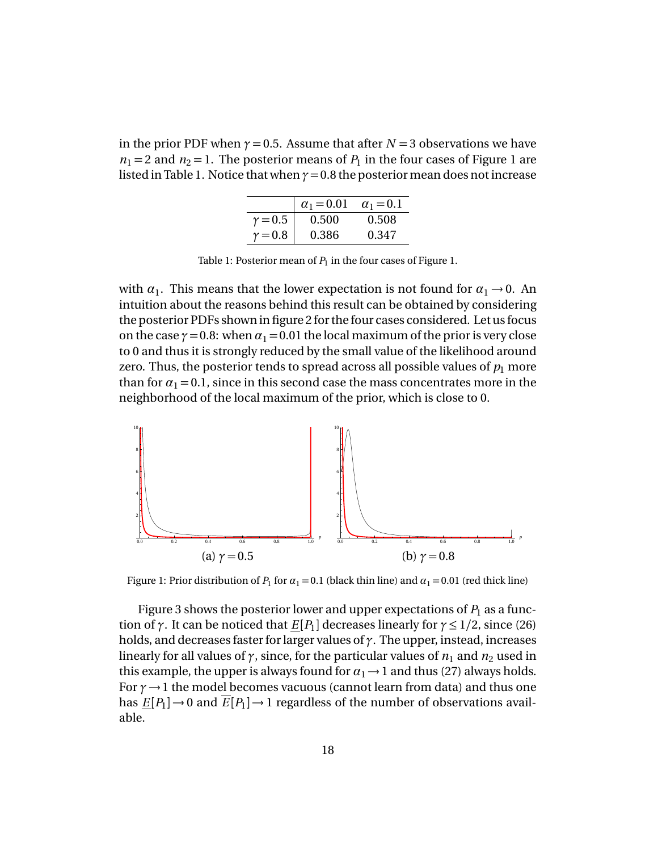in the prior PDF when  $\gamma = 0.5$ . Assume that after  $N = 3$  observations we have  $n_1 = 2$  and  $n_2 = 1$ . The posterior means of  $P_1$  in the four cases of Figure 1 are listed in Table 1. Notice that when  $\gamma = 0.8$  the posterior mean does not increase

|                | $\alpha_1 = 0.01$ | $\alpha_1 = 0.1$ |
|----------------|-------------------|------------------|
| $\gamma = 0.5$ | 0.500             | 0.508            |
| $\gamma = 0.8$ | 0.386             | 0.347            |

Table 1: Posterior mean of  $P_1$  in the four cases of Figure 1.

with  $\alpha_1$ . This means that the lower expectation is not found for  $\alpha_1 \rightarrow 0$ . An intuition about the reasons behind this result can be obtained by considering the posterior PDFs shown in figure 2 for the four cases considered. Let us focus on the case  $\gamma$  = 0.8: when  $\alpha_1$  = 0.01 the local maximum of the prior is very close to 0 and thus it is strongly reduced by the small value of the likelihood around zero. Thus, the posterior tends to spread across all possible values of  $p_1$  more than for  $\alpha_1 = 0.1$ , since in this second case the mass concentrates more in the neighborhood of the local maximum of the prior, which is close to 0.



Figure 1: Prior distribution of  $P_1$  for  $\alpha_1 = 0.1$  (black thin line) and  $\alpha_1 = 0.01$  (red thick line)

Figure 3 shows the posterior lower and upper expectations of  $P_1$  as a function of  $\gamma$ . It can be noticed that  $\underline{E}[P_1]$  decreases linearly for  $\gamma \leq 1/2$ , since (26) holds, and decreases faster for larger values of *γ*. The upper, instead, increases linearly for all values of  $\gamma$ , since, for the particular values of  $n_1$  and  $n_2$  used in this example, the upper is always found for  $\alpha_1 \rightarrow 1$  and thus (27) always holds. For *γ*→1 the model becomes vacuous (cannot learn from data) and thus one has  $\underline{E}[P_1] \to 0$  and  $\overline{E}[P_1] \to 1$  regardless of the number of observations available.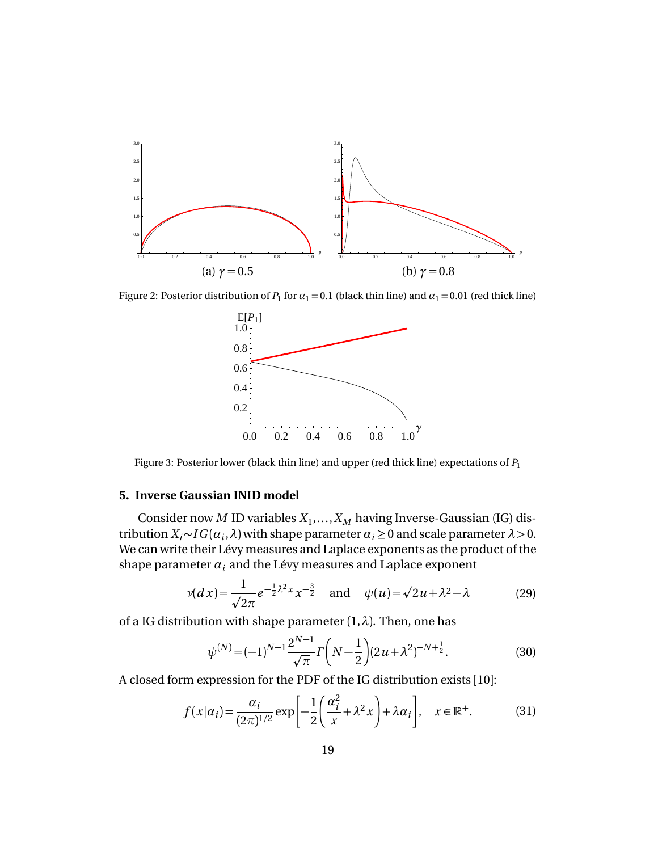

Figure 2: Posterior distribution of  $P_1$  for  $\alpha_1 = 0.1$  (black thin line) and  $\alpha_1 = 0.01$  (red thick line)



Figure 3: Posterior lower (black thin line) and upper (red thick line) expectations of *P*<sup>1</sup>

## **5. Inverse Gaussian INID model**

Consider now *M* ID variables  $X_1, \ldots, X_M$  having Inverse-Gaussian (IG) distribution  $X_i \sim IG(\alpha_i, \lambda)$  with shape parameter  $\alpha_i \ge 0$  and scale parameter  $\lambda > 0$ . We can write their Lévy measures and Laplace exponents as the product of the shape parameter  $\alpha_i$  and the Lévy measures and Laplace exponent

$$
\nu(dx) = \frac{1}{\sqrt{2\pi}} e^{-\frac{1}{2}\lambda^2 x} x^{-\frac{3}{2}} \quad \text{and} \quad \psi(u) = \sqrt{2u + \lambda^2} - \lambda \tag{29}
$$

of a IG distribution with shape parameter (1,*λ*). Then, one has

$$
\psi^{(N)} = (-1)^{N-1} \frac{2^{N-1}}{\sqrt{\pi}} \Gamma\left(N - \frac{1}{2}\right) (2u + \lambda^2)^{-N + \frac{1}{2}}.
$$
\n(30)

A closed form expression for the PDF of the IG distribution exists [10]:

$$
f(x|\alpha_i) = \frac{\alpha_i}{(2\pi)^{1/2}} \exp\left[-\frac{1}{2}\left(\frac{\alpha_i^2}{x} + \lambda^2 x\right) + \lambda \alpha_i\right], \quad x \in \mathbb{R}^+. \tag{31}
$$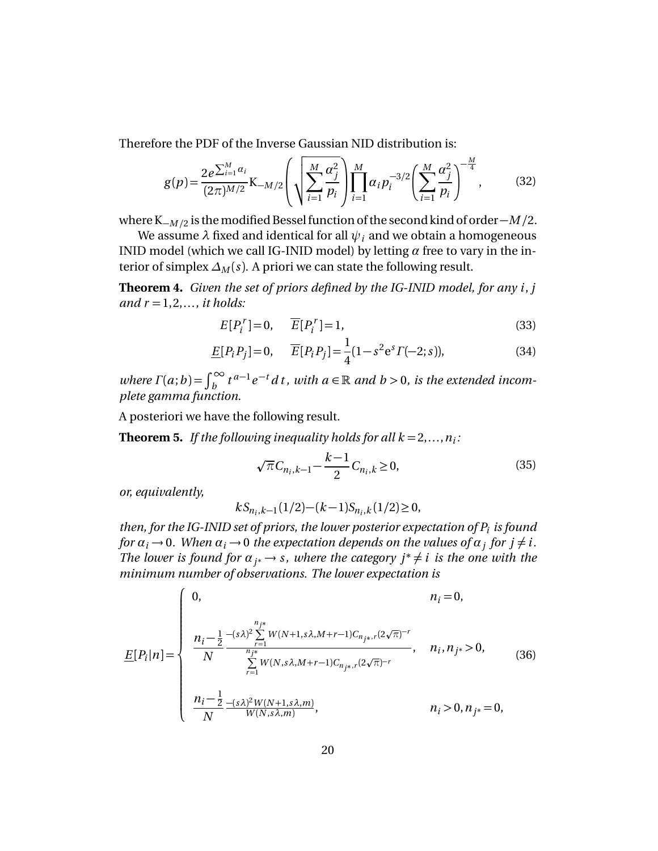Therefore the PDF of the Inverse Gaussian NID distribution is:

$$
g(p) = \frac{2e^{\sum_{i=1}^{M} \alpha_i}}{(2\pi)^{M/2}} K_{-M/2} \left( \sqrt{\sum_{i=1}^{M} \frac{\alpha_i^2}{p_i}} \right) \prod_{i=1}^{M} \alpha_i p_i^{-3/2} \left( \sum_{i=1}^{M} \frac{\alpha_i^2}{p_i} \right)^{-\frac{M}{4}},
$$
(32)

where K−*<sup>M</sup> /*<sup>2</sup> is themodified Bessel function of the second kind of order −*M /*2.

We assume  $\lambda$  fixed and identical for all  $\psi_i$  and we obtain a homogeneous INID model (which we call IG-INID model) by letting *α* free to vary in the interior of simplex  $\Delta_M(s)$ . A priori we can state the following result.

**Theorem 4.** *Given the set of priors defined by the IG-INID model, for any i*, *j and*  $r = 1, 2, \ldots$ *, it holds:* 

$$
E[P_i^r] = 0, \quad \overline{E}[P_i^r] = 1,\tag{33}
$$

$$
\underline{E}[P_i P_j] = 0, \quad \overline{E}[P_i P_j] = \frac{1}{4}(1 - s^2 e^s \Gamma(-2; s)), \tag{34}
$$

*where*  $\Gamma(a;b) = \int_b^{\infty} t^{a-1}e^{-t} dt$ , with  $a \in \mathbb{R}$  and  $b > 0$ , is the extended incom*plete gamma function.*

A posteriori we have the following result.

**Theorem 5.** If the following inequality holds for all  $k = 2, \ldots, n_i$ :

$$
\sqrt{\pi}C_{n_i,k-1} - \frac{k-1}{2}C_{n_i,k} \ge 0,
$$
\n(35)

*or, equivalently,*

$$
kS_{n_i,k-1}(1/2)-(k-1)S_{n_i,k}(1/2)\!\ge\!0,
$$

*then, for the IG-INID set of priors, the lower posterior expectation of P<sup>i</sup> is found for*  $\alpha_i \rightarrow 0$ . When  $\alpha_i \rightarrow 0$  the expectation depends on the values of  $\alpha_j$  for  $j \neq i$ . *The lower is found for*  $\alpha_{j^*} \to s$ , where the category  $j^* \neq i$  is the one with the *minimum number of observations. The lower expectation is*

$$
\underline{E}[P_i|n] = \begin{cases}\n0, & n_i = 0, \\
\frac{n_i - \frac{1}{2} - (s\lambda)^2 \sum_{r=1}^{n_j*} W(N+1, s\lambda, M+r-1)C_{n_{j*},r}(2\sqrt{\pi})^{-r}}{N}, & n_i, n_{j*} > 0, \\
\sum_{r=1}^{n_{j*}} W(N, s\lambda, M+r-1)C_{n_{j*},r}(2\sqrt{\pi})^{-r}, & n_i, n_{j*} > 0, \\
\frac{n_i - \frac{1}{2}}{N} - \frac{(s\lambda)^2 W(N+1, s\lambda, m)}{W(N, s\lambda, m)}, & n_i > 0, n_{j*} = 0,\n\end{cases}
$$
\n(36)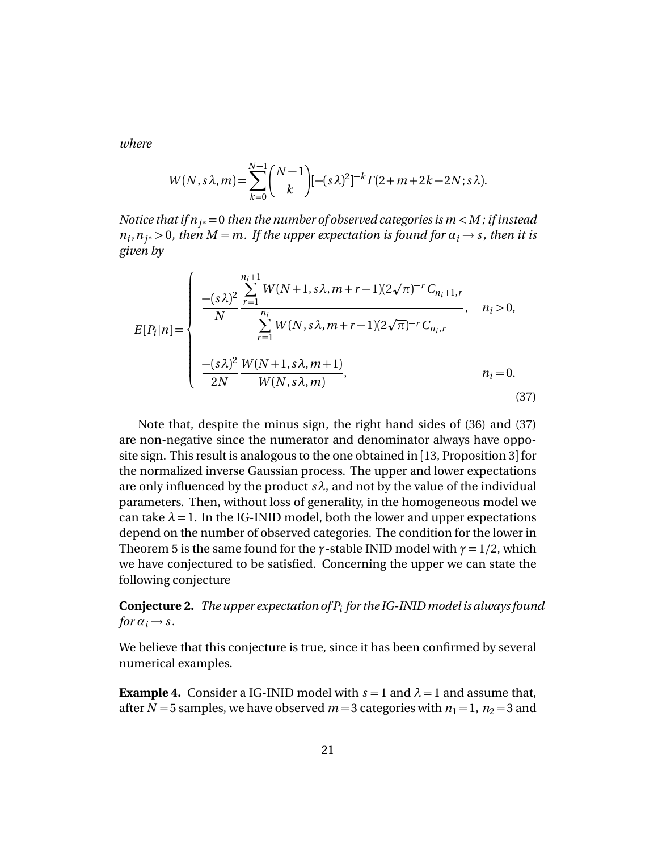*where*

$$
W(N, s\lambda, m) = \sum_{k=0}^{N-1} {N-1 \choose k} [-(s\lambda)^2]^{-k} \Gamma(2+m+2k-2N; s\lambda).
$$

*Notice that if n<sup>j</sup>* <sup>∗</sup> =0 *then the number of observed categories is m <M ; if instead*  $n_i$ ,  $n_j$  > 0, then  $M = m$ . If the upper expectation is found for  $\alpha_i \rightarrow s$ , then it is *given by*

$$
\overline{E}[P_i|n] = \begin{cases}\n-(s\lambda)^2 \sum_{r=1}^{n_i+1} W(N+1, s\lambda, m+r-1)(2\sqrt{\pi})^{-r} C_{n_i+1,r} & n_i > 0, \\
\frac{N}{N} \sum_{r=1}^{n_i} W(N, s\lambda, m+r-1)(2\sqrt{\pi})^{-r} C_{n_i,r} & n_i > 0, \\
-(s\lambda)^2 W(N+1, s\lambda, m+1) & n_i = 0. \\
\frac{N}{2N} \frac{W(N+1, s\lambda, m+1)}{W(N, s\lambda, m)}, & n_i = 0.\n\end{cases}
$$
\n(37)

Note that, despite the minus sign, the right hand sides of (36) and (37) are non-negative since the numerator and denominator always have opposite sign. This result is analogous to the one obtained in [13, Proposition 3] for the normalized inverse Gaussian process. The upper and lower expectations are only influenced by the product  $s\lambda$ , and not by the value of the individual parameters. Then, without loss of generality, in the homogeneous model we can take  $\lambda = 1$ . In the IG-INID model, both the lower and upper expectations depend on the number of observed categories. The condition for the lower in Theorem 5 is the same found for the  $\gamma$ -stable INID model with  $\gamma = 1/2$ , which we have conjectured to be satisfied. Concerning the upper we can state the following conjecture

**Conjecture 2.** *The upper expectation of P<sup>i</sup> for the IG-INIDmodel is always found for*  $\alpha_i \rightarrow s$ .

We believe that this conjecture is true, since it has been confirmed by several numerical examples.

**Example 4.** Consider a IG-INID model with  $s = 1$  and  $\lambda = 1$  and assume that, after  $N = 5$  samples, we have observed  $m = 3$  categories with  $n_1 = 1$ ,  $n_2 = 3$  and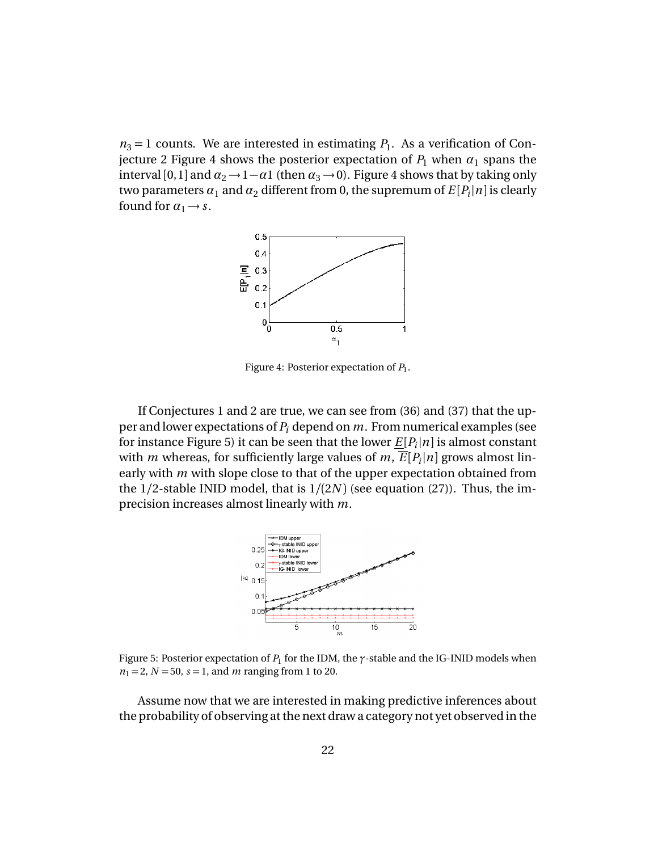$n_3 = 1$  counts. We are interested in estimating  $P_1$ . As a verification of Conjecture 2 Figure 4 shows the posterior expectation of  $P_1$  when  $\alpha_1$  spans the interval [0,1] and  $\alpha_2 \rightarrow 1-\alpha$ 1 (then  $\alpha_3 \rightarrow 0$ ). Figure 4 shows that by taking only two parameters  $\alpha_1$  and  $\alpha_2$  different from 0, the supremum of  $E[P_i|n]$  is clearly found for  $\alpha_1 \rightarrow s$ .



Figure 4: Posterior expectation of *P*<sup>1</sup> .

If Conjectures 1 and 2 are true, we can see from (36) and (37) that the upper and lower expectations of *P<sup>i</sup>* depend on *m*. From numerical examples (see for instance Figure 5) it can be seen that the lower  $\underline{E}[P_i|n]$  is almost constant with  $m$  whereas, for sufficiently large values of  $m$ ,  $\overline{E}[P_i|n]$  grows almost linearly with *m* with slope close to that of the upper expectation obtained from the 1*/*2-stable INID model, that is 1*/*(2*N* ) (see equation (27)). Thus, the imprecision increases almost linearly with *m*.



Figure 5: Posterior expectation of *P*<sup>1</sup> for the IDM, the *γ*-stable and the IG-INID models when  $n_1 = 2, N = 50, s = 1, and m ranging from 1 to 20.$ 

Assume now that we are interested in making predictive inferences about the probability of observing at the next draw a category not yet observed in the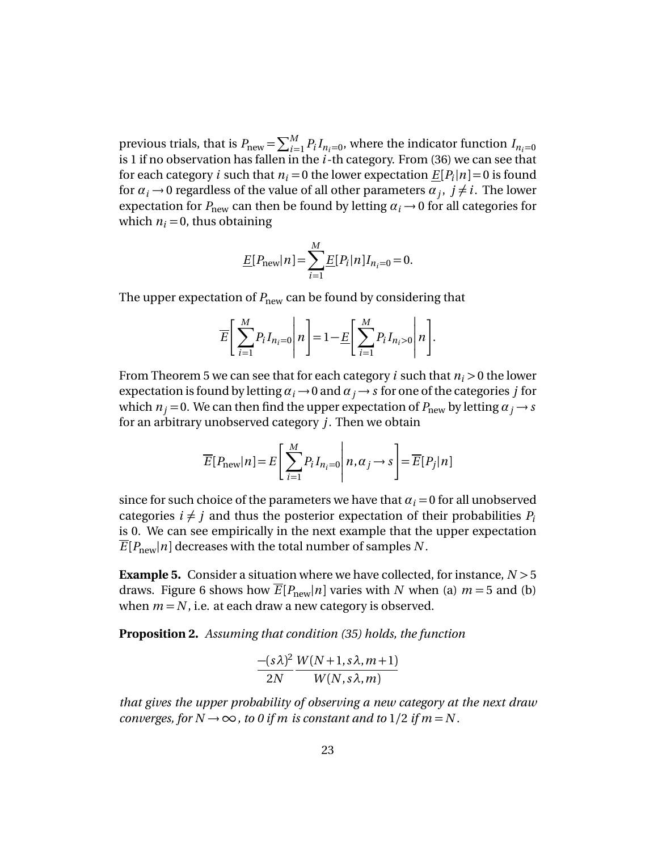previous trials, that is  $P_{\text{new}} = \sum_{i=1}^{M} P_i I_{n_i=0}$ , where the indicator function  $I_{n_i=0}$ is 1 if no observation has fallen in the *i*-th category. From (36) we can see that for each category *i* such that  $n_i = 0$  the lower expectation  $\underline{E}[P_i|n] = 0$  is found for  $\alpha_i \rightarrow 0$  regardless of the value of all other parameters  $\alpha_j$ ,  $j \neq i$ . The lower expectation for  $P_{\text{new}}$  can then be found by letting  $\alpha_i \rightarrow 0$  for all categories for which  $n_i = 0$ , thus obtaining

$$
\underline{E}[P_{\text{new}}|n] = \sum_{i=1}^{M} \underline{E}[P_i|n]I_{n_i=0} = 0.
$$

The upper expectation of  $P_{\text{new}}$  can be found by considering that

$$
\overline{E}\left[\sum_{i=1}^{M} P_i I_{n_i=0} \middle| n \right] = 1 - \underline{E}\left[\sum_{i=1}^{M} P_i I_{n_i>0} \middle| n \right].
$$

From Theorem 5 we can see that for each category *i* such that *n<sup>i</sup> >* 0 the lower expectation is found by letting  $\alpha_i \rightarrow 0$  and  $\alpha_j \rightarrow s$  for one of the categories *j* for which  $n_j = 0$ . We can then find the upper expectation of  $P_{\text{new}}$  by letting  $\alpha_j \rightarrow s$ for an arbitrary unobserved category *j*. Then we obtain

$$
\overline{E}[P_{\text{new}}|n] = E\left[\sum_{i=1}^{M} P_i I_{n_i=0} \middle| n, \alpha_j \to s \right] = \overline{E}[P_j|n]
$$

since for such choice of the parameters we have that  $\alpha_i = 0$  for all unobserved categories  $i \neq j$  and thus the posterior expectation of their probabilities  $P_i$ is 0. We can see empirically in the next example that the upper expectation  $E[P_{\text{new}}|n]$  decreases with the total number of samples N.

**Example 5.** Consider a situation where we have collected, for instance, *N >* 5 draws. Figure 6 shows how  $\overline{E}[P_{\text{new}}|n]$  varies with *N* when (a)  $m = 5$  and (b) when  $m = N$ , i.e. at each draw a new category is observed.

**Proposition 2.** *Assuming that condition (35) holds, the function*

$$
\frac{-(s\lambda)^2}{2N} \frac{W(N+1, s\lambda, m+1)}{W(N, s\lambda, m)}
$$

*that gives the upper probability of observing a new category at the next draw converges, for*  $N \rightarrow \infty$ *, to 0 if m is constant and to*  $1/2$  *if m* = N.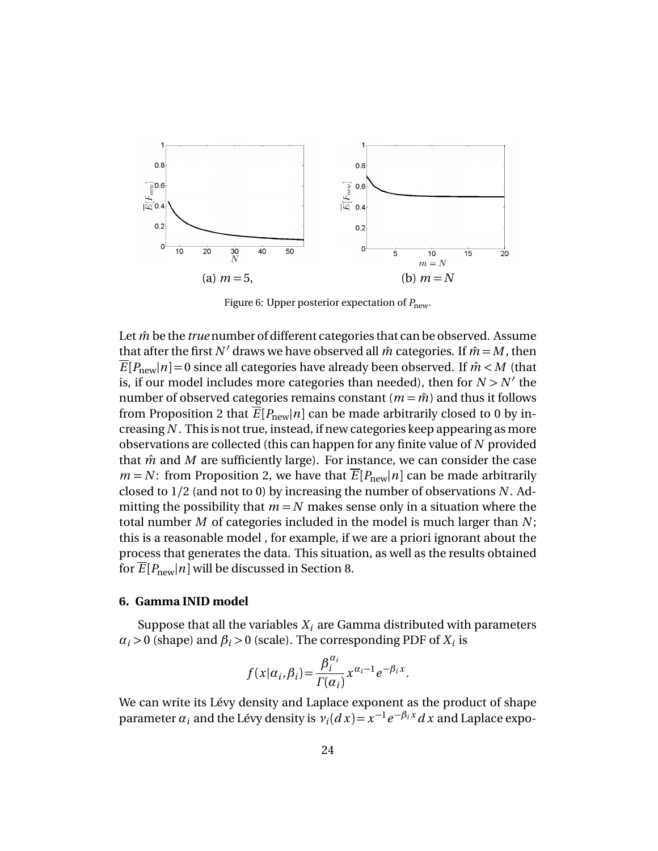

Figure 6: Upper posterior expectation of  $P_{\text{new}}$ .

Let  $\hat{m}$  be the *true* number of different categories that can be observed. Assume that after the first N' draws we have observed all  $\hat{m}$  categories. If  $\hat{m} = M$ , then  $\overline{E}[P_{\text{new}}|n] = 0$  since all categories have already been observed. If  $\hat{m} < M$  (that is, if our model includes more categories than needed), then for  $N > N'$  the number of observed categories remains constant  $(m = \hat{m})$  and thus it follows from Proposition 2 that  $\overline{E}[P_{\text{new}}|n]$  can be made arbitrarily closed to 0 by increasing *N* . This is not true, instead, if new categories keep appearing as more observations are collected (this can happen for any finite value of *N* provided that  $\hat{m}$  and  $M$  are sufficiently large). For instance, we can consider the case  $m = N$ : from Proposition 2, we have that  $\overline{E}[P_{\text{new}}|n]$  can be made arbitrarily closed to 1/2 (and not to 0) by increasing the number of observations *N* . Admitting the possibility that  $m = N$  makes sense only in a situation where the total number *M* of categories included in the model is much larger than *N* ; this is a reasonable model , for example, if we are a priori ignorant about the process that generates the data. This situation, as well as the results obtained for  $\overline{E}[P_{\text{new}}|n]$  will be discussed in Section 8.

## **6. Gamma INID model**

Suppose that all the variables  $X_i$  are Gamma distributed with parameters  $\alpha_i$  > 0 (shape) and  $\beta_i$  > 0 (scale). The corresponding PDF of  $X_i$  is

$$
f(x|\alpha_i, \beta_i) = \frac{\beta_i^{\alpha_i}}{\Gamma(\alpha_i)} x^{\alpha_i - 1} e^{-\beta_i x}.
$$

We can write its Lévy density and Laplace exponent as the product of shape parameter  $\alpha_i$  and the Lévy density is  $v_i(dx) = x^{-1}e^{-\beta_i x} dx$  and Laplace expo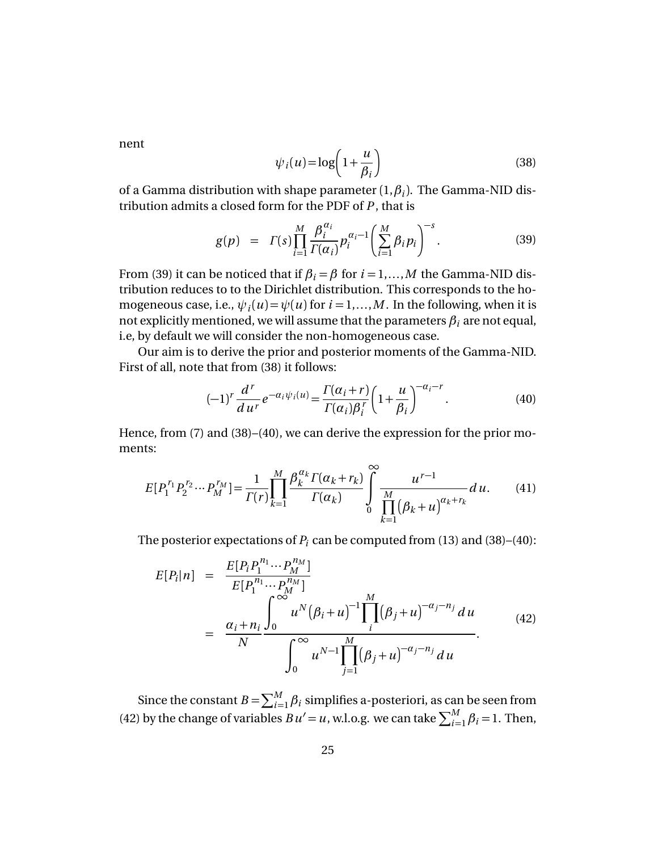nent

$$
\psi_i(u) = \log\left(1 + \frac{u}{\beta_i}\right) \tag{38}
$$

of a Gamma distribution with shape parameter  $(1, \beta_i)$ . The Gamma-NID distribution admits a closed form for the PDF of *P* , that is

$$
g(p) = \Gamma(s) \prod_{i=1}^{M} \frac{\beta_i^{\alpha_i}}{\Gamma(\alpha_i)} p_i^{\alpha_i - 1} \left( \sum_{i=1}^{M} \beta_i p_i \right)^{-s} . \tag{39}
$$

From (39) it can be noticed that if  $\beta_i = \beta$  for  $i = 1,...,M$  the Gamma-NID distribution reduces to to the Dirichlet distribution. This corresponds to the homogeneous case, i.e.,  $\psi_i(u) \!=\! \psi(u)$  for  $i \!=\! 1,...,M.$  In the following, when it is not explicitly mentioned, we will assume that the parameters  $\beta_i$  are not equal, i.e, by default we will consider the non-homogeneous case.

Our aim is to derive the prior and posterior moments of the Gamma-NID. First of all, note that from (38) it follows:

$$
(-1)^r \frac{d^r}{du^r} e^{-\alpha_i \psi_i(u)} = \frac{\Gamma(\alpha_i + r)}{\Gamma(\alpha_i)\beta_i^r} \left(1 + \frac{u}{\beta_i}\right)^{-\alpha_i - r}.
$$
 (40)

Hence, from (7) and (38)–(40), we can derive the expression for the prior moments:

$$
E[P_1^{r_1} P_2^{r_2} \cdots P_M^{r_M}] = \frac{1}{\Gamma(r)} \prod_{k=1}^M \frac{\beta_k^{\alpha_k} \Gamma(\alpha_k + r_k)}{\Gamma(\alpha_k)} \int_{0}^{\infty} \frac{u^{r-1}}{\prod_{k=1}^M (\beta_k + u)^{\alpha_k + r_k}} du.
$$
 (41)

The posterior expectations of  $P_i$  can be computed from (13) and (38)–(40):

*n*1

$$
E[P_i|n] = \frac{E[P_i P_1^{n_1} \cdots P_M^{n_M}]}{E[P_1^{n_1} \cdots P_M^{n_M}]} \\
= \frac{\alpha_i + n_i}{N} \frac{\int_0^{\infty} u^N (\beta_i + u)^{-1} \prod_i^M (\beta_j + u)^{-\alpha_j - n_j} du}{\int_0^{\infty} u^{N-1} \prod_{j=1}^M (\beta_j + u)^{-\alpha_j - n_j} du}.
$$
\n(42)

Since the constant  $B = \sum_{i=1}^{M} \beta_i$  simplifies a-posteriori, as can be seen from (42) by the change of variables  $B u' = u$ , w.l.o.g. we can take  $\sum_{i=1}^{M} \beta_i = 1$ . Then,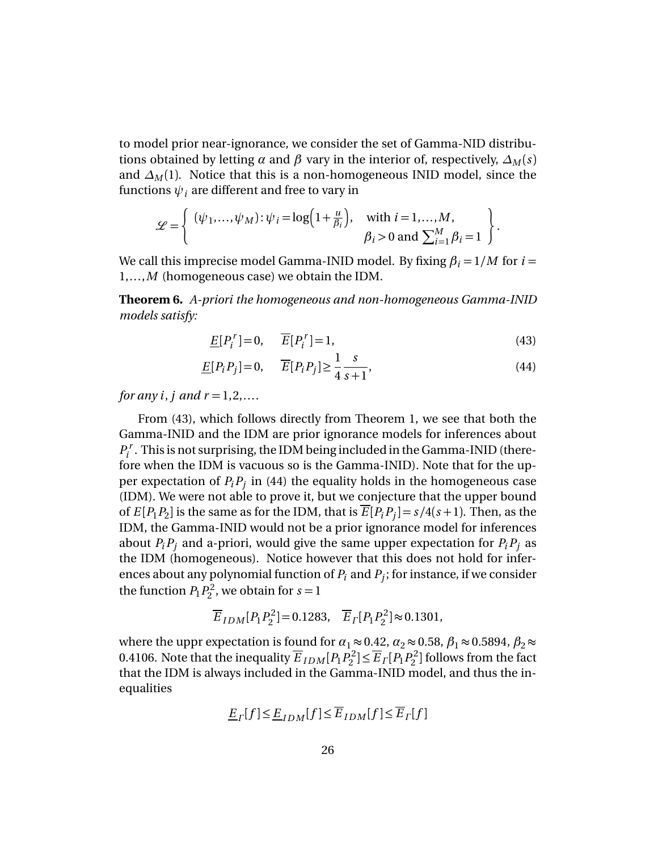to model prior near-ignorance, we consider the set of Gamma-NID distributions obtained by letting *α* and *β* vary in the interior of, respectively,  $\Delta_M(s)$ and  $\Delta_M(1)$ . Notice that this is a non-homogeneous INID model, since the functions  $\psi_i$  are different and free to vary in

$$
\mathcal{L} = \left\{ \begin{array}{l} (\psi_1, \dots, \psi_M) : \psi_i = \log \Bigl( 1 + \frac{u}{\beta_i} \Bigr), & \text{with } i = 1, \dots, M, \\ \beta_i > 0 \text{ and } \sum_{i=1}^M \beta_i = 1 \end{array} \right\}.
$$

We call this imprecise model Gamma-INID model. By fixing  $\beta_i = 1/M$  for  $i =$ 1,...,*M* (homogeneous case) we obtain the IDM.

**Theorem 6.** *A-priori the homogeneous and non-homogeneous Gamma-INID models satisfy:*

$$
\underline{E}[P_i^r] = 0, \qquad \overline{E}[P_i^r] = 1,\tag{43}
$$

$$
\underline{E}[P_i P_j] = 0, \qquad \overline{E}[P_i P_j] \ge \frac{1}{4} \frac{s}{s+1},\tag{44}
$$

*for any i*, *j* and  $r = 1, 2, ...$ 

From (43), which follows directly from Theorem 1, we see that both the Gamma-INID and the IDM are prior ignorance models for inferences about  $P_i^{\prime}$  $\mathbf{f}_i^r$ . This is not surprising, the IDM being included in the Gamma-INID (therefore when the IDM is vacuous so is the Gamma-INID). Note that for the upper expectation of *PiP<sup>j</sup>* in (44) the equality holds in the homogeneous case (IDM). We were not able to prove it, but we conjecture that the upper bound of  $E[P_1P_2]$  is the same as for the IDM, that is  $E[P_iP_j] = s/4(s+1)$ . Then, as the IDM, the Gamma-INID would not be a prior ignorance model for inferences about  $P_i P_j$  and a-priori, would give the same upper expectation for  $P_i P_j$  as the IDM (homogeneous). Notice however that this does not hold for inferences about any polynomial function of  $P_i$  and  $P_j$ ; for instance, if we consider the function  $P_1P_2^2$  $2^2$ , we obtain for  $s = 1$ 

$$
\overline{E}_{IDM}[P_1P_2^2]=0.1283
$$
,  $\overline{E}_{\Gamma}[P_1P_2^2] \approx 0.1301$ ,

where the uppr expectation is found for  $\alpha_1 \approx 0.42$ ,  $\alpha_2 \approx 0.58$ ,  $\beta_1 \approx 0.5894$ ,  $\beta_2 \approx$ 0.4106. Note that the inequality  $\overline{E}_{IDM} [P_1 P_2^2]$  $P_2^2 \leq \overline{E}_\Gamma[P_1P_2^2]$  $P_2^2$ ] follows from the fact that the IDM is always included in the Gamma-INID model, and thus the inequalities

$$
\underline{E}_{\Gamma}[f] \le \underline{E}_{IDM}[f] \le \overline{E}_{IDM}[f] \le \overline{E}_{\Gamma}[f]
$$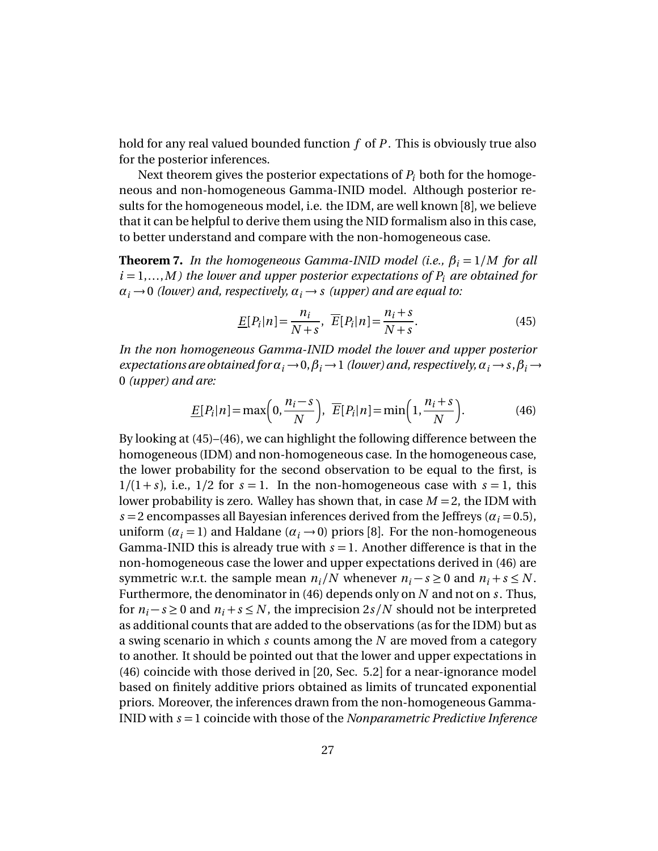hold for any real valued bounded function *f* of *P* . This is obviously true also for the posterior inferences.

Next theorem gives the posterior expectations of  $P_i$  both for the homogeneous and non-homogeneous Gamma-INID model. Although posterior results for the homogeneous model, i.e. the IDM, are well known [8], we believe that it can be helpful to derive them using the NID formalism also in this case, to better understand and compare with the non-homogeneous case.

**Theorem 7.** *In the homogeneous Gamma-INID model (i.e.,*  $\beta_i = 1/M$  *for all*  $i = 1,...,M$ ) the lower and upper posterior expectations of  $P_i$  are obtained for  $\alpha_i \rightarrow 0$  *(lower) and, respectively,*  $\alpha_i \rightarrow s$  *(upper) and are equal to:* 

$$
\underline{E}[P_i|n] = \frac{n_i}{N+s}, \quad \overline{E}[P_i|n] = \frac{n_i+s}{N+s}.\tag{45}
$$

*In the non homogeneous Gamma-INID model the lower and upper posterior expectations are obtained for*  $\alpha_i \rightarrow 0$ ,  $\beta_i \rightarrow 1$  *(lower) and, respectively,*  $\alpha_i \rightarrow s$ ,  $\beta_i \rightarrow$ 0 *(upper) and are:*

$$
\underline{E}[P_i|n] = \max\left(0, \frac{n_i - s}{N}\right), \ \overline{E}[P_i|n] = \min\left(1, \frac{n_i + s}{N}\right). \tag{46}
$$

By looking at (45)–(46), we can highlight the following difference between the homogeneous (IDM) and non-homogeneous case. In the homogeneous case, the lower probability for the second observation to be equal to the first, is  $1/(1+s)$ , i.e.,  $1/2$  for  $s = 1$ . In the non-homogeneous case with  $s = 1$ , this lower probability is zero. Walley has shown that, in case *M* = 2, the IDM with  $s = 2$  encompasses all Bayesian inferences derived from the Jeffreys ( $\alpha_i = 0.5$ ), uniform  $(a_i = 1)$  and Haldane  $(a_i \rightarrow 0)$  priors [8]. For the non-homogeneous Gamma-INID this is already true with  $s = 1$ . Another difference is that in the non-homogeneous case the lower and upper expectations derived in (46) are symmetric w.r.t. the sample mean  $n_i/N$  whenever  $n_i - s \ge 0$  and  $n_i + s \le N$ . Furthermore, the denominator in (46) depends only on *N* and not on *s*. Thus, for  $n_i$  − *s* ≥ 0 and  $n_i$  + *s* ≤ *N*, the imprecision 2*s*/*N* should not be interpreted as additional counts that are added to the observations (as for the IDM) but as a swing scenario in which *s* counts among the *N* are moved from a category to another. It should be pointed out that the lower and upper expectations in (46) coincide with those derived in [20, Sec. 5.2] for a near-ignorance model based on finitely additive priors obtained as limits of truncated exponential priors. Moreover, the inferences drawn from the non-homogeneous Gamma-INID with *s* = 1 coincide with those of the *Nonparametric Predictive Inference*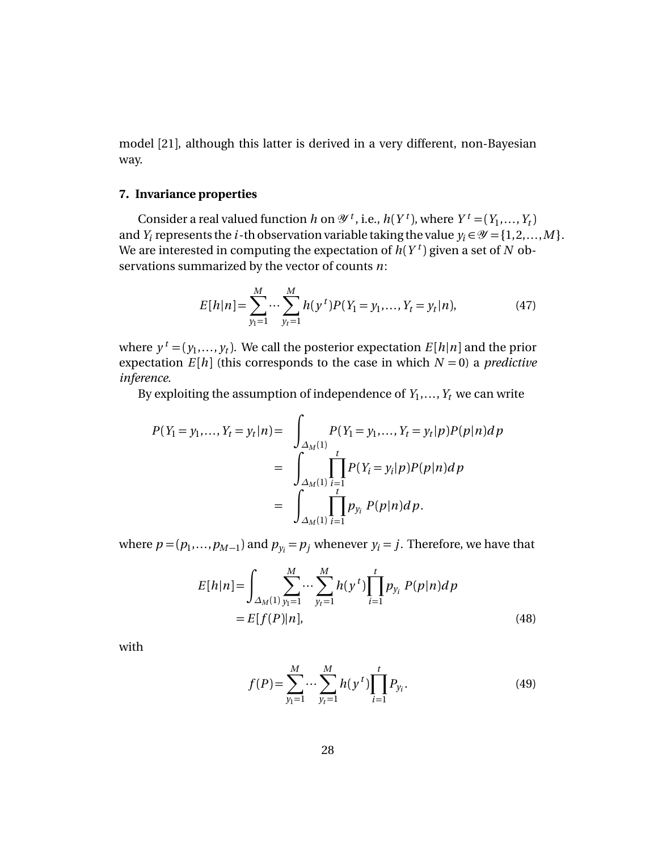model [21], although this latter is derived in a very different, non-Bayesian way.

## **7. Invariance properties**

Consider a real valued function *h* on  $\mathcal{Y}^t$ , i.e.,  $h(Y^t)$ , where  $Y^t = (Y_1, \ldots, Y_t)$ and *Y*<sub>*i*</sub> represents the *i*-th observation variable taking the value  $y_i \in \mathcal{Y} = \{1, 2, ..., M\}$ . We are interested in computing the expectation of  $h(Y^t)$  given a set of  $N$  observations summarized by the vector of counts *n*:

$$
E[h|n] = \sum_{y_1=1}^{M} \cdots \sum_{y_t=1}^{M} h(y^t) P(Y_1 = y_1, \dots, Y_t = y_t | n),
$$
 (47)

where  $y^t = (y_1, ..., y_t)$ . We call the posterior expectation  $E[h|n]$  and the prior expectation  $E[h]$  (this corresponds to the case in which  $N = 0$ ) a *predictive inference*.

By exploiting the assumption of independence of  $Y_1, \ldots, Y_t$  we can write

$$
P(Y_1 = y_1, ..., Y_t = y_t | n) = \int_{\Delta_M(1)} P(Y_1 = y_1, ..., Y_t = y_t | p) P(p | n) dp
$$
  
= 
$$
\int_{\Delta_M(1)} \prod_{\substack{i=1 \ i \neq j}}^t P(Y_i = y_i | p) P(p | n) dp
$$
  
= 
$$
\int_{\Delta_M(1)} \prod_{i=1}^t p_{y_i} P(p | n) dp.
$$

where  $p = (p_1, \ldots, p_{M-1})$  and  $p_{y_i} = p_j$  whenever  $y_i = j$ . Therefore, we have that

$$
E[h|n] = \int_{\Delta_M(1)} \sum_{y_1=1}^M \cdots \sum_{y_t=1}^M h(y^t) \prod_{i=1}^t p_{y_i} P(p|n) dp
$$
  
=  $E[f(P)|n]$ , (48)

with

$$
f(P) = \sum_{y_1=1}^{M} \cdots \sum_{y_t=1}^{M} h(y^t) \prod_{i=1}^{t} P_{y_i}.
$$
 (49)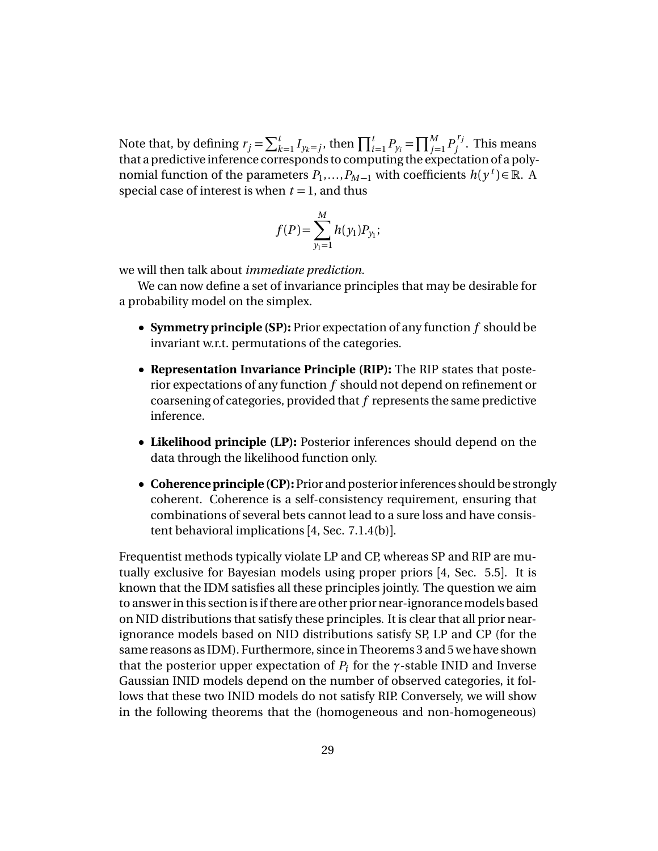Note that, by defining  $r_j = \sum_{k=1}^t I_{y_k=j}$ , then  $\prod_{i=1}^t P_{y_i} = \prod_{j=1}^M P_j^{r_j}$  $j'$ . This means that a predictive inference corresponds to computing the expectation of a polynomial function of the parameters  $P_1, \ldots, P_{M-1}$  with coefficients  $h(y^t) \in \mathbb{R}$ . A special case of interest is when  $t = 1$ , and thus

$$
f(P) = \sum_{y_1=1}^{M} h(y_1) P_{y_1};
$$

we will then talk about *immediate prediction*.

We can now define a set of invariance principles that may be desirable for a probability model on the simplex.

- **Symmetry principle (SP):** Prior expectation of any function *f* should be invariant w.r.t. permutations of the categories.
- **Representation Invariance Principle (RIP):** The RIP states that posterior expectations of any function *f* should not depend on refinement or coarsening of categories, provided that *f* represents the same predictive inference.
- **Likelihood principle (LP):** Posterior inferences should depend on the data through the likelihood function only.
- **Coherence principle (CP):** Prior and posterior inferences should be strongly coherent. Coherence is a self-consistency requirement, ensuring that combinations of several bets cannot lead to a sure loss and have consistent behavioral implications [4, Sec. 7.1.4(b)].

Frequentist methods typically violate LP and CP, whereas SP and RIP are mutually exclusive for Bayesian models using proper priors [4, Sec. 5.5]. It is known that the IDM satisfies all these principles jointly. The question we aim to answer in this section is if there are other prior near-ignorancemodels based on NID distributions that satisfy these principles. It is clear that all prior nearignorance models based on NID distributions satisfy SP, LP and CP (for the same reasons as IDM). Furthermore, since in Theorems 3 and 5 we have shown that the posterior upper expectation of  $P_i$  for the  $\gamma$ -stable INID and Inverse Gaussian INID models depend on the number of observed categories, it follows that these two INID models do not satisfy RIP. Conversely, we will show in the following theorems that the (homogeneous and non-homogeneous)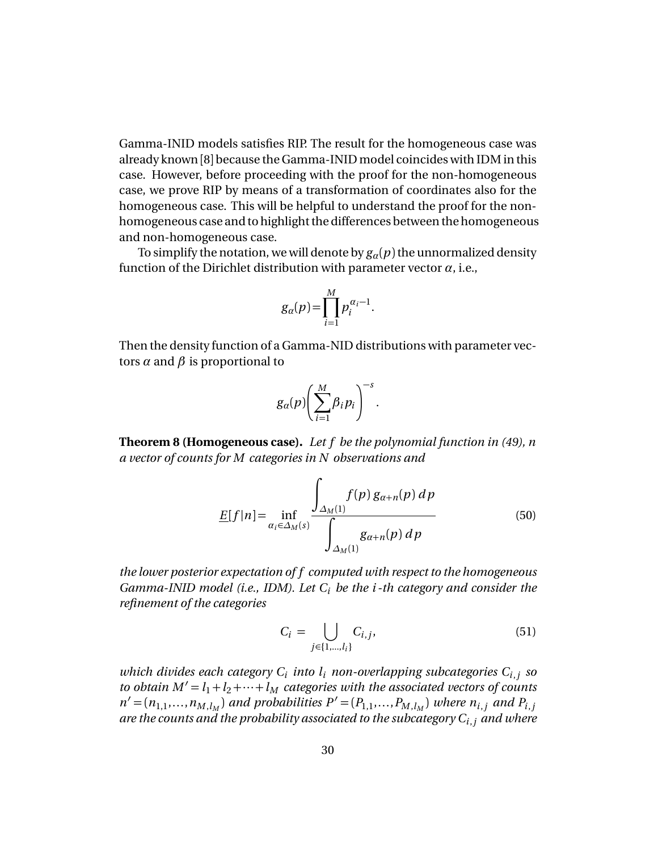Gamma-INID models satisfies RIP. The result for the homogeneous case was already known [8] because the Gamma-INID model coincides with IDM in this case. However, before proceeding with the proof for the non-homogeneous case, we prove RIP by means of a transformation of coordinates also for the homogeneous case. This will be helpful to understand the proof for the nonhomogeneous case and to highlight the differences between the homogeneous and non-homogeneous case.

To simplify the notation, we will denote by  $g_\alpha(p)$  the unnormalized density function of the Dirichlet distribution with parameter vector  $\alpha$ , i.e.,

$$
g_{\alpha}(p) = \prod_{i=1}^{M} p_i^{\alpha_i - 1}.
$$

Then the density function of a Gamma-NID distributions with parameter vectors  $\alpha$  and  $\beta$  is proportional to

$$
g_a(p)\bigg(\sum_{i=1}^M\beta_i p_i\bigg)^{-s}.
$$

**Theorem 8 (Homogeneous case).** *Let f be the polynomial function in (49), n a vector of counts for M categories in N observations and*

$$
\underline{E}[f|n] = \inf_{\alpha_i \in \Delta_M(s)} \frac{\int_{\Delta_M(1)} f(p) g_{\alpha+n}(p) dp}{\int_{\Delta_M(1)} g_{\alpha+n}(p) dp}
$$
(50)

*the lower posterior expectation of f computed with respect to the homogeneous Gamma-INID model (i.e., IDM). Let C<sup>i</sup> be the i -th category and consider the refinement of the categories*

$$
C_i = \bigcup_{j \in \{1, ..., l_i\}} C_{i,j},\tag{51}
$$

*which divides each category C<sup>i</sup> into l<sup>i</sup> non-overlapping subcategories Ci*,*<sup>j</sup> so to obtain*  $M' = l_1 + l_2 + \cdots + l_M$  *categories with the associated vectors of counts*  $n' = (n_{1,1},...,n_{M,l_M})$  *and probabilities*  $P' = (P_{1,1},...,P_{M,l_M})$  *where*  $n_{i,j}$  *and*  $P_{i,j}$ *are the counts and the probability associated to the subcategory Ci*,*<sup>j</sup> and where*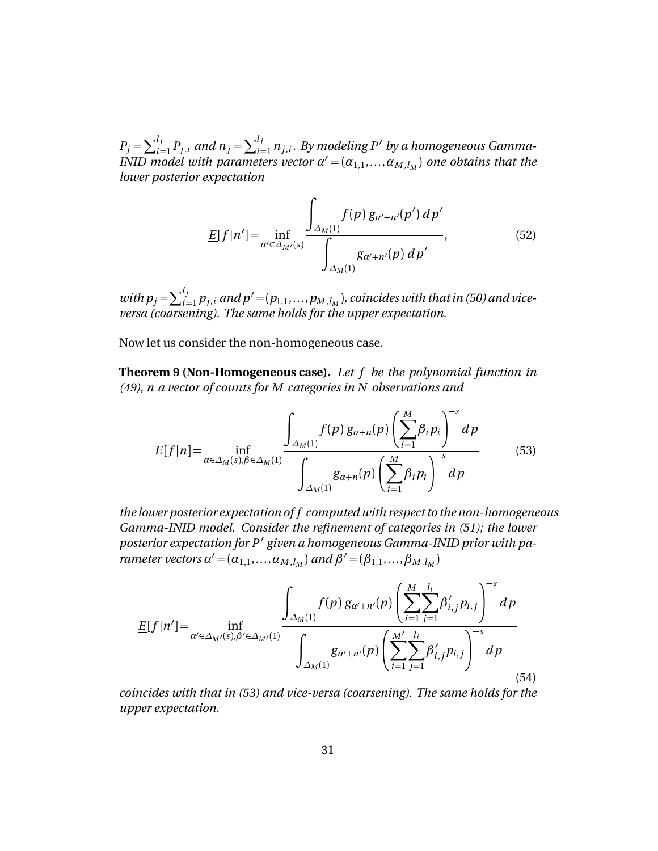$P_j = \sum_{i=1}^{l_j} P_{j,i}$  and  $n_j = \sum_{i=1}^{l_j} n_{j,i}$ . By modeling P' by a homogeneous Gamma- $\overline{I}$  *INID model with parameters vector*  $\alpha' = (\alpha_{1,1},...,\alpha_{M,l_M})$  one obtains that the *lower posterior expectation*

$$
\underline{E}[f|n'] = \inf_{\alpha' \in \Delta_{M'}(s)} \frac{\int_{\Delta_{M}(1)} f(p) g_{\alpha'+n'}(p') d p'}{\int_{\Delta_{M}(1)} g_{\alpha'+n'}(p) d p'},
$$
(52)

with  $p_j = \sum_{i=1}^{l_j} p_{j,i}$  and  $p' = (p_{1,1}, \ldots, p_{M, l_M})$ , coincides with that in (50) and vice*versa (coarsening). The same holds for the upper expectation.*

Now let us consider the non-homogeneous case.

**Theorem 9 (Non-Homogeneous case).** *Let f be the polynomial function in (49), n a vector of counts for M categories in N observations and*

$$
\underline{E}[f|n] = \inf_{\alpha \in \Delta_M(s), \beta \in \Delta_M(1)} \frac{\int_{\Delta_M(1)} f(p) g_{\alpha+n}(p) \left(\sum_{i=1}^M \beta_i p_i\right)^{-s} dp}{\int_{\Delta_M(1)} g_{\alpha+n}(p) \left(\sum_{i=1}^M \beta_i p_i\right)^{-s} dp}
$$
(53)

*the lower posterior expectation of f computed with respect to the non-homogeneous Gamma-INID model. Consider the refinement of categories in (51); the lower* posterior expectation for P' given a homogeneous Gamma-INID prior with pa*rameter vectors*  $\alpha' = (\alpha_{1,1}, \ldots, \alpha_{M, l_M})$  and  $\beta' = (\beta_{1,1}, \ldots, \beta_{M, l_M})$ 

$$
\underline{E}[f|n'] = \inf_{\alpha' \in \Delta_{M'}(s), \beta' \in \Delta_{M'}(1)} \frac{\int_{\Delta_M(1)} f(p) g_{\alpha'+n'}(p) \left(\sum_{i=1}^M \sum_{j=1}^{l_i} \beta'_{i,j} p_{i,j}\right)^{-s} dp}{\int_{\Delta_M(1)} g_{\alpha'+n'}(p) \left(\sum_{i=1}^M \sum_{j=1}^{l_i} \beta'_{i,j} p_{i,j}\right)^{-s} dp}
$$
\n(54)

*coincides with that in (53) and vice-versa (coarsening). The same holds for the upper expectation.*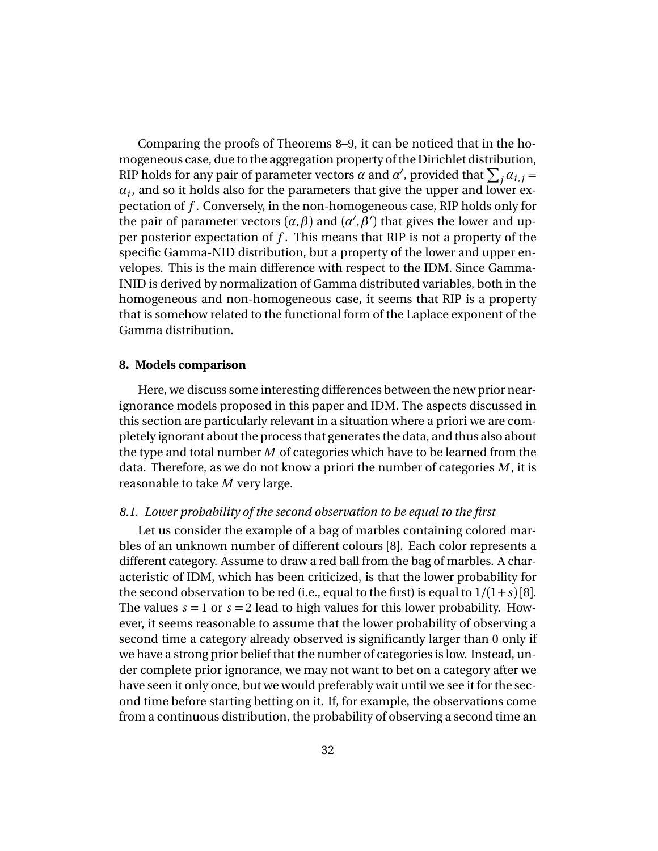Comparing the proofs of Theorems 8–9, it can be noticed that in the homogeneous case, due to the aggregation property of the Dirichlet distribution, RIP holds for any pair of parameter vectors  $\alpha$  and  $\alpha'$ , provided that  $\sum_j \alpha_{i,j} =$  $a_i$ , and so it holds also for the parameters that give the upper and lower expectation of *f* . Conversely, in the non-homogeneous case, RIP holds only for the pair of parameter vectors  $(\alpha, \beta)$  and  $(\alpha', \beta')$  that gives the lower and upper posterior expectation of *f* . This means that RIP is not a property of the specific Gamma-NID distribution, but a property of the lower and upper envelopes. This is the main difference with respect to the IDM. Since Gamma-INID is derived by normalization of Gamma distributed variables, both in the homogeneous and non-homogeneous case, it seems that RIP is a property that is somehow related to the functional form of the Laplace exponent of the Gamma distribution.

## **8. Models comparison**

Here, we discuss some interesting differences between the new prior nearignorance models proposed in this paper and IDM. The aspects discussed in this section are particularly relevant in a situation where a priori we are completely ignorant about the process that generates the data, and thus also about the type and total number *M* of categories which have to be learned from the data. Therefore, as we do not know a priori the number of categories *M* , it is reasonable to take *M* very large.

## *8.1. Lower probability of the second observation to be equal to the first*

Let us consider the example of a bag of marbles containing colored marbles of an unknown number of different colours [8]. Each color represents a different category. Assume to draw a red ball from the bag of marbles. A characteristic of IDM, which has been criticized, is that the lower probability for the second observation to be red (i.e., equal to the first) is equal to  $1/(1+s)[8]$ . The values  $s = 1$  or  $s = 2$  lead to high values for this lower probability. However, it seems reasonable to assume that the lower probability of observing a second time a category already observed is significantly larger than 0 only if we have a strong prior belief that the number of categories is low. Instead, under complete prior ignorance, we may not want to bet on a category after we have seen it only once, but we would preferably wait until we see it for the second time before starting betting on it. If, for example, the observations come from a continuous distribution, the probability of observing a second time an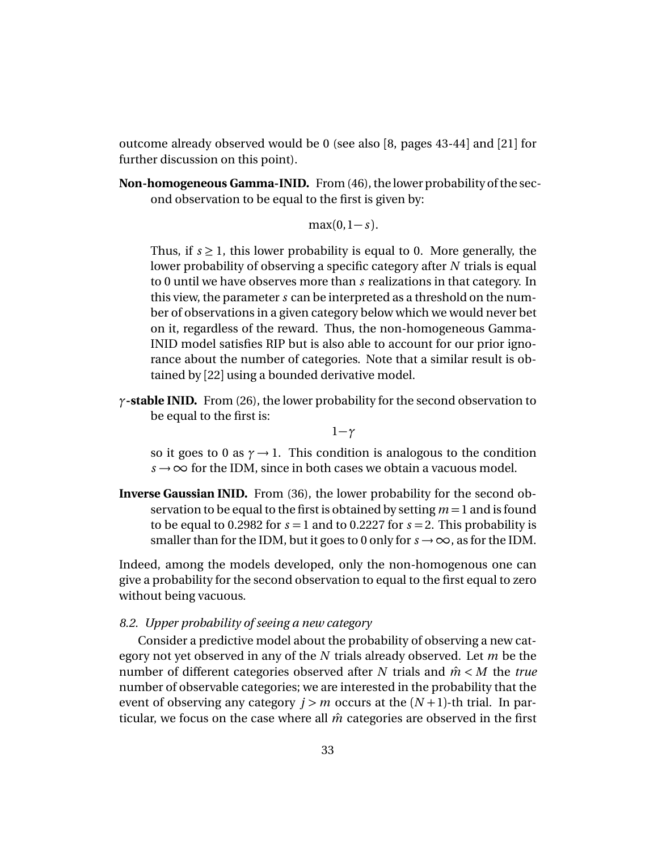outcome already observed would be 0 (see also [8, pages 43-44] and [21] for further discussion on this point).

**Non-homogeneous Gamma-INID.** From (46), the lower probability of the second observation to be equal to the first is given by:

 $max(0, 1 - s)$ .

Thus, if  $s \geq 1$ , this lower probability is equal to 0. More generally, the lower probability of observing a specific category after *N* trials is equal to 0 until we have observes more than *s* realizations in that category. In this view, the parameter *s* can be interpreted as a threshold on the number of observations in a given category below which we would never bet on it, regardless of the reward. Thus, the non-homogeneous Gamma-INID model satisfies RIP but is also able to account for our prior ignorance about the number of categories. Note that a similar result is obtained by [22] using a bounded derivative model.

*γ***-stable INID.** From (26), the lower probability for the second observation to be equal to the first is:

1−*γ*

so it goes to 0 as  $\gamma \rightarrow 1$ . This condition is analogous to the condition  $s \rightarrow \infty$  for the IDM, since in both cases we obtain a vacuous model.

**Inverse Gaussian INID.** From (36), the lower probability for the second observation to be equal to the first is obtained by setting *m* =1 and is found to be equal to 0.2982 for  $s = 1$  and to 0.2227 for  $s = 2$ . This probability is smaller than for the IDM, but it goes to 0 only for  $s \rightarrow \infty$ , as for the IDM.

Indeed, among the models developed, only the non-homogenous one can give a probability for the second observation to equal to the first equal to zero without being vacuous.

## *8.2. Upper probability of seeing a new category*

Consider a predictive model about the probability of observing a new category not yet observed in any of the *N* trials already observed. Let *m* be the number of different categories observed after *N* trials and *m*ˆ *< M* the *true* number of observable categories; we are interested in the probability that the event of observing any category  $j > m$  occurs at the  $(N + 1)$ -th trial. In particular, we focus on the case where all  $\hat{m}$  categories are observed in the first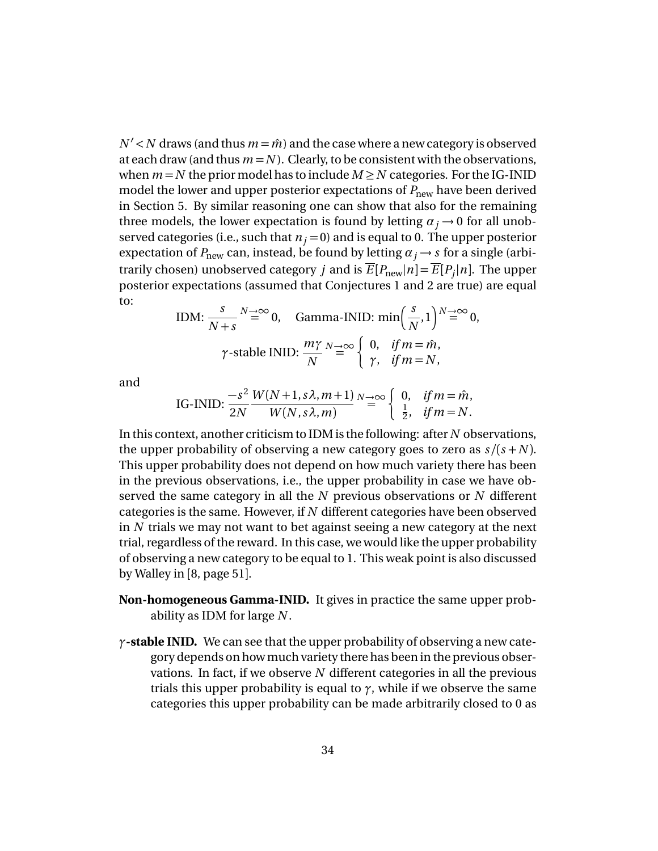$N' < N$  draws (and thus  $m = \hat{m}$ ) and the case where a new category is observed at each draw (and thus  $m = N$ ). Clearly, to be consistent with the observations, when  $m = N$  the prior model has to include  $M \ge N$  categories. For the IG-INID model the lower and upper posterior expectations of  $P_{\text{new}}$  have been derived in Section 5. By similar reasoning one can show that also for the remaining three models, the lower expectation is found by letting  $\alpha_j \rightarrow 0$  for all unobserved categories (i.e., such that  $n_j = 0$ ) and is equal to 0. The upper posterior expectation of  $P_{\text{new}}$  can, instead, be found by letting  $\alpha_j \rightarrow s$  for a single (arbitrarily chosen) unobserved category  $j$  and is  $\overline{E}[P_\text{new}|n] = \overline{E}[P_j|n]$ . The upper posterior expectations (assumed that Conjectures 1 and 2 are true) are equal to:

IDM: 
$$
\frac{s}{N+s} \stackrel{N \to \infty}{=} 0
$$
, Gamma-INID: min $\left(\frac{s}{N}, 1\right)^{N \to \infty} 0$ ,  
\n $\gamma$ -stable INID:  $\frac{m\gamma}{N} \stackrel{N \to \infty}{=} \begin{cases} 0, & \text{if } m = \hat{m}, \\ \gamma, & \text{if } m = N, \end{cases}$ 

and

IG-INID: 
$$
\frac{-s^2}{2N} \frac{W(N+1, s\lambda, m+1)}{W(N, s\lambda, m)} \stackrel{N \to \infty}{=} \begin{cases} 0, & \text{if } m = \hat{m}, \\ \frac{1}{2}, & \text{if } m = N. \end{cases}
$$

In this context, another criticism to IDM is the following: after *N* observations, the upper probability of observing a new category goes to zero as  $s/(s+N)$ . This upper probability does not depend on how much variety there has been in the previous observations, i.e., the upper probability in case we have observed the same category in all the *N* previous observations or *N* different categories is the same. However, if *N* different categories have been observed in *N* trials we may not want to bet against seeing a new category at the next trial, regardless of the reward. In this case, we would like the upper probability of observing a new category to be equal to 1. This weak point is also discussed by Walley in [8, page 51].

- **Non-homogeneous Gamma-INID.** It gives in practice the same upper probability as IDM for large *N* .
- *γ***-stable INID.** We can see that the upper probability of observing a new category depends on how much variety there has been in the previous observations. In fact, if we observe *N* different categories in all the previous trials this upper probability is equal to  $\gamma$ , while if we observe the same categories this upper probability can be made arbitrarily closed to 0 as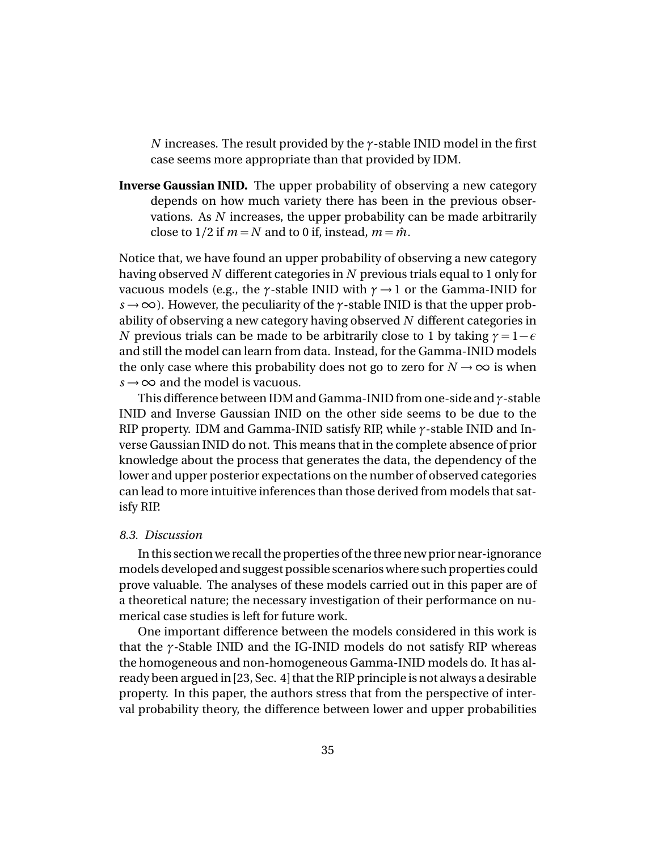*N* increases. The result provided by the *γ*-stable INID model in the first case seems more appropriate than that provided by IDM.

**Inverse Gaussian INID.** The upper probability of observing a new category depends on how much variety there has been in the previous observations. As *N* increases, the upper probability can be made arbitrarily close to  $1/2$  if  $m = N$  and to 0 if, instead,  $m = \hat{m}$ .

Notice that, we have found an upper probability of observing a new category having observed *N* different categories in *N* previous trials equal to 1 only for vacuous models (e.g., the *γ*-stable INID with *γ* → 1 or the Gamma-INID for *s* → ∞). However, the peculiarity of the *γ*-stable INID is that the upper probability of observing a new category having observed *N* different categories in *N* previous trials can be made to be arbitrarily close to 1 by taking  $\gamma = 1 - \epsilon$ and still the model can learn from data. Instead, for the Gamma-INID models the only case where this probability does not go to zero for  $N \rightarrow \infty$  is when  $s \rightarrow \infty$  and the model is vacuous.

This difference between IDM and Gamma-INID from one-side and *γ*-stable INID and Inverse Gaussian INID on the other side seems to be due to the RIP property. IDM and Gamma-INID satisfy RIP, while *γ*-stable INID and Inverse Gaussian INID do not. This means that in the complete absence of prior knowledge about the process that generates the data, the dependency of the lower and upper posterior expectations on the number of observed categories can lead to more intuitive inferences than those derived from models that satisfy RIP.

## *8.3. Discussion*

In this section we recall the properties of the three new prior near-ignorance models developed and suggest possible scenarios where such properties could prove valuable. The analyses of these models carried out in this paper are of a theoretical nature; the necessary investigation of their performance on numerical case studies is left for future work.

One important difference between the models considered in this work is that the *γ*-Stable INID and the IG-INID models do not satisfy RIP whereas the homogeneous and non-homogeneous Gamma-INID models do. It has already been argued in [23, Sec. 4] that the RIP principle is not always a desirable property. In this paper, the authors stress that from the perspective of interval probability theory, the difference between lower and upper probabilities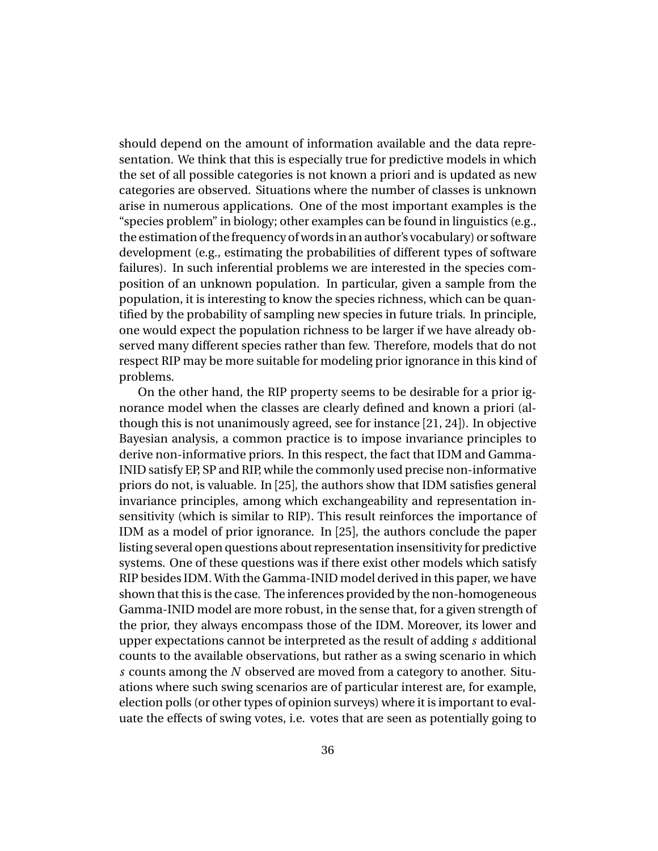should depend on the amount of information available and the data representation. We think that this is especially true for predictive models in which the set of all possible categories is not known a priori and is updated as new categories are observed. Situations where the number of classes is unknown arise in numerous applications. One of the most important examples is the "species problem" in biology; other examples can be found in linguistics (e.g., the estimation of the frequency of words in an author's vocabulary) or software development (e.g., estimating the probabilities of different types of software failures). In such inferential problems we are interested in the species composition of an unknown population. In particular, given a sample from the population, it is interesting to know the species richness, which can be quantified by the probability of sampling new species in future trials. In principle, one would expect the population richness to be larger if we have already observed many different species rather than few. Therefore, models that do not respect RIP may be more suitable for modeling prior ignorance in this kind of problems.

On the other hand, the RIP property seems to be desirable for a prior ignorance model when the classes are clearly defined and known a priori (although this is not unanimously agreed, see for instance [21, 24]). In objective Bayesian analysis, a common practice is to impose invariance principles to derive non-informative priors. In this respect, the fact that IDM and Gamma-INID satisfy EP, SP and RIP, while the commonly used precise non-informative priors do not, is valuable. In [25], the authors show that IDM satisfies general invariance principles, among which exchangeability and representation insensitivity (which is similar to RIP). This result reinforces the importance of IDM as a model of prior ignorance. In [25], the authors conclude the paper listing several open questions about representation insensitivity for predictive systems. One of these questions was if there exist other models which satisfy RIP besides IDM. With the Gamma-INID model derived in this paper, we have shown that this is the case. The inferences provided by the non-homogeneous Gamma-INID model are more robust, in the sense that, for a given strength of the prior, they always encompass those of the IDM. Moreover, its lower and upper expectations cannot be interpreted as the result of adding *s* additional counts to the available observations, but rather as a swing scenario in which *s* counts among the *N* observed are moved from a category to another. Situations where such swing scenarios are of particular interest are, for example, election polls (or other types of opinion surveys) where it is important to evaluate the effects of swing votes, i.e. votes that are seen as potentially going to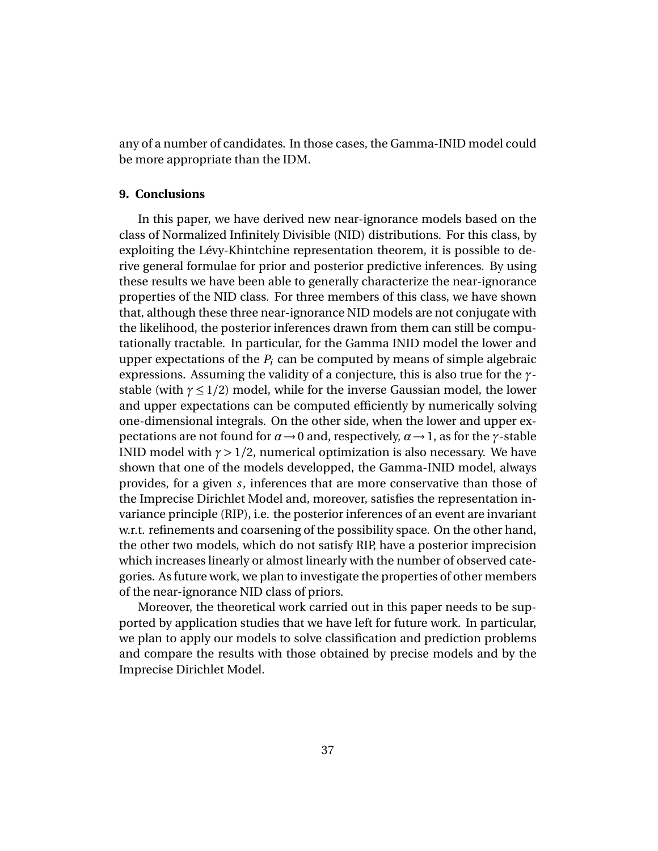any of a number of candidates. In those cases, the Gamma-INID model could be more appropriate than the IDM.

## **9. Conclusions**

In this paper, we have derived new near-ignorance models based on the class of Normalized Infinitely Divisible (NID) distributions. For this class, by exploiting the Lévy-Khintchine representation theorem, it is possible to derive general formulae for prior and posterior predictive inferences. By using these results we have been able to generally characterize the near-ignorance properties of the NID class. For three members of this class, we have shown that, although these three near-ignorance NID models are not conjugate with the likelihood, the posterior inferences drawn from them can still be computationally tractable. In particular, for the Gamma INID model the lower and upper expectations of the  $P_i$  can be computed by means of simple algebraic expressions. Assuming the validity of a conjecture, this is also true for the *γ*stable (with  $\gamma \leq 1/2$ ) model, while for the inverse Gaussian model, the lower and upper expectations can be computed efficiently by numerically solving one-dimensional integrals. On the other side, when the lower and upper expectations are not found for  $\alpha \rightarrow 0$  and, respectively,  $\alpha \rightarrow 1$ , as for the *γ*-stable INID model with  $\gamma > 1/2$ , numerical optimization is also necessary. We have shown that one of the models developped, the Gamma-INID model, always provides, for a given *s*, inferences that are more conservative than those of the Imprecise Dirichlet Model and, moreover, satisfies the representation invariance principle (RIP), i.e. the posterior inferences of an event are invariant w.r.t. refinements and coarsening of the possibility space. On the other hand, the other two models, which do not satisfy RIP, have a posterior imprecision which increases linearly or almost linearly with the number of observed categories. As future work, we plan to investigate the properties of other members of the near-ignorance NID class of priors.

Moreover, the theoretical work carried out in this paper needs to be supported by application studies that we have left for future work. In particular, we plan to apply our models to solve classification and prediction problems and compare the results with those obtained by precise models and by the Imprecise Dirichlet Model.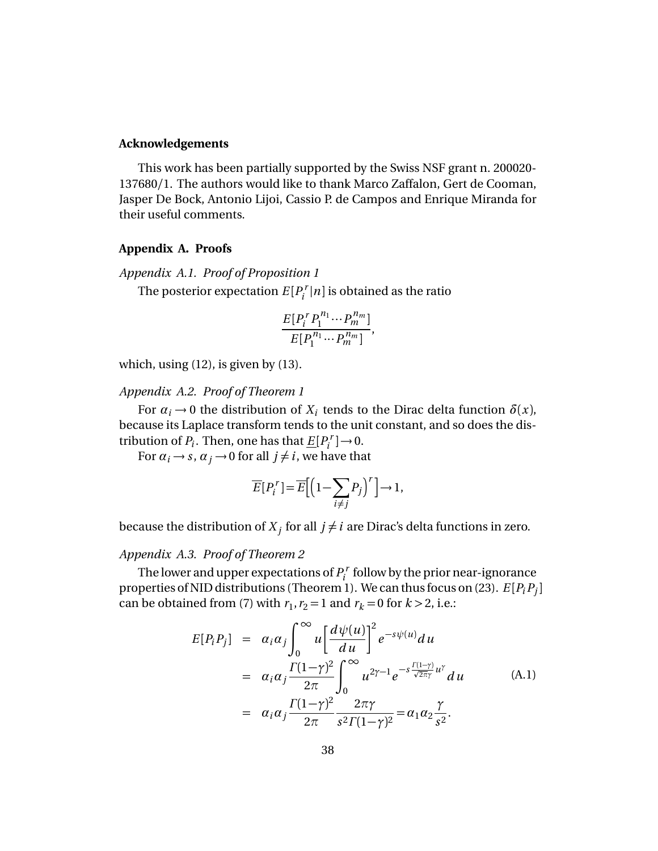#### **Acknowledgements**

This work has been partially supported by the Swiss NSF grant n. 200020- 137680/1. The authors would like to thank Marco Zaffalon, Gert de Cooman, Jasper De Bock, Antonio Lijoi, Cassio P. de Campos and Enrique Miranda for their useful comments.

#### **Appendix A. Proofs**

*Appendix A.1. Proof of Proposition 1*

The posterior expectation  $E[P_i^T]$  $\sum_{i}^{r}$  |*n* | is obtained as the ratio

$$
\frac{E[P_i^rP_1^{n_1}\cdots P_m^{n_m}]}{E[P_1^{n_1}\cdots P_m^{n_m}]},
$$

which, using  $(12)$ , is given by  $(13)$ .

## *Appendix A.2. Proof of Theorem 1*

For  $\alpha_i \rightarrow 0$  the distribution of  $X_i$  tends to the Dirac delta function  $\delta(x)$ , because its Laplace transform tends to the unit constant, and so does the distribution of  $P_i$ . Then, one has that  $\underline{E}[P_i^T]$  $\left[\begin{matrix} \n\cdot \\ \n\cdot \end{matrix}\right] \rightarrow 0.$ 

For  $\alpha_i \rightarrow s$ ,  $\alpha_j \rightarrow 0$  for all  $j \neq i$ , we have that

$$
\overline{E}[P_i^r] = \overline{E}\Big[\Big(1 - \sum_{i \neq j} P_j\Big)^r\Big] \to 1,
$$

because the distribution of  $X_j$  for all  $j \neq i$  are Dirac's delta functions in zero.

### *Appendix A.3. Proof of Theorem 2*

The lower and upper expectations of *P r*  $p_i^r$  follow by the prior near-ignorance properties of NID distributions (Theorem 1). We can thus focus on (23). *E* [*PiP<sup>j</sup>* ] can be obtained from (7) with  $r_1$ ,  $r_2 = 1$  and  $r_k = 0$  for  $k > 2$ , i.e.:

$$
E[P_i P_j] = \alpha_i \alpha_j \int_0^\infty u \left[ \frac{d\psi(u)}{du} \right]^2 e^{-s\psi(u)} du
$$
  
\n
$$
= \alpha_i \alpha_j \frac{\Gamma(1-\gamma)^2}{2\pi} \int_0^\infty u^{2\gamma-1} e^{-s \frac{\Gamma(1-\gamma)}{\sqrt{2\pi}\gamma} u^\gamma} du
$$
(A.1)  
\n
$$
= \alpha_i \alpha_j \frac{\Gamma(1-\gamma)^2}{2\pi} \frac{2\pi \gamma}{s^2 \Gamma(1-\gamma)^2} = \alpha_1 \alpha_2 \frac{\gamma}{s^2}.
$$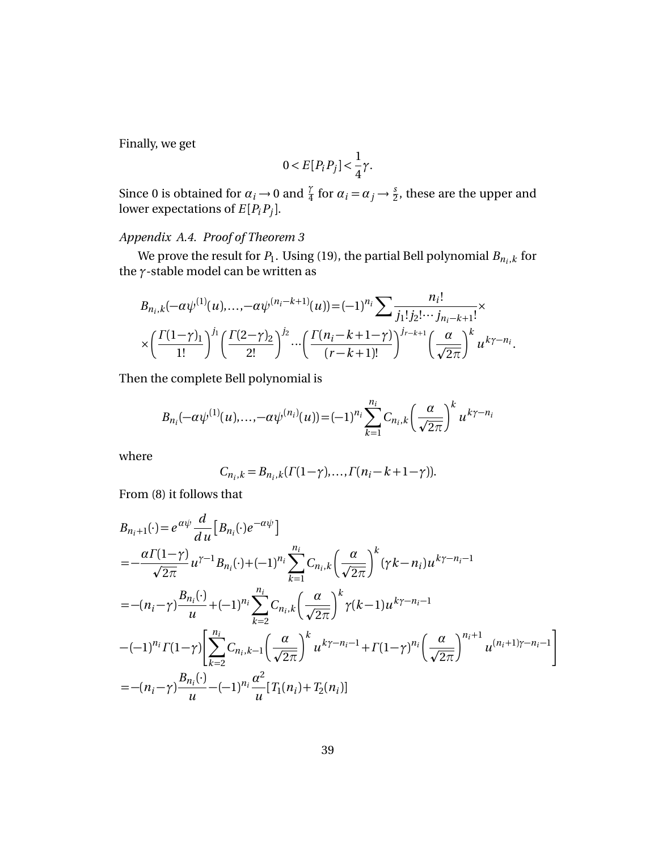Finally, we get

$$
0 < E[P_i P_j] < \frac{1}{4}\gamma.
$$

Since 0 is obtained for  $\alpha_i \to 0$  and  $\frac{\gamma}{4}$  for  $\alpha_i = \alpha_j \to \frac{s}{2}$ , these are the upper and lower expectations of  $E[P_iP_j]$ .

# *Appendix A.4. Proof of Theorem 3*

We prove the result for  $P_1$ . Using (19), the partial Bell polynomial  $B_{n_i,k}$  for the *γ*-stable model can be written as

$$
B_{n_i,k}(-\alpha\psi^{(1)}(u),..., -\alpha\psi^{(n_i-k+1)}(u)) = (-1)^{n_i} \sum \frac{n_i!}{j_1! j_2! \cdots j_{n_i-k+1}!} \times \times \left(\frac{\Gamma(1-\gamma)_1}{1!}\right)^{j_1} \left(\frac{\Gamma(2-\gamma)_2}{2!}\right)^{j_2} \cdots \left(\frac{\Gamma(n_i-k+1-\gamma)}{(r-k+1)!}\right)^{j_{r-k+1}} \left(\frac{\alpha}{\sqrt{2\pi}}\right)^k u^{k\gamma - n_i}.
$$

Then the complete Bell polynomial is

$$
B_{n_i}(-\alpha \psi^{(1)}(u),..., -\alpha \psi^{(n_i)}(u)) = (-1)^{n_i} \sum_{k=1}^{n_i} C_{n_i,k} \left(\frac{\alpha}{\sqrt{2\pi}}\right)^k u^{k\gamma - n_i}
$$

where

$$
C_{n_i,k}=B_{n_i,k}(\Gamma(1-\gamma),\ldots,\Gamma(n_i-k+1-\gamma)).
$$

From (8) it follows that

$$
B_{n_{i}+1}(\cdot) = e^{\alpha \psi} \frac{d}{du} \Big[ B_{n_{i}}(\cdot) e^{-\alpha \psi} \Big]
$$
  
\n
$$
= -\frac{\alpha \Gamma(1-\gamma)}{\sqrt{2\pi}} u^{\gamma-1} B_{n_{i}}(\cdot) + (-1)^{n_{i}} \sum_{k=1}^{n_{i}} C_{n_{i},k} \Big( \frac{\alpha}{\sqrt{2\pi}} \Big)^{k} (\gamma k - n_{i}) u^{k\gamma - n_{i} - 1}
$$
  
\n
$$
= -(n_{i} - \gamma) \frac{B_{n_{i}}(\cdot)}{u} + (-1)^{n_{i}} \sum_{k=2}^{n_{i}} C_{n_{i},k} \Big( \frac{\alpha}{\sqrt{2\pi}} \Big)^{k} \gamma(k - 1) u^{k\gamma - n_{i} - 1}
$$
  
\n
$$
-(-1)^{n_{i}} \Gamma(1-\gamma) \Big[ \sum_{k=2}^{n_{i}} C_{n_{i},k-1} \Big( \frac{\alpha}{\sqrt{2\pi}} \Big)^{k} u^{k\gamma - n_{i} - 1} + \Gamma(1-\gamma)^{n_{i}} \Big( \frac{\alpha}{\sqrt{2\pi}} \Big)^{n_{i} + 1} u^{(n_{i} + 1)\gamma - n_{i} - 1} \Big]
$$
  
\n
$$
= -(n_{i} - \gamma) \frac{B_{n_{i}}(\cdot)}{u} - (-1)^{n_{i}} \frac{\alpha^{2}}{u} \Big[ T_{1}(n_{i}) + T_{2}(n_{i}) \Big]
$$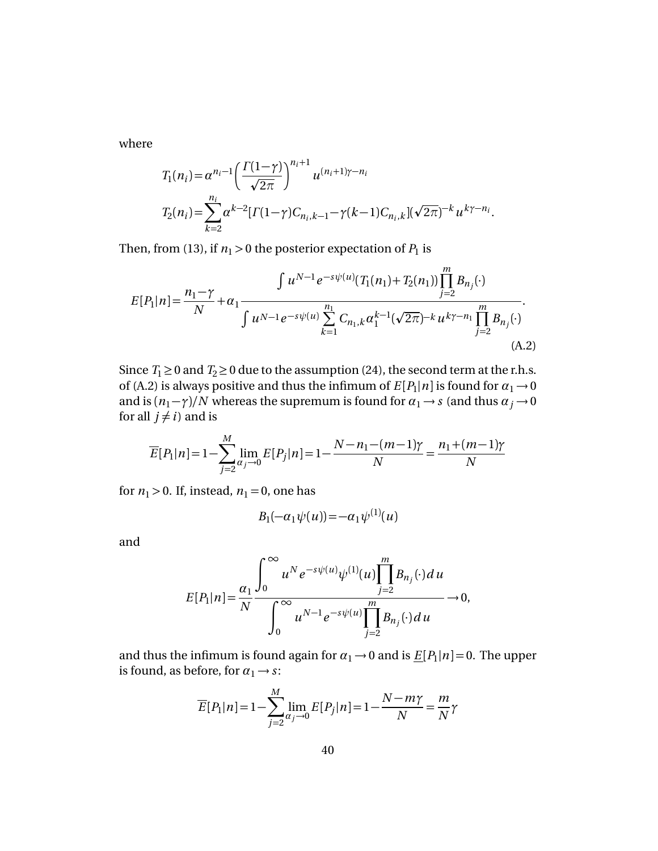where

$$
T_1(n_i) = \alpha^{n_i - 1} \left( \frac{\Gamma(1 - \gamma)}{\sqrt{2\pi}} \right)^{n_i + 1} u^{(n_i + 1)\gamma - n_i}
$$
  
\n
$$
T_2(n_i) = \sum_{k=2}^{n_i} \alpha^{k-2} [\Gamma(1 - \gamma) C_{n_i, k-1} - \gamma(k-1) C_{n_i, k}] (\sqrt{2\pi})^{-k} u^{k\gamma - n_i}.
$$

Then, from (13), if  $n_1 > 0$  the posterior expectation of  $P_1$  is

$$
E[P_1|n] = \frac{n_1 - \gamma}{N} + \alpha_1 \frac{\int u^{N-1} e^{-s\psi(u)} (T_1(n_1) + T_2(n_1)) \prod_{j=2}^m B_{n_j}(\cdot)}{\int u^{N-1} e^{-s\psi(u)} \sum_{k=1}^{n_1} C_{n_1,k} \alpha_1^{k-1} (\sqrt{2\pi})^{-k} u^{k\gamma - n_1} \prod_{j=2}^m B_{n_j}(\cdot)}.
$$
\n(A.2)

Since  $T_1 \ge 0$  and  $T_2 \ge 0$  due to the assumption (24), the second term at the r.h.s. of (A.2) is always positive and thus the infimum of  $E[P_1|n]$  is found for  $\alpha_1 \rightarrow 0$ and is  $(n_1 - \gamma)/N$  whereas the supremum is found for  $\alpha_1 \rightarrow s$  (and thus  $\alpha_j \rightarrow 0$ for all  $j \neq i$ ) and is

$$
\overline{E}[P_1|n] = 1 - \sum_{j=2}^{M} \lim_{\alpha_j \to 0} E[P_j|n] = 1 - \frac{N - n_1 - (m - 1)\gamma}{N} = \frac{n_1 + (m - 1)\gamma}{N}
$$

for  $n_1 > 0$ . If, instead,  $n_1 = 0$ , one has

$$
B_1(-\alpha_1\psi(u)) = -\alpha_1\psi^{(1)}(u)
$$

and

$$
E[P_1|n] = \frac{\alpha_1}{N} \frac{\int_0^\infty u^N e^{-s\psi(u)} \psi^{(1)}(u) \prod_{j=2}^m B_{n_j}(\cdot) du}{\int_0^\infty u^{N-1} e^{-s\psi(u)} \prod_{j=2}^m B_{n_j}(\cdot) du} \to 0,
$$

and thus the infimum is found again for  $\alpha_1 \rightarrow 0$  and is  $\underline{E}[P_1|n] = 0$ . The upper is found, as before, for  $\alpha_1 \rightarrow s$ :

$$
\overline{E}[P_1|n] = 1 - \sum_{j=2}^{M} \lim_{\alpha_j \to 0} E[P_j|n] = 1 - \frac{N - m\gamma}{N} = \frac{m}{N}\gamma
$$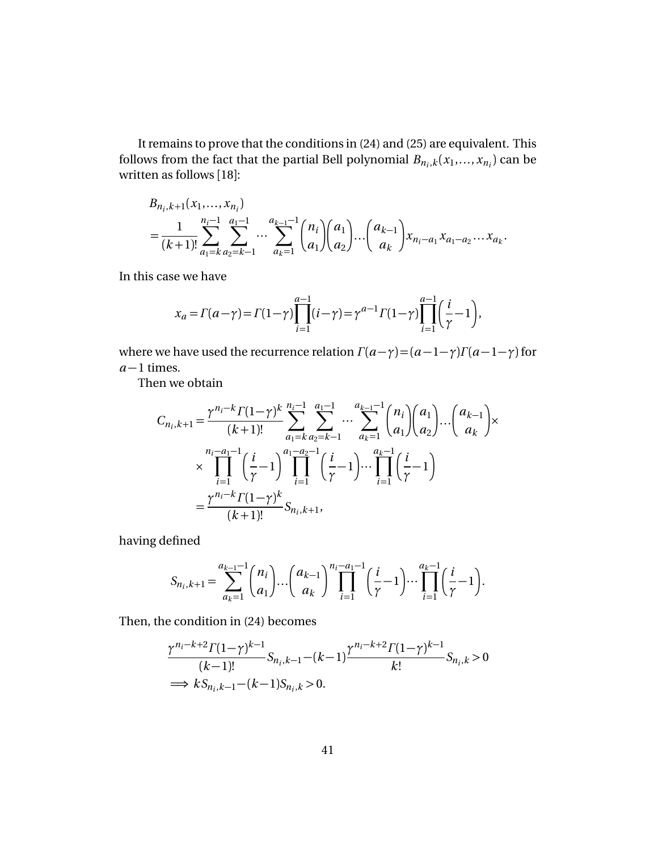It remains to prove that the conditions in (24) and (25) are equivalent. This follows from the fact that the partial Bell polynomial  $B_{n_i,k}(x_1,...,x_{n_i})$  can be written as follows [18]:

$$
B_{n_i,k+1}(x_1,...,x_{n_i})
$$
  
=  $\frac{1}{(k+1)!} \sum_{a_1=k}^{n_i-1} \sum_{a_2=k-1}^{a_1-1} \cdots \sum_{a_k=1}^{a_{k-1}-1} {n_i \choose a_1} {a_1 \choose a_2} \cdots {a_{k-1} \choose a_k} x_{n_i-a_1} x_{a_1-a_2} \cdots x_{a_k}.$ 

In this case we have

$$
x_a = \Gamma(a-\gamma) = \Gamma(1-\gamma) \prod_{i=1}^{a-1} (i-\gamma) = \gamma^{a-1} \Gamma(1-\gamma) \prod_{i=1}^{a-1} \left(\frac{i}{\gamma} - 1\right),
$$

where we have used the recurrence relation  $\Gamma(a-\gamma) = (a-1-\gamma)\Gamma(a-1-\gamma)$  for *a* −1 times.

Then we obtain

$$
C_{n_i,k+1} = \frac{\gamma^{n_i-k} \Gamma(1-\gamma)^k}{(k+1)!} \sum_{a_1=k}^{n_i-1} \sum_{a_2=k-1}^{a_1-1} \cdots \sum_{a_k=1}^{a_{k-1}-1} {n_i \choose a_1} {a_1 \choose a_2} \cdots {a_{k-1} \choose a_k} \times \prod_{i=1}^{n_i-a_1-1} \left(\frac{i}{\gamma}-1\right)^{a_1-a_2-1} \left(\frac{i}{\gamma}-1\right) \cdots \prod_{i=1}^{a_k-1} \left(\frac{i}{\gamma}-1\right)
$$

$$
= \frac{\gamma^{n_i-k} \Gamma(1-\gamma)^k}{(k+1)!} S_{n_i,k+1},
$$

having defined

$$
S_{n_i,k+1} = \sum_{a_k=1}^{a_{k-1}-1} \binom{n_i}{a_1} \cdots \binom{a_{k-1}}{a_k} \prod_{i=1}^{n_i-a_1-1} \binom{i}{\gamma} \cdots \prod_{i=1}^{a_k-1} \binom{i}{\gamma} -1.
$$

Then, the condition in (24) becomes

$$
\frac{\gamma^{n_i-k+2}\Gamma(1-\gamma)^{k-1}}{(k-1)!}S_{n_i,k-1}-(k-1)\frac{\gamma^{n_i-k+2}\Gamma(1-\gamma)^{k-1}}{k!}S_{n_i,k}>0
$$
  

$$
\implies kS_{n_i,k-1}-(k-1)S_{n_i,k}>0.
$$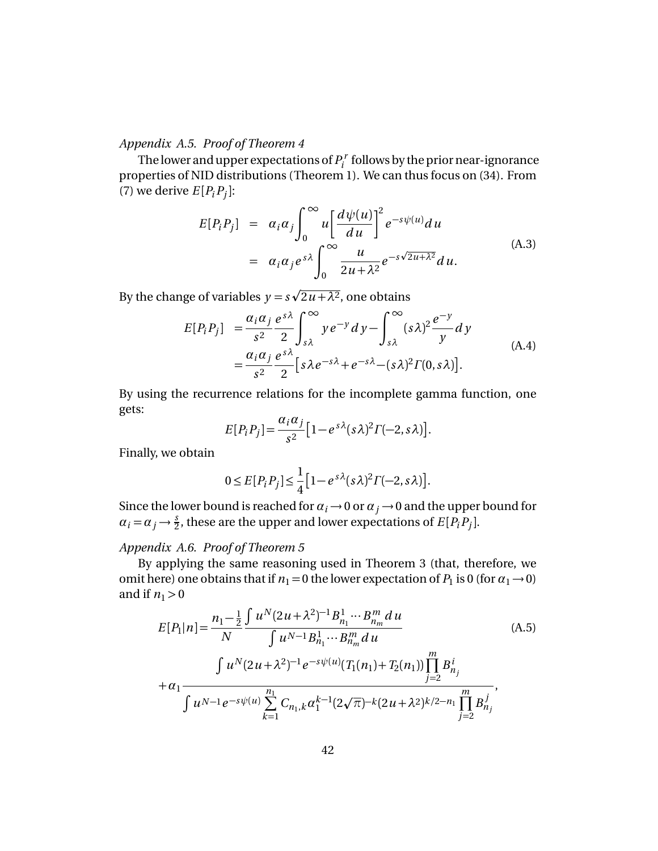*Appendix A.5. Proof of Theorem 4*

The lower and upper expectations of  $P_i^r$  $\hat{p}^r_i$  follows by the prior near-ignorance properties of NID distributions (Theorem 1). We can thus focus on (34). From (7) we derive  $E[P_iP_j]$ :

$$
E[P_iP_j] = \alpha_i \alpha_j \int_0^\infty u \left[ \frac{d\psi(u)}{du} \right]^2 e^{-s\psi(u)} du
$$
  
=  $\alpha_i \alpha_j e^{s\lambda} \int_0^\infty \frac{u}{2u + \lambda^2} e^{-s\sqrt{2u + \lambda^2}} du.$  (A.3)

By the change of variables  $y = s$  $2u + \lambda^2$ , one obtains

$$
E[P_i P_j] = \frac{\alpha_i \alpha_j}{s^2} \frac{e^{s\lambda}}{2} \int_{s\lambda}^{\infty} y e^{-y} dy - \int_{s\lambda}^{\infty} (s\lambda)^2 \frac{e^{-y}}{y} dy
$$
  
=  $\frac{\alpha_i \alpha_j}{s^2} \frac{e^{s\lambda}}{2} [s\lambda e^{-s\lambda} + e^{-s\lambda} - (s\lambda)^2 \Gamma(0, s\lambda)].$  (A.4)

By using the recurrence relations for the incomplete gamma function, one gets:

$$
E[P_iP_j] = \frac{\alpha_i \alpha_j}{s^2} \left[1 - e^{s\lambda} (s\lambda)^2 \Gamma(-2, s\lambda)\right].
$$

Finally, we obtain

$$
0 \leq E[P_i P_j] \leq \frac{1}{4} \Big[ 1 - e^{s\lambda} (s\lambda)^2 \Gamma(-2, s\lambda) \Big].
$$

Since the lower bound is reached for  $\alpha_i \rightarrow 0$  or  $\alpha_j \rightarrow 0$  and the upper bound for  $\alpha_i = \alpha_j \rightarrow \frac{s}{2}$ , these are the upper and lower expectations of *E*[*P<sub>i</sub>P<sub>j</sub>*].

## *Appendix A.6. Proof of Theorem 5*

By applying the same reasoning used in Theorem 3 (that, therefore, we omit here) one obtains that if  $n_1 = 0$  the lower expectation of  $P_1$  is 0 (for  $\alpha_1 \rightarrow 0$ ) and if  $n_1 > 0$ 

$$
E[P_1|n] = \frac{n_1 - \frac{1}{2} \int u^N (2u + \lambda^2)^{-1} B_{n_1}^1 \cdots B_{n_m}^m du}{\int u^{N-1} B_{n_1}^1 \cdots B_{n_m}^m du}
$$
  
\n+  $\alpha_1$   
\n
$$
\int u^N (2u + \lambda^2)^{-1} e^{-s\psi(u)} (T_1(n_1) + T_2(n_1)) \prod_{j=2}^m B_{n_j}^i
$$
  
\n+  $\alpha_1$   
\n
$$
\int u^{N-1} e^{-s\psi(u)} \sum_{k=1}^{n_1} C_{n_1,k} \alpha_1^{k-1} (2\sqrt{\pi})^{-k} (2u + \lambda^2)^{k/2 - n_1} \prod_{j=2}^m B_{n_j}^j
$$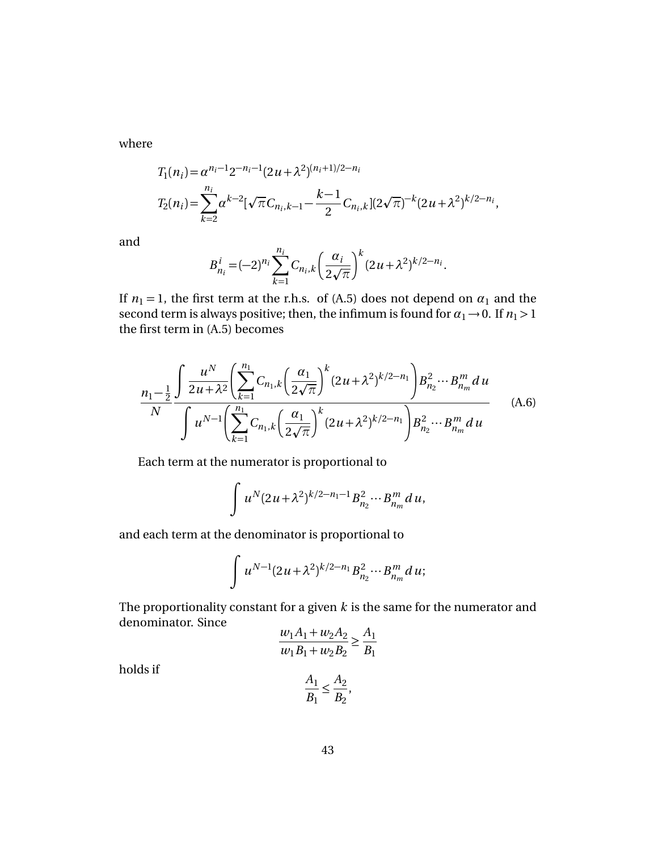where

$$
T_1(n_i) = \alpha^{n_i - 1} 2^{-n_i - 1} (2u + \lambda^2)^{(n_i + 1)/2 - n_i}
$$
  
\n
$$
T_2(n_i) = \sum_{k=2}^{n_i} \alpha^{k-2} [\sqrt{\pi} C_{n_i, k-1} - \frac{k-1}{2} C_{n_i, k}] (2\sqrt{\pi})^{-k} (2u + \lambda^2)^{k/2 - n_i},
$$

and

$$
B_{n_i}^i = (-2)^{n_i} \sum_{k=1}^{n_i} C_{n_i,k} \left( \frac{\alpha_i}{2\sqrt{\pi}} \right)^k (2u + \lambda^2)^{k/2 - n_i}.
$$

If  $n_1 = 1$ , the first term at the r.h.s. of (A.5) does not depend on  $\alpha_1$  and the second term is always positive; then, the infimum is found for  $\alpha_1 \rightarrow 0$ . If  $n_1 > 1$ the first term in (A.5) becomes

$$
\frac{n_1 - \frac{1}{2} \int \frac{u^N}{2u + \lambda^2} \left( \sum_{k=1}^{n_1} C_{n_1,k} \left( \frac{\alpha_1}{2\sqrt{\pi}} \right)^k (2u + \lambda^2)^{k/2 - n_1} \right) B_{n_2}^2 \cdots B_{n_m}^m du}{\int u^{N-1} \left( \sum_{k=1}^{n_1} C_{n_1,k} \left( \frac{\alpha_1}{2\sqrt{\pi}} \right)^k (2u + \lambda^2)^{k/2 - n_1} \right) B_{n_2}^2 \cdots B_{n_m}^m du}
$$
(A.6)

Each term at the numerator is proportional to

$$
\int u^N (2u + \lambda^2)^{k/2 - n_1 - 1} B_{n_2}^2 \cdots B_{n_m}^m du,
$$

and each term at the denominator is proportional to

$$
\int u^{N-1} (2u + \lambda^2)^{k/2 - n_1} B_{n_2}^2 \cdots B_{n_m}^m du;
$$

The proportionality constant for a given *k* is the same for the numerator and denominator. Since

$$
\frac{w_1A_1 + w_2A_2}{w_1B_1 + w_2B_2} \ge \frac{A_1}{B_1}
$$

holds if

$$
\frac{A_1}{B_1} \leq \frac{A_2}{B_2},
$$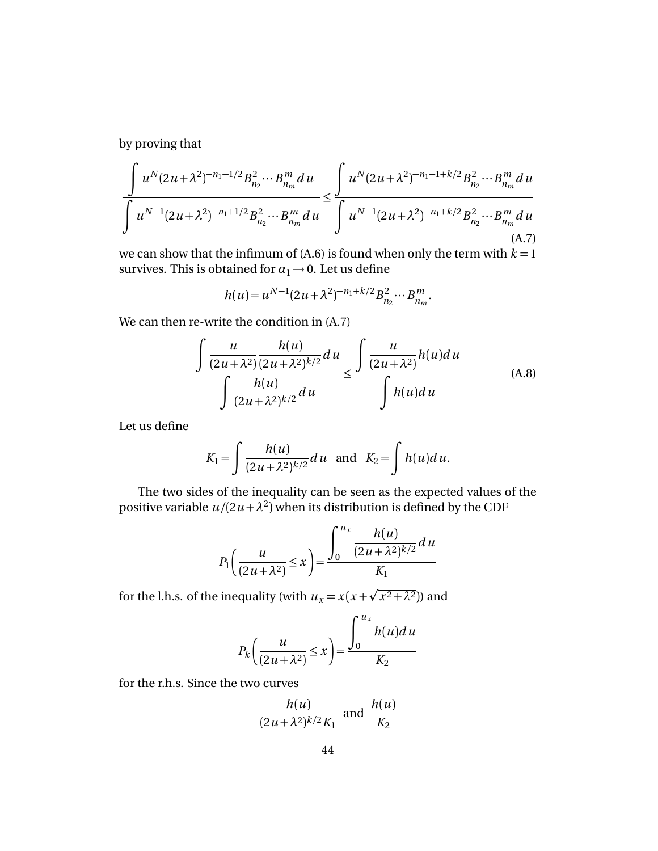by proving that

$$
\frac{\int u^N (2u + \lambda^2)^{-n_1 - 1/2} B_{n_2}^2 \cdots B_{n_m}^m du}{\int u^{N-1} (2u + \lambda^2)^{-n_1 + 1/2} B_{n_2}^2 \cdots B_{n_m}^m du} \le \frac{\int u^N (2u + \lambda^2)^{-n_1 - 1 + k/2} B_{n_2}^2 \cdots B_{n_m}^m du}{\int u^{N-1} (2u + \lambda^2)^{-n_1 + k/2} B_{n_2}^2 \cdots B_{n_m}^m du}
$$
\n(A.7)

we can show that the infimum of  $(A.6)$  is found when only the term with  $k = 1$ survives. This is obtained for  $\alpha_1 \rightarrow 0$ . Let us define

$$
h(u) = u^{N-1} (2u + \lambda^2)^{-n_1 + k/2} B_{n_2}^2 \cdots B_{n_m}^m.
$$

We can then re-write the condition in (A.7)

$$
\frac{\int \frac{u}{(2u+\lambda^2)} \frac{h(u)}{(2u+\lambda^2)^{k/2}} du}{\int \frac{h(u)}{(2u+\lambda^2)^{k/2}} du} \le \frac{\int \frac{u}{(2u+\lambda^2)} h(u) du}{\int h(u) du}
$$
 (A.8)

Let us define

$$
K_1 = \int \frac{h(u)}{(2u+\lambda^2)^{k/2}} du \text{ and } K_2 = \int h(u) du.
$$

The two sides of the inequality can be seen as the expected values of the positive variable  $u/(2u+\lambda^2)$  when its distribution is defined by the CDF

$$
P_1\left(\frac{u}{(2u+\lambda^2)} \le x\right) = \frac{\int_0^{u_x} \frac{h(u)}{(2u+\lambda^2)^{k/2}} du}{K_1}
$$

for the l.h.s. of the inequality (with  $u_x = x(x+)$  $(x^2+\lambda^2)$ ) and

$$
P_k\left(\frac{u}{(2u+\lambda^2)} \le x\right) = \frac{\int_0^{u_x} h(u) du}{K_2}
$$

for the r.h.s. Since the two curves

$$
\frac{h(u)}{(2u+\lambda^2)^{k/2}K_1}
$$
 and 
$$
\frac{h(u)}{K_2}
$$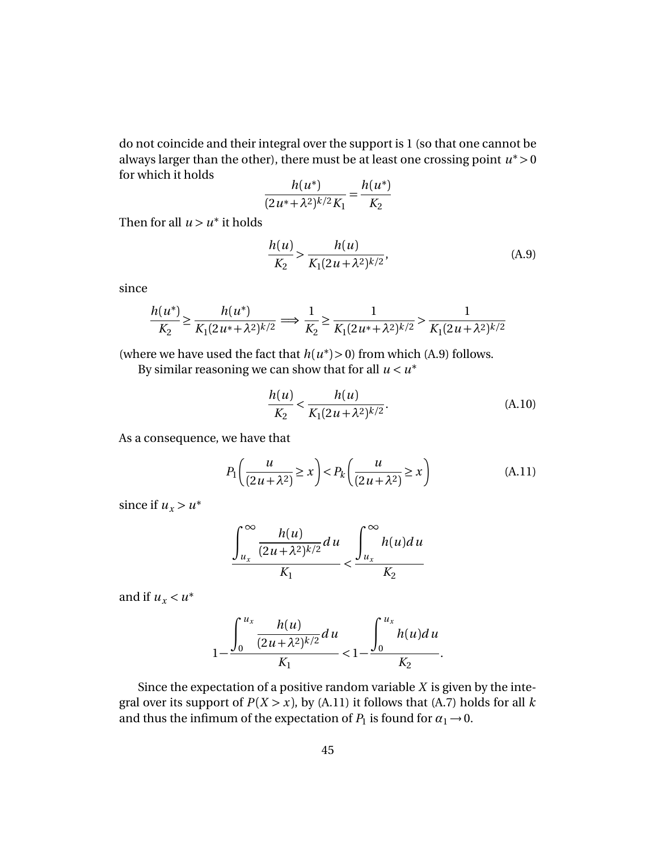do not coincide and their integral over the support is 1 (so that one cannot be always larger than the other), there must be at least one crossing point  $u^*$  > 0 for which it holds ∗ ∗

$$
\frac{h(u^*)}{(2u^* + \lambda^2)^{k/2}K_1} = \frac{h(u^*)}{K_2}
$$

Then for all  $u > u^*$  it holds

$$
\frac{h(u)}{K_2} > \frac{h(u)}{K_1(2u + \lambda^2)^{k/2}},\tag{A.9}
$$

since

$$
\frac{h(u^*)}{K_2} \ge \frac{h(u^*)}{K_1(2u^* + \lambda^2)^{k/2}} \Longrightarrow \frac{1}{K_2} \ge \frac{1}{K_1(2u^* + \lambda^2)^{k/2}} > \frac{1}{K_1(2u + \lambda^2)^{k/2}}
$$

(where we have used the fact that  $h(u^*) > 0$ ) from which (A.9) follows.

By similar reasoning we can show that for all  $u < u^*$ 

$$
\frac{h(u)}{K_2} < \frac{h(u)}{K_1(2u + \lambda^2)^{k/2}}.\tag{A.10}
$$

As a consequence, we have that

$$
P_1\left(\frac{u}{(2u+\lambda^2)} \ge x\right) < P_k\left(\frac{u}{(2u+\lambda^2)} \ge x\right) \tag{A.11}
$$

since if  $u_x > u^*$ 

$$
\frac{\int_{u_x}^{\infty} \frac{h(u)}{(2u+\lambda^2)^{k/2}} du}{K_1} < \frac{\int_{u_x}^{\infty} h(u) du}{K_2}
$$

and if  $u_x < u^*$ 

$$
1 - \frac{\int_0^{u_x} \frac{h(u)}{(2u + \lambda^2)^{k/2}} du}{K_1} < 1 - \frac{\int_0^{u_x} h(u) du}{K_2}.
$$

Since the expectation of a positive random variable *X* is given by the integral over its support of  $P(X > x)$ , by (A.11) it follows that (A.7) holds for all *k* and thus the infimum of the expectation of  $P_1$  is found for  $\alpha_1 \rightarrow 0$ .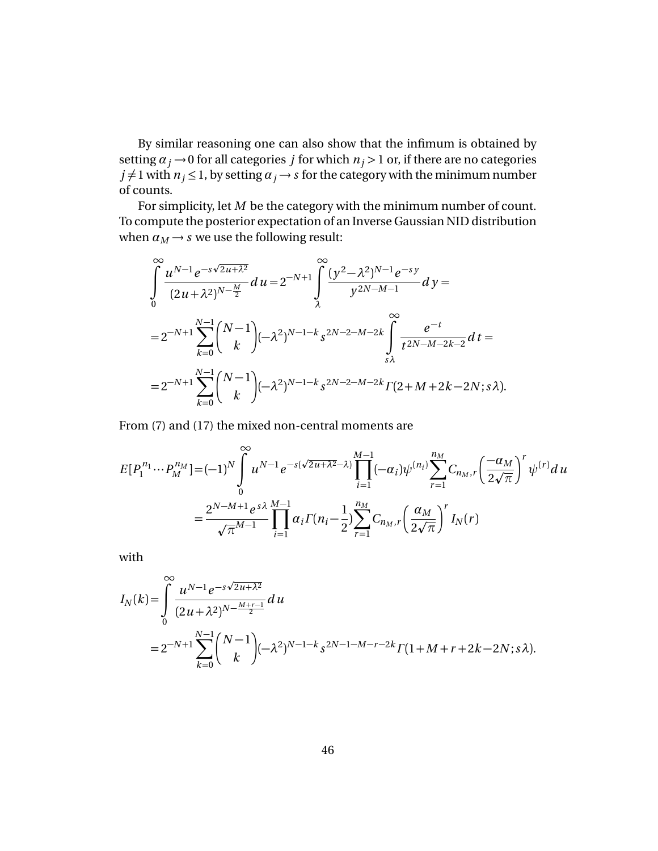By similar reasoning one can also show that the infimum is obtained by setting  $\alpha_j \rightarrow 0$  for all categories *j* for which  $n_j > 1$  or, if there are no categories  $j \neq 1$  with  $n_j \leq 1$ , by setting  $\alpha_j \rightarrow s$  for the category with the minimum number of counts.

For simplicity, let *M* be the category with the minimum number of count. To compute the posterior expectation of an Inverse Gaussian NID distribution when  $\alpha_M \rightarrow s$  we use the following result:

$$
\int_{0}^{\infty} \frac{u^{N-1}e^{-s\sqrt{2u+\lambda^2}}}{(2u+\lambda^2)^{N-\frac{M}{2}}} du = 2^{-N+1} \int_{\lambda}^{\infty} \frac{(y^2-\lambda^2)^{N-1}e^{-sy}}{y^{2N-M-1}} dy =
$$
  
\n
$$
= 2^{-N+1} \sum_{k=0}^{N-1} {N-1 \choose k} (-\lambda^2)^{N-1-k} s^{2N-2-M-2k} \int_{s\lambda}^{\infty} \frac{e^{-t}}{t^{2N-M-2k-2}} dt =
$$
  
\n
$$
= 2^{-N+1} \sum_{k=0}^{N-1} {N-1 \choose k} (-\lambda^2)^{N-1-k} s^{2N-2-M-2k} \Gamma(2+M+2k-2N; s\lambda).
$$

From (7) and (17) the mixed non-central moments are

$$
E[P_1^{n_1} \cdots P_M^{n_M}] = (-1)^N \int_0^\infty u^{N-1} e^{-s(\sqrt{2u+\lambda^2}-\lambda)} \prod_{i=1}^{M-1} (-\alpha_i) \psi^{(n_i)} \sum_{r=1}^{n_M} C_{n_M,r} \left(\frac{-\alpha_M}{2\sqrt{\pi}}\right)^r \psi^{(r)} du
$$
  

$$
= \frac{2^{N-M+1} e^{s\lambda}}{\sqrt{\pi}^{M-1}} \prod_{i=1}^{M-1} \alpha_i \Gamma(n_i - \frac{1}{2}) \sum_{r=1}^{n_M} C_{n_M,r} \left(\frac{\alpha_M}{2\sqrt{\pi}}\right)^r I_N(r)
$$

with

$$
I_N(k) = \int_0^\infty \frac{u^{N-1} e^{-s\sqrt{2u+\lambda^2}}}{(2u+\lambda^2)^{N-\frac{M+r-1}{2}}} du
$$
  
=  $2^{-N+1} \sum_{k=0}^{N-1} {N-1 \choose k} (-\lambda^2)^{N-1-k} s^{2N-1-M-r-2k} \Gamma(1+M+r+2k-2N; s\lambda).$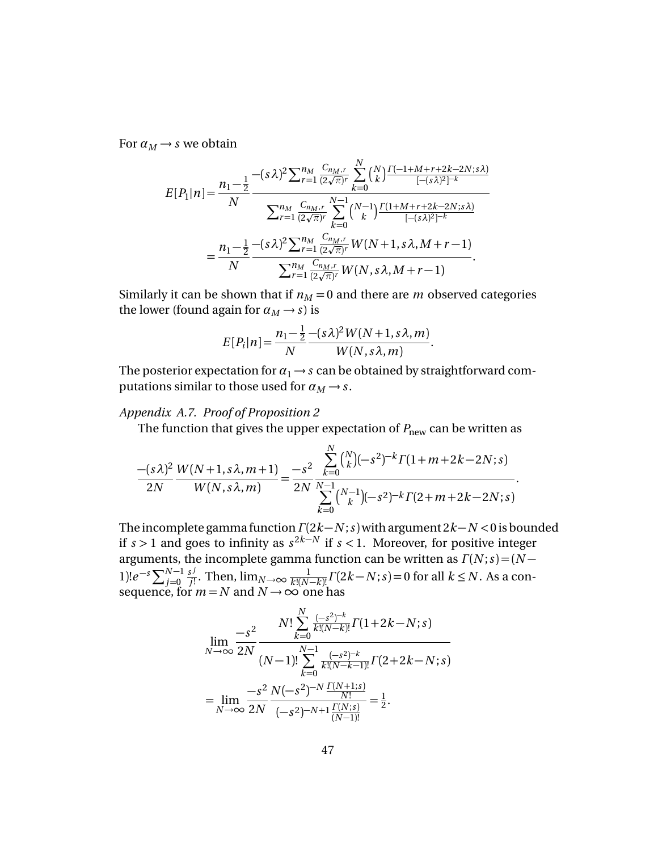For  $\alpha_M \rightarrow s$  we obtain

$$
E[P_1|n] = \frac{n_1 - \frac{1}{2}}{N} \frac{-(s\lambda)^2 \sum_{r=1}^{n_M} \frac{C_{n_M,r}}{(2\sqrt{\pi})^r} \sum_{k=0}^N {N \choose k} \frac{\Gamma(-1+M+r+2k-2N;s\lambda)}{[-(s\lambda)^2]^{-k}}}{\sum_{r=1}^{n_M} \frac{C_{n_M,r}}{(2\sqrt{\pi})^r} \sum_{k=0}^{N-1} {N-1 \choose k} \frac{\Gamma(1+M+r+2k-2N;s\lambda)}{[-(s\lambda)^2]^{-k}}}
$$

$$
= \frac{n_1 - \frac{1}{2}}{N} \frac{-(s\lambda)^2 \sum_{r=1}^{n_M} \frac{C_{n_M,r}}{(2\sqrt{\pi})^r} W(N+1,s\lambda,M+r-1)}{\sum_{r=1}^{n_M} \frac{C_{n_M,r}}{(2\sqrt{\pi})^r} W(N,s\lambda,M+r-1)}.
$$

Similarly it can be shown that if  $n_M = 0$  and there are *m* observed categories the lower (found again for  $\alpha_M \rightarrow s$ ) is

$$
E[P_i|n] = \frac{n_1 - \frac{1}{2} - (s\lambda)^2 W(N+1, s\lambda, m)}{W(N, s\lambda, m)}.
$$

The posterior expectation for  $\alpha_1 \rightarrow s$  can be obtained by straightforward computations similar to those used for  $\alpha_M \rightarrow s$ .

## *Appendix A.7. Proof of Proposition 2*

The function that gives the upper expectation of  $P_{\text{new}}$  can be written as

$$
\frac{-(s\lambda)^2}{2N} \frac{W(N+1, s\lambda, m+1)}{W(N, s\lambda, m)} = \frac{-s^2}{2N} \frac{\sum_{k=0}^{N} {N \choose k} (-s^2)^{-k} \Gamma(1+m+2k-2N; s)}{\sum_{k=0}^{N-1} {N-1 \choose k} (-s^2)^{-k} \Gamma(2+m+2k-2N; s)}.
$$

The incomplete gamma function*Γ* (2*k* −*N* ;*s*)with argument 2*k* −*N <*0 is bounded if *s* > 1 and goes to infinity as  $s^{2k−N}$  if  $s < 1$ . Moreover, for positive integer arguments, the incomplete gamma function can be written as  $\Gamma(N; s) = (N - \frac{1}{2})$  $1)!e^{-s}\sum_{j=0}^{N-1}$ *s j j*<sup>1</sup>. Then,  $\lim_{N\to\infty} \frac{1}{k!(N-k)!} \Gamma(2k-N; s) = 0$  for all  $k \leq N$ . As a consequence, for  $m = N$  and  $N \rightarrow \infty$  one has

$$
\lim_{N \to \infty} \frac{-s^2}{2N} \frac{N! \sum_{k=0}^{N} \frac{(-s^2)^{-k}}{k!(N-k)!} \Gamma(1+2k-N;s)}{(N-1)! \sum_{k=0}^{N-1} \frac{(-s^2)^{-k}}{k!(N-k-1)!} \Gamma(2+2k-N;s)}
$$

$$
= \lim_{N \to \infty} \frac{-s^2}{2N} \frac{N(-s^2)^{-N} \frac{\Gamma(N+1;s)}{N!}}{(-s^2)^{-N+1} \frac{\Gamma(N;s)}{(N-1)!}} = \frac{1}{2}.
$$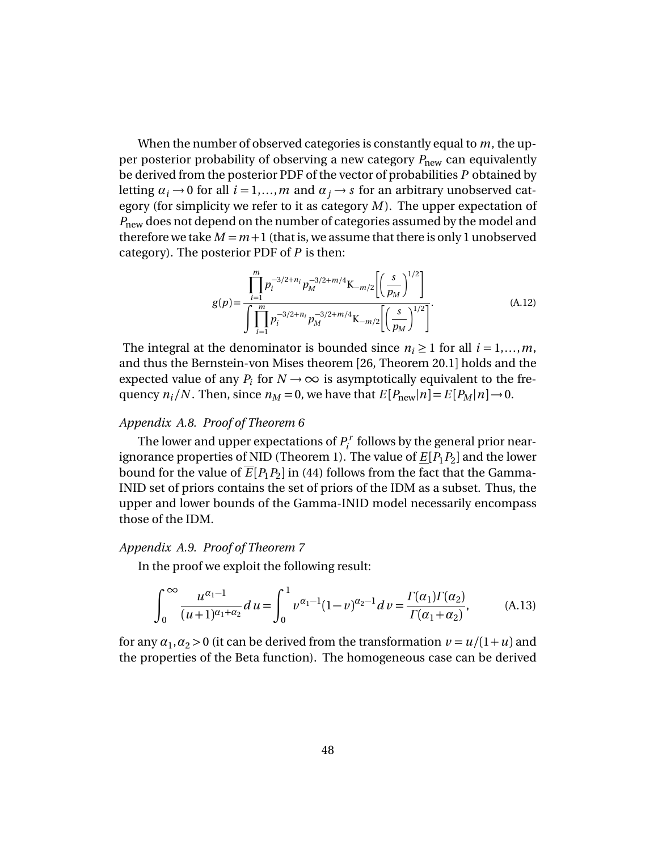When the number of observed categories is constantly equal to *m*, the upper posterior probability of observing a new category  $P_{\text{new}}$  can equivalently be derived from the posterior PDF of the vector of probabilities *P* obtained by letting  $\alpha_i \rightarrow 0$  for all  $i = 1,...,m$  and  $\alpha_i \rightarrow s$  for an arbitrary unobserved category (for simplicity we refer to it as category *M* ). The upper expectation of *P*<sub>new</sub> does not depend on the number of categories assumed by the model and therefore we take  $M = m + 1$  (that is, we assume that there is only 1 unobserved category). The posterior PDF of *P* is then:

$$
g(p) = \frac{\prod_{i=1}^{m} p_i^{-3/2+n_i} p_M^{-3/2+m/4} \mathbf{K}_{-m/2} \left[ \left( \frac{s}{p_M} \right)^{1/2} \right]}{\int \prod_{i=1}^{m} p_i^{-3/2+n_i} p_M^{-3/2+m/4} \mathbf{K}_{-m/2} \left[ \left( \frac{s}{p_M} \right)^{1/2} \right]}.
$$
(A.12)

The integral at the denominator is bounded since  $n_i \geq 1$  for all  $i = 1,...,m$ , and thus the Bernstein-von Mises theorem [26, Theorem 20.1] holds and the expected value of any  $P_i$  for  $N \to \infty$  is asymptotically equivalent to the frequency  $n_i/N$ . Then, since  $n_M = 0$ , we have that  $E[P_{\text{new}}|n] = E[P_M|n] \rightarrow 0$ .

### *Appendix A.8. Proof of Theorem 6*

The lower and upper expectations of *P r*  $P_i^r$  follows by the general prior nearignorance properties of NID (Theorem 1). The value of  $\underline{E}[P_1P_2]$  and the lower bound for the value of  $E[P_1P_2]$  in (44) follows from the fact that the Gamma-INID set of priors contains the set of priors of the IDM as a subset. Thus, the upper and lower bounds of the Gamma-INID model necessarily encompass those of the IDM.

## *Appendix A.9. Proof of Theorem 7*

In the proof we exploit the following result:

$$
\int_0^\infty \frac{u^{\alpha_1 - 1}}{(u+1)^{\alpha_1 + \alpha_2}} du = \int_0^1 v^{\alpha_1 - 1} (1-v)^{\alpha_2 - 1} dv = \frac{\Gamma(\alpha_1)\Gamma(\alpha_2)}{\Gamma(\alpha_1 + \alpha_2)},
$$
(A.13)

for any  $\alpha_1, \alpha_2 > 0$  (it can be derived from the transformation  $\nu = u/(1+u)$  and the properties of the Beta function). The homogeneous case can be derived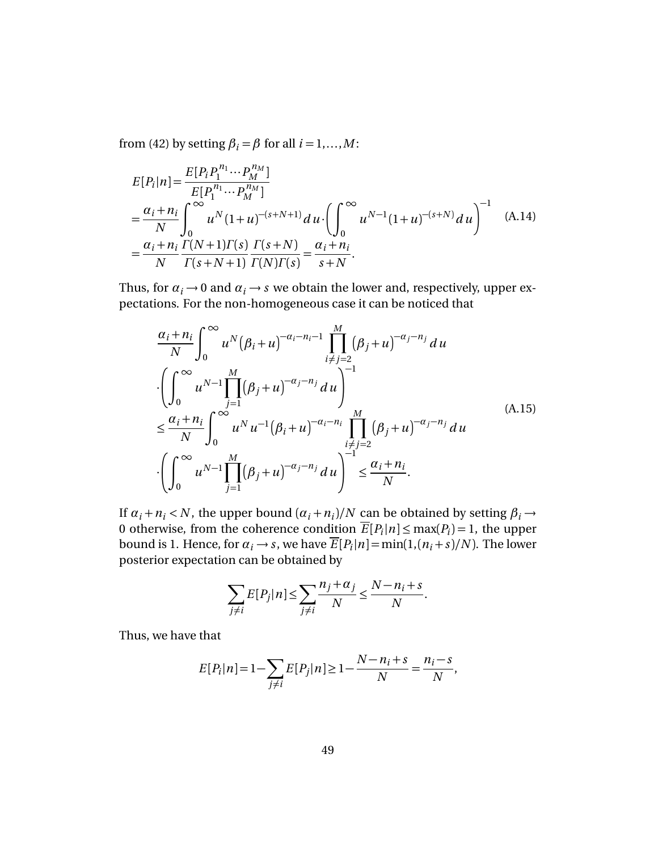from (42) by setting  $\beta_i = \beta$  for all  $i = 1,...,M$ :

$$
E[P_i|n] = \frac{E[P_i P_1^{n_1} \cdots P_M^{n_M}]}{E[P_1^{n_1} \cdots P_M^{n_M}]} \\
= \frac{\alpha_i + n_i}{N} \int_0^\infty u^N (1+u)^{-(s+N+1)} du \cdot \left( \int_0^\infty u^{N-1} (1+u)^{-(s+N)} du \right)^{-1} \\
= \frac{\alpha_i + n_i}{N} \frac{\Gamma(N+1)\Gamma(s)}{\Gamma(s+N+1)} \frac{\Gamma(s+N)}{\Gamma(N)\Gamma(s)} = \frac{\alpha_i + n_i}{s+N}.
$$
\n(A.14)

Thus, for  $\alpha_i \rightarrow 0$  and  $\alpha_i \rightarrow s$  we obtain the lower and, respectively, upper expectations. For the non-homogeneous case it can be noticed that

$$
\frac{\alpha_{i} + n_{i}}{N} \int_{0}^{\infty} u^{N} (\beta_{i} + u)^{-\alpha_{i} - n_{i} - 1} \prod_{i \neq j = 2}^{M} (\beta_{j} + u)^{-\alpha_{j} - n_{j}} du
$$
\n
$$
\cdot \left( \int_{0}^{\infty} u^{N-1} \prod_{j=1}^{M} (\beta_{j} + u)^{-\alpha_{j} - n_{j}} du \right)^{-1}
$$
\n
$$
\leq \frac{\alpha_{i} + n_{i}}{N} \int_{0}^{\infty} u^{N} u^{-1} (\beta_{i} + u)^{-\alpha_{i} - n_{i}} \prod_{\substack{i \neq j = 2 \\ i \neq j = 2}}^{M} (\beta_{j} + u)^{-\alpha_{j} - n_{j}} du
$$
\n
$$
\cdot \left( \int_{0}^{\infty} u^{N-1} \prod_{j=1}^{M} (\beta_{j} + u)^{-\alpha_{j} - n_{j}} du \right)^{-1} \leq \frac{\alpha_{i} + n_{i}}{N}.
$$
\n(A.15)

If  $\alpha_i + n_i$  < *N*, the upper bound  $(\alpha_i + n_i)/N$  can be obtained by setting  $\beta_i \rightarrow$ 0 otherwise, from the coherence condition  $\overline{E}[P_i|n] \le \max(P_i) = 1$ , the upper bound is 1. Hence, for  $\alpha_i \rightarrow s$ , we have  $\overline{E}[P_i|n] = \min(1,(n_i+s)/N)$ . The lower posterior expectation can be obtained by

$$
\sum_{j \neq i} E[P_j | n] \leq \sum_{j \neq i} \frac{n_j + \alpha_j}{N} \leq \frac{N - n_i + s}{N}.
$$

Thus, we have that

$$
E[P_i|n] = 1 - \sum_{j \neq i} E[P_j|n] \ge 1 - \frac{N - n_i + s}{N} = \frac{n_i - s}{N},
$$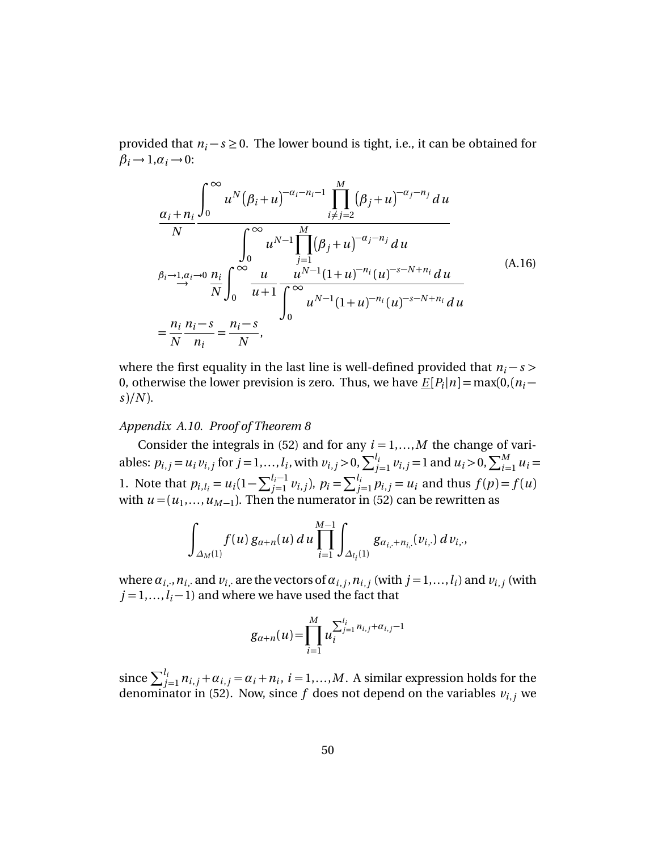provided that  $n_i$  − *s* ≥ 0. The lower bound is tight, i.e., it can be obtained for  $\beta_i \rightarrow 1, \alpha_i \rightarrow 0$ :

$$
\frac{\alpha_{i}+n_{i}}{N} \frac{\int_{0}^{\infty} u^{N}(\beta_{i}+u)^{-\alpha_{i}-n_{i}-1} \prod_{i \neq j=2}^{M} (\beta_{j}+u)^{-\alpha_{j}-n_{j}} du}{\int_{0}^{\infty} u^{N-1} \prod_{j=1}^{M} (\beta_{j}+u)^{-\alpha_{j}-n_{j}} du}
$$
\n
$$
\beta_{i} \rightarrow 1, \alpha_{i} \rightarrow 0 \frac{n_{i}}{N} \int_{0}^{\infty} \frac{u}{u+1} \frac{u^{N-1}(1+u)^{-n_{i}}(u)^{-s-N+n_{i}} du}{\int_{0}^{\infty} u^{N-1}(1+u)^{-n_{i}}(u)^{-s-N+n_{i}} du}
$$
\n
$$
= \frac{n_{i}}{N} \frac{n_{i}-s}{n_{i}} = \frac{n_{i}-s}{N},
$$
\n(A.16)

where the first equality in the last line is well-defined provided that  $n_i - s$ 0, otherwise the lower prevision is zero. Thus, we have  $\underline{E}[P_i|n] = \max(0, (n_i - \frac{1}{n_i})$ *s*)*/N* ).

## *Appendix A.10. Proof of Theorem 8*

Consider the integrals in (52) and for any  $i = 1,...,M$  the change of variables:  $p_{i,j} = u_i v_{i,j}$  for  $j = 1,..., l_i$ , with  $v_{i,j} > 0$ ,  $\sum_{j=1}^{l_i} v_{i,j} = 1$  and  $u_i > 0$ ,  $\sum_{i=1}^{M} u_i =$ 1. Note that  $p_{i,l_i} = u_i(1 - \sum_{j=1}^{l_i-1} v_{i,j}), p_i = \sum_{j=1}^{l_i} p_{i,j} = u_i$  and thus  $f(p) = f(u)$ with  $u = (u_1, \ldots, u_{M-1})$ . Then the numerator in (52) can be rewritten as

$$
\int_{\Delta_M(1)} f(u) g_{\alpha+n}(u) du \prod_{i=1}^{M-1} \int_{\Delta_{l_i}(1)} g_{\alpha_{i,+}+n_{i,+}}(v_{i,+}) dv_{i,+}
$$

where  $\alpha_{i,\cdot},n_{i,\cdot}$  and  $v_i$  are the vectors of  $\alpha_{i,\,j},n_{i,\,j}$  (with  $j\!=\!1,...,l_i)$  and  $v_{i,\,j}$  (with  $j = 1, \ldots, l_i - 1$  and where we have used the fact that

$$
g_{\alpha+n}(u) = \prod_{i=1}^{M} u_i^{\sum_{j=1}^{l_i} n_{i,j} + \alpha_{i,j} - 1}
$$

since  $\sum_{j=1}^{l_i} n_{i,j} + \alpha_{i,j} = \alpha_i + n_i$ ,  $i = 1,...,M$ . A similar expression holds for the denominator in (52). Now, since  $f$  does not depend on the variables  $v_{i,j}$  we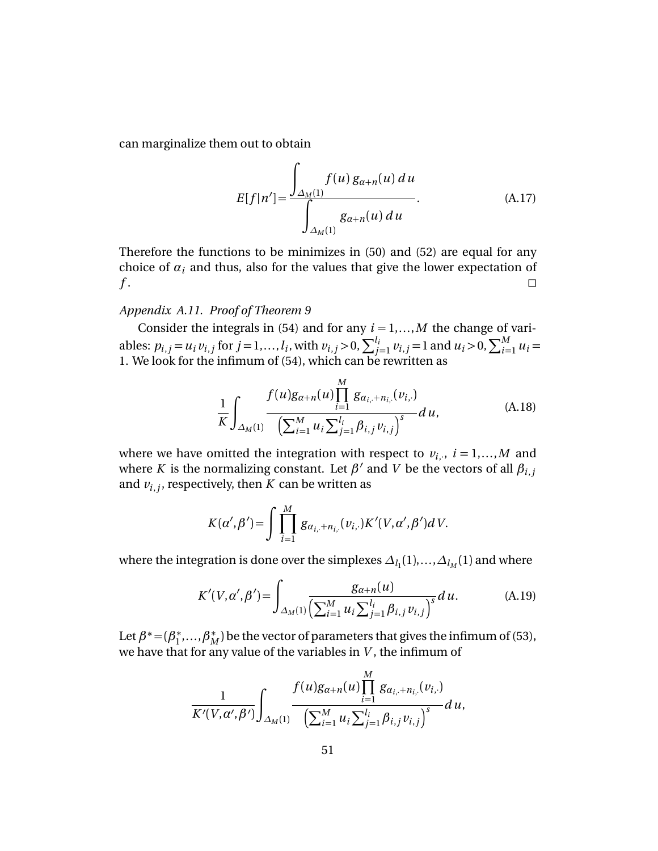can marginalize them out to obtain

$$
E[f|n'] = \frac{\int_{\Delta_M(1)} f(u) g_{\alpha+n}(u) du}{\int_{\Delta_M(1)} g_{\alpha+n}(u) du}.
$$
 (A.17)

Therefore the functions to be minimizes in (50) and (52) are equal for any choice of  $\alpha_i$  and thus, also for the values that give the lower expectation of *f* .

## *Appendix A.11. Proof of Theorem 9*

Consider the integrals in (54) and for any  $i = 1,...,M$  the change of variables:  $p_{i,j} = u_i v_{i,j}$  for  $j = 1,..., l_i$ , with  $v_{i,j} > 0$ ,  $\sum_{j=1}^{l_i} v_{i,j} = 1$  and  $u_i > 0$ ,  $\sum_{i=1}^{M} u_i =$ 1. We look for the infimum of (54), which can be rewritten as

$$
\frac{1}{K} \int_{\Delta_M(1)} \frac{f(u)g_{\alpha+n}(u) \prod_{i=1}^M g_{\alpha_{i,\cdot}+n_{i,\cdot}}(v_{i,\cdot})}{\left(\sum_{i=1}^M u_i \sum_{j=1}^{l_i} \beta_{i,j} v_{i,j}\right)^s} du,
$$
\n(A.18)

where we have omitted the integration with respect to  $v_{i,\cdot}$ ,  $i=1,...,M$  and where *K* is the normalizing constant. Let  $\beta'$  and *V* be the vectors of all  $\beta_{i,j}$ and  $v_{i,j}$ , respectively, then  $K$  can be written as

$$
K(\alpha', \beta') = \int \prod_{i=1}^{M} g_{\alpha_{i,+} + n_{i,-}}(v_{i,+}) K'(V, \alpha', \beta') dV.
$$

where the integration is done over the simplexes  $\varDelta_{l_1}(1),...,\varDelta_{l_M}(1)$  and where

$$
K'(V, \alpha', \beta') = \int_{\Delta_M(1)} \frac{g_{\alpha+n}(u)}{\left(\sum_{i=1}^M u_i \sum_{j=1}^{l_i} \beta_{i,j} v_{i,j}\right)^s} du.
$$
 (A.19)

Let  $\beta^* = (\beta_1^*)$  $\hat{B}_{1}^{*},...,\hat{B}_{M}^{*}$ ) be the vector of parameters that gives the infimum of (53), we have that for any value of the variables in *V* , the infimum of

$$
\frac{1}{K'(V,\alpha',\beta')}\int_{\Delta_M(1)}\frac{f(u)g_{\alpha+n}(u)\prod\limits_{i=1}^M g_{\alpha_{i,\cdot}+n_{i,\cdot}}(v_{i,\cdot})}{\left(\sum_{i=1}^M u_i\sum_{j=1}^{l_i}\beta_{i,j}\,v_{i,j}\right)^s}d\,u,
$$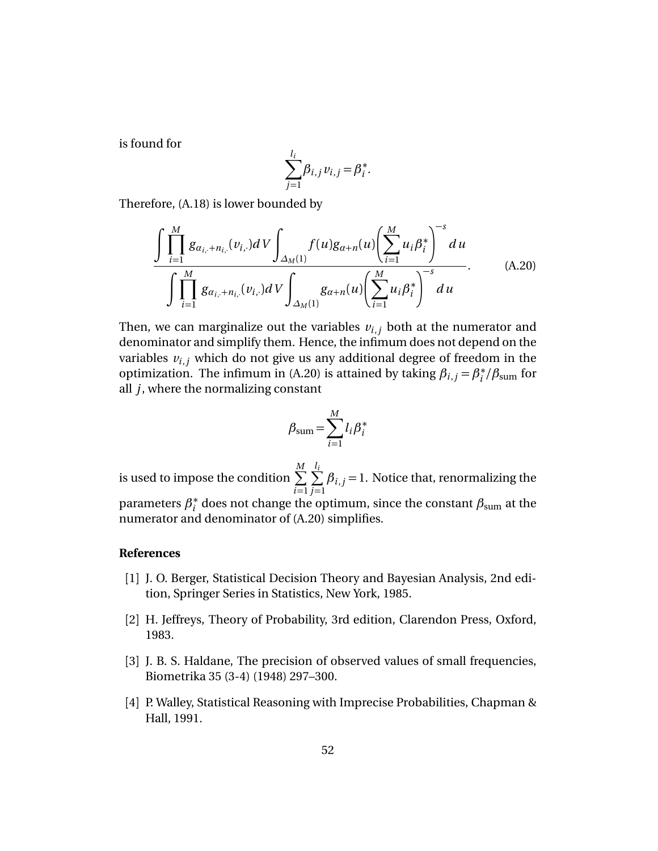is found for

$$
\sum_{j=1}^{l_i} \beta_{i,j} v_{i,j} = \beta_i^*.
$$

Therefore, (A.18) is lower bounded by

$$
\frac{\int \prod_{i=1}^{M} g_{\alpha_{i,+}+n_{i,}}(v_{i, \cdot}) dV \int_{\Delta_{M}(1)} f(u) g_{\alpha+n}(u) \left(\sum_{i=1}^{M} u_{i} \beta_{i}^{*}\right)^{-s} du}{\int \prod_{i=1}^{M} g_{\alpha_{i,+}+n_{i, \cdot}}(v_{i, \cdot}) dV \int_{\Delta_{M}(1)} g_{\alpha+n}(u) \left(\sum_{i=1}^{M} u_{i} \beta_{i}^{*}\right)^{-s} du}.
$$
 (A.20)

Then, we can marginalize out the variables  $v_{i,j}$  both at the numerator and denominator and simplify them. Hence, the infimum does not depend on the variables  $v_{i,j}$  which do not give us any additional degree of freedom in the optimization. The infimum in (A.20) is attained by taking  $\beta_{i,j} = \beta_i^*$ *i /β*sum for all *j*, where the normalizing constant

$$
\beta_{\text{sum}} = \sum_{i=1}^{M} l_i \beta_i^*
$$

is used to impose the condition  $\sum\limits_{-\infty}^{M}$ *i*=1 *l*  $\sum_{i=1}^{l}$ *j* =1  $\beta_{i,j}$  = 1. Notice that, renormalizing the parameters *β* ∗  $_i^*$  does not change the optimum, since the constant  $\beta_{\text{sum}}$  at the numerator and denominator of (A.20) simplifies.

#### **References**

- [1] J. O. Berger, Statistical Decision Theory and Bayesian Analysis, 2nd edition, Springer Series in Statistics, New York, 1985.
- [2] H. Jeffreys, Theory of Probability, 3rd edition, Clarendon Press, Oxford, 1983.
- [3] J. B. S. Haldane, The precision of observed values of small frequencies, Biometrika 35 (3-4) (1948) 297–300.
- [4] P. Walley, Statistical Reasoning with Imprecise Probabilities, Chapman & Hall, 1991.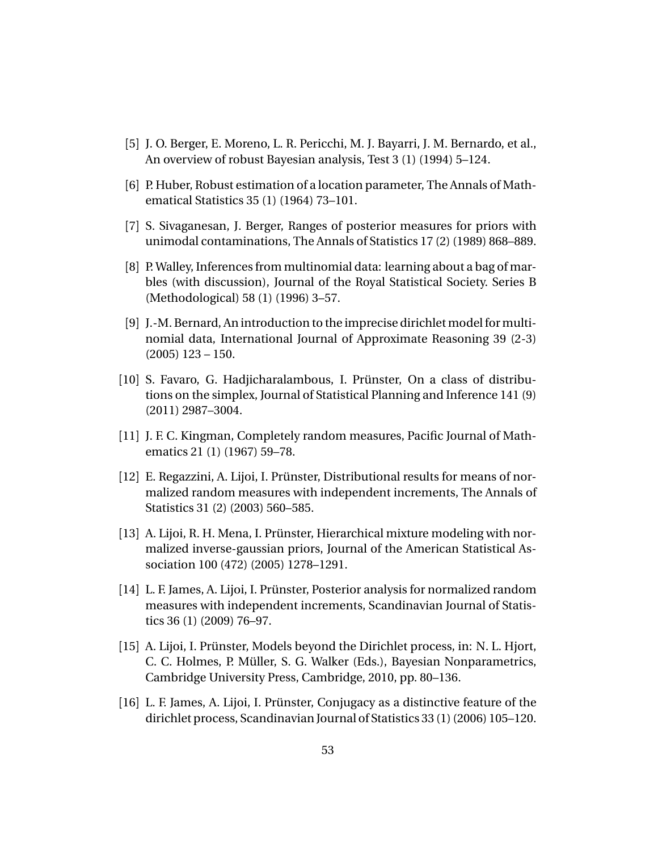- [5] J. O. Berger, E. Moreno, L. R. Pericchi, M. J. Bayarri, J. M. Bernardo, et al., An overview of robust Bayesian analysis, Test 3 (1) (1994) 5–124.
- [6] P. Huber, Robust estimation of a location parameter, The Annals of Mathematical Statistics 35 (1) (1964) 73–101.
- [7] S. Sivaganesan, J. Berger, Ranges of posterior measures for priors with unimodal contaminations, The Annals of Statistics 17 (2) (1989) 868–889.
- [8] P. Walley, Inferences from multinomial data: learning about a bag of marbles (with discussion), Journal of the Royal Statistical Society. Series B (Methodological) 58 (1) (1996) 3–57.
- [9] J.-M. Bernard, An introduction to the imprecise dirichlet model for multinomial data, International Journal of Approximate Reasoning 39 (2-3) (2005) 123 – 150.
- [10] S. Favaro, G. Hadjicharalambous, I. Prünster, On a class of distributions on the simplex, Journal of Statistical Planning and Inference 141 (9) (2011) 2987–3004.
- [11] J. F. C. Kingman, Completely random measures, Pacific Journal of Mathematics 21 (1) (1967) 59–78.
- [12] E. Regazzini, A. Lijoi, I. Prünster, Distributional results for means of normalized random measures with independent increments, The Annals of Statistics 31 (2) (2003) 560–585.
- [13] A. Lijoi, R. H. Mena, I. Prünster, Hierarchical mixture modeling with normalized inverse-gaussian priors, Journal of the American Statistical Association 100 (472) (2005) 1278–1291.
- [14] L. F. James, A. Lijoi, I. Prünster, Posterior analysis for normalized random measures with independent increments, Scandinavian Journal of Statistics 36 (1) (2009) 76–97.
- [15] A. Lijoi, I. Prünster, Models beyond the Dirichlet process, in: N. L. Hjort, C. C. Holmes, P. Müller, S. G. Walker (Eds.), Bayesian Nonparametrics, Cambridge University Press, Cambridge, 2010, pp. 80–136.
- [16] L. F. James, A. Lijoi, I. Prünster, Conjugacy as a distinctive feature of the dirichlet process, Scandinavian Journal of Statistics 33 (1) (2006) 105–120.